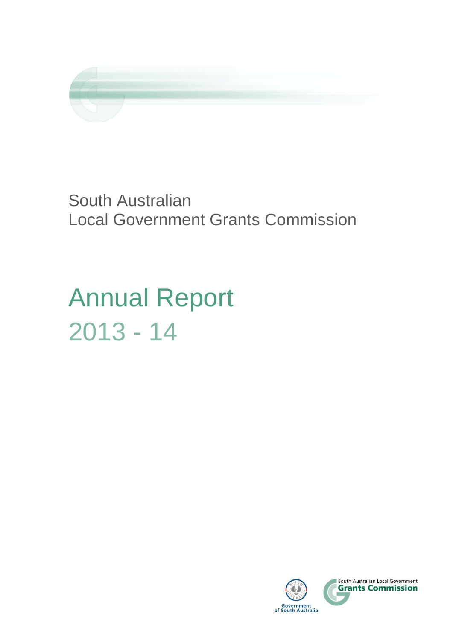

South Australian Local Government Grants Commission

Annual Report 2013 - 14

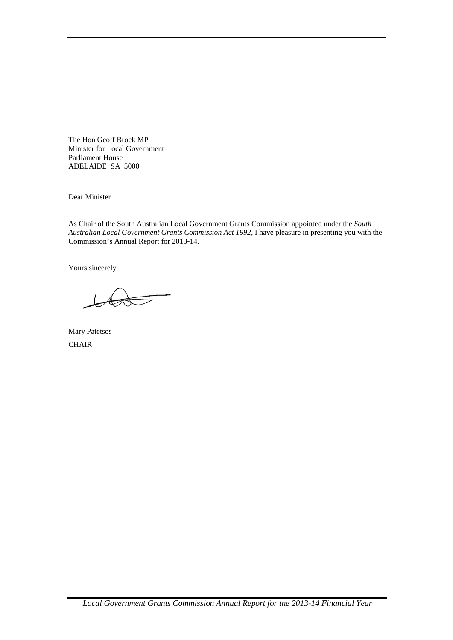The Hon Geoff Brock MP Minister for Local Government Parliament House ADELAIDE SA 5000

Dear Minister

As Chair of the South Australian Local Government Grants Commission appointed under the *South Australian Local Government Grants Commission Act 1992*, I have pleasure in presenting you with the Commission's Annual Report for 2013-14.

Yours sincerely

Mary Patetsos **CHAIR**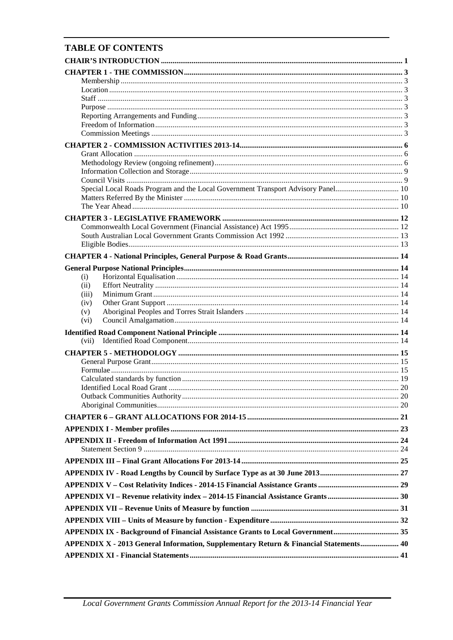# **TABLE OF CONTENTS**

| Special Local Roads Program and the Local Government Transport Advisory Panel 10      |  |
|---------------------------------------------------------------------------------------|--|
|                                                                                       |  |
|                                                                                       |  |
|                                                                                       |  |
|                                                                                       |  |
|                                                                                       |  |
|                                                                                       |  |
|                                                                                       |  |
|                                                                                       |  |
| (i)                                                                                   |  |
| (ii)                                                                                  |  |
| (iii)                                                                                 |  |
| (iv)                                                                                  |  |
| (v)                                                                                   |  |
| (vi)                                                                                  |  |
|                                                                                       |  |
| (vii)                                                                                 |  |
|                                                                                       |  |
|                                                                                       |  |
|                                                                                       |  |
|                                                                                       |  |
|                                                                                       |  |
|                                                                                       |  |
|                                                                                       |  |
|                                                                                       |  |
|                                                                                       |  |
|                                                                                       |  |
|                                                                                       |  |
|                                                                                       |  |
|                                                                                       |  |
|                                                                                       |  |
|                                                                                       |  |
|                                                                                       |  |
|                                                                                       |  |
|                                                                                       |  |
| APPENDIX IX - Background of Financial Assistance Grants to Local Government 35        |  |
| APPENDIX X - 2013 General Information, Supplementary Return & Financial Statements 40 |  |
|                                                                                       |  |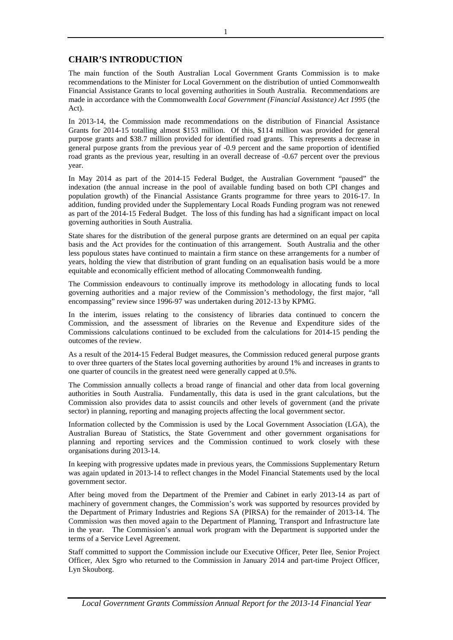# **CHAIR'S INTRODUCTION**

The main function of the South Australian Local Government Grants Commission is to make recommendations to the Minister for Local Government on the distribution of untied Commonwealth Financial Assistance Grants to local governing authorities in South Australia. Recommendations are made in accordance with the Commonwealth *Local Government (Financial Assistance) Act 1995* (the Act).

In 2013-14, the Commission made recommendations on the distribution of Financial Assistance Grants for 2014-15 totalling almost \$153 million. Of this, \$114 million was provided for general purpose grants and \$38.7 million provided for identified road grants. This represents a decrease in general purpose grants from the previous year of -0.9 percent and the same proportion of identified road grants as the previous year, resulting in an overall decrease of -0.67 percent over the previous year.

In May 2014 as part of the 2014-15 Federal Budget, the Australian Government "paused" the indexation (the annual increase in the pool of available funding based on both CPI changes and population growth) of the Financial Assistance Grants programme for three years to 2016-17. In addition, funding provided under the Supplementary Local Roads Funding program was not renewed as part of the 2014-15 Federal Budget. The loss of this funding has had a significant impact on local governing authorities in South Australia.

State shares for the distribution of the general purpose grants are determined on an equal per capita basis and the Act provides for the continuation of this arrangement. South Australia and the other less populous states have continued to maintain a firm stance on these arrangements for a number of years, holding the view that distribution of grant funding on an equalisation basis would be a more equitable and economically efficient method of allocating Commonwealth funding.

The Commission endeavours to continually improve its methodology in allocating funds to local governing authorities and a major review of the Commission's methodology, the first major, "all encompassing" review since 1996-97 was undertaken during 2012-13 by KPMG.

In the interim, issues relating to the consistency of libraries data continued to concern the Commission, and the assessment of libraries on the Revenue and Expenditure sides of the Commissions calculations continued to be excluded from the calculations for 2014-15 pending the outcomes of the review.

As a result of the 2014-15 Federal Budget measures, the Commission reduced general purpose grants to over three quarters of the States local governing authorities by around 1% and increases in grants to one quarter of councils in the greatest need were generally capped at 0.5%.

The Commission annually collects a broad range of financial and other data from local governing authorities in South Australia. Fundamentally, this data is used in the grant calculations, but the Commission also provides data to assist councils and other levels of government (and the private sector) in planning, reporting and managing projects affecting the local government sector.

Information collected by the Commission is used by the Local Government Association (LGA), the Australian Bureau of Statistics, the State Government and other government organisations for planning and reporting services and the Commission continued to work closely with these organisations during 2013-14.

In keeping with progressive updates made in previous years, the Commissions Supplementary Return was again updated in 2013-14 to reflect changes in the Model Financial Statements used by the local government sector.

After being moved from the Department of the Premier and Cabinet in early 2013-14 as part of machinery of government changes, the Commission's work was supported by resources provided by the Department of Primary Industries and Regions SA (PIRSA) for the remainder of 2013-14. The Commission was then moved again to the Department of Planning, Transport and Infrastructure late in the year. The Commission's annual work program with the Department is supported under the terms of a Service Level Agreement.

Staff committed to support the Commission include our Executive Officer, Peter Ilee, Senior Project Officer, Alex Sgro who returned to the Commission in January 2014 and part-time Project Officer, Lyn Skouborg.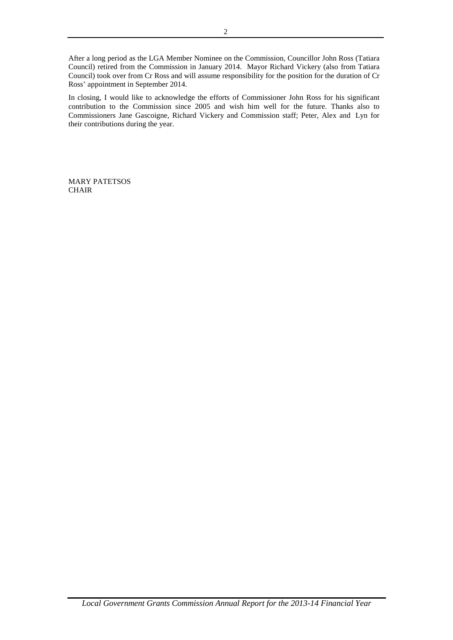After a long period as the LGA Member Nominee on the Commission, Councillor John Ross (Tatiara Council) retired from the Commission in January 2014. Mayor Richard Vickery (also from Tatiara Council) took over from Cr Ross and will assume responsibility for the position for the duration of Cr Ross' appointment in September 2014.

In closing, I would like to acknowledge the efforts of Commissioner John Ross for his significant contribution to the Commission since 2005 and wish him well for the future. Thanks also to Commissioners Jane Gascoigne, Richard Vickery and Commission staff; Peter, Alex and Lyn for their contributions during the year.

MARY PATETSOS **CHAIR**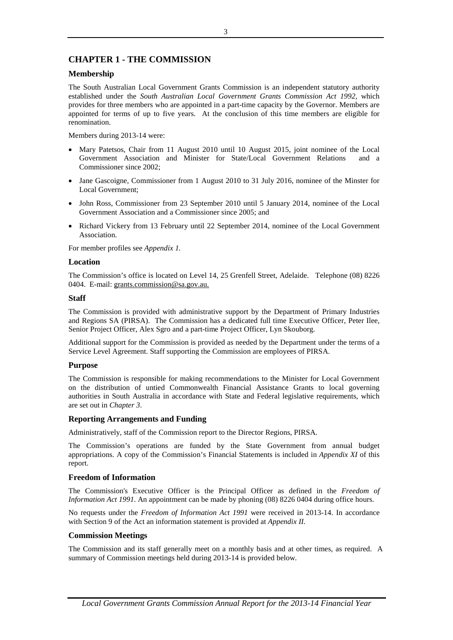# **CHAPTER 1 - THE COMMISSION**

## **Membership**

The South Australian Local Government Grants Commission is an independent statutory authority established under the *South Australian Local Government Grants Commission Act 1992*, which provides for three members who are appointed in a part-time capacity by the Governor. Members are appointed for terms of up to five years. At the conclusion of this time members are eligible for renomination.

Members during 2013-14 were:

- Mary Patetsos, Chair from 11 August 2010 until 10 August 2015, joint nominee of the Local Government Association and Minister for State/Local Government Relations and a Commissioner since 2002;
- Jane Gascoigne, Commissioner from 1 August 2010 to 31 July 2016, nominee of the Minster for Local Government;
- John Ross, Commissioner from 23 September 2010 until 5 January 2014, nominee of the Local Government Association and a Commissioner since 2005; and
- Richard Vickery from 13 February until 22 September 2014, nominee of the Local Government Association.

For member profiles see *Appendix 1.*

## **Location**

The Commission's office is located on Level 14, 25 Grenfell Street, Adelaide. Telephone (08) 8226 0404. E-mail: grants.commission@sa.gov.au.

### **Staff**

The Commission is provided with administrative support by the Department of Primary Industries and Regions SA (PIRSA). The Commission has a dedicated full time Executive Officer, Peter Ilee, Senior Project Officer, Alex Sgro and a part-time Project Officer, Lyn Skouborg.

Additional support for the Commission is provided as needed by the Department under the terms of a Service Level Agreement. Staff supporting the Commission are employees of PIRSA.

### **Purpose**

The Commission is responsible for making recommendations to the Minister for Local Government on the distribution of untied Commonwealth Financial Assistance Grants to local governing authorities in South Australia in accordance with State and Federal legislative requirements, which are set out in *Chapter 3*.

### **Reporting Arrangements and Funding**

Administratively, staff of the Commission report to the Director Regions, PIRSA.

The Commission's operations are funded by the State Government from annual budget appropriations. A copy of the Commission's Financial Statements is included in *Appendix XI* of this report.

# **Freedom of Information**

The Commission's Executive Officer is the Principal Officer as defined in the *Freedom of Information Act 1991*. An appointment can be made by phoning (08) 8226 0404 during office hours.

No requests under the *Freedom of Information Act 1991* were received in 2013-14. In accordance with Section 9 of the Act an information statement is provided at *Appendix II.*

### **Commission Meetings**

The Commission and its staff generally meet on a monthly basis and at other times, as required. A summary of Commission meetings held during 2013-14 is provided below.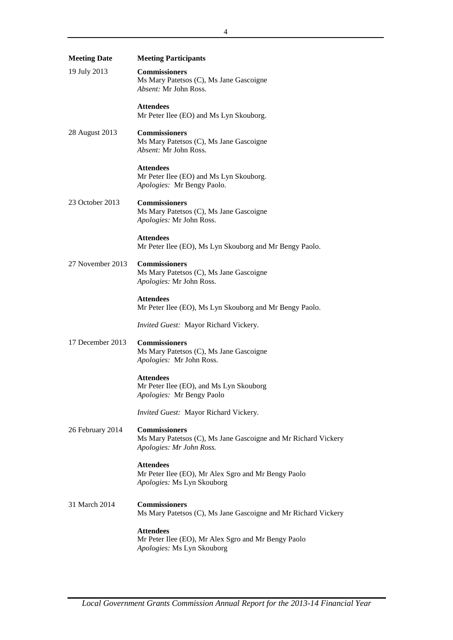| <b>Meeting Date</b> | <b>Meeting Participants</b>                                                                                        |
|---------------------|--------------------------------------------------------------------------------------------------------------------|
| 19 July 2013        | <b>Commissioners</b><br>Ms Mary Patetsos (C), Ms Jane Gascoigne<br><i>Absent:</i> Mr John Ross.                    |
|                     | Attendees<br>Mr Peter Ilee (EO) and Ms Lyn Skouborg.                                                               |
| 28 August 2013      | <b>Commissioners</b><br>Ms Mary Patetsos (C), Ms Jane Gascoigne<br><i>Absent:</i> Mr John Ross.                    |
|                     | <b>Attendees</b><br>Mr Peter Ilee (EO) and Ms Lyn Skouborg.<br>Apologies: Mr Bengy Paolo.                          |
| 23 October 2013     | <b>Commissioners</b><br>Ms Mary Patetsos (C), Ms Jane Gascoigne<br>Apologies: Mr John Ross.                        |
|                     | <b>Attendees</b><br>Mr Peter Ilee (EO), Ms Lyn Skouborg and Mr Bengy Paolo.                                        |
| 27 November 2013    | <b>Commissioners</b><br>Ms Mary Patetsos (C), Ms Jane Gascoigne<br>Apologies: Mr John Ross.                        |
|                     | <b>Attendees</b><br>Mr Peter Ilee (EO), Ms Lyn Skouborg and Mr Bengy Paolo.                                        |
|                     | Invited Guest: Mayor Richard Vickery.                                                                              |
| 17 December 2013    | <b>Commissioners</b><br>Ms Mary Patetsos (C), Ms Jane Gascoigne<br>Apologies: Mr John Ross.                        |
|                     | <b>Attendees</b><br>Mr Peter Ilee (EO), and Ms Lyn Skouborg<br>Apologies: Mr Bengy Paolo                           |
|                     | Invited Guest: Mayor Richard Vickery.                                                                              |
| 26 February 2014    | <b>Commissioners</b><br>Ms Mary Patetsos (C), Ms Jane Gascoigne and Mr Richard Vickery<br>Apologies: Mr John Ross. |
|                     | <b>Attendees</b><br>Mr Peter Ilee (EO), Mr Alex Sgro and Mr Bengy Paolo<br>Apologies: Ms Lyn Skouborg              |
| 31 March 2014       | <b>Commissioners</b><br>Ms Mary Patetsos (C), Ms Jane Gascoigne and Mr Richard Vickery                             |
|                     | Attendees<br>Mr Peter Ilee (EO), Mr Alex Sgro and Mr Bengy Paolo<br>Apologies: Ms Lyn Skouborg                     |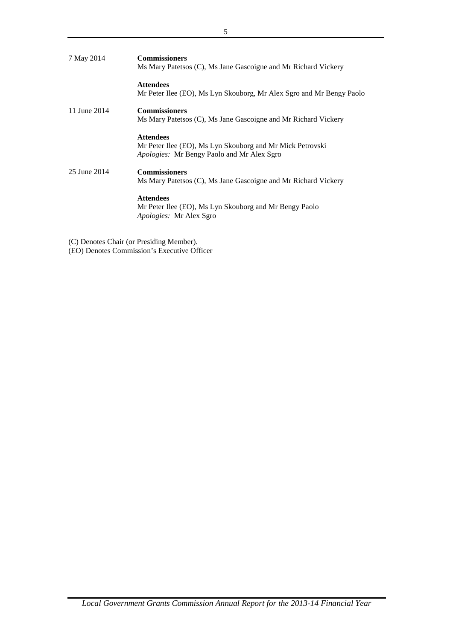| 7 May 2014   | <b>Commissioners</b><br>Ms Mary Patetsos (C), Ms Jane Gascoigne and Mr Richard Vickery                                             |
|--------------|------------------------------------------------------------------------------------------------------------------------------------|
|              | <b>Attendees</b><br>Mr Peter Ilee (EO), Ms Lyn Skouborg, Mr Alex Sgro and Mr Bengy Paolo                                           |
| 11 June 2014 | <b>Commissioners</b><br>Ms Mary Patetsos (C), Ms Jane Gascoigne and Mr Richard Vickery                                             |
|              | <b>Attendees</b><br>Mr Peter Ilee (EO), Ms Lyn Skouborg and Mr Mick Petrovski<br><i>Apologies:</i> Mr Bengy Paolo and Mr Alex Sgro |
| 25 June 2014 | <b>Commissioners</b><br>Ms Mary Patetsos (C), Ms Jane Gascoigne and Mr Richard Vickery                                             |
|              | <b>Attendees</b><br>Mr Peter Ilee (EO), Ms Lyn Skouborg and Mr Bengy Paolo<br>Apologies: Mr Alex Sgro                              |

(C) Denotes Chair (or Presiding Member). (EO) Denotes Commission's Executive Officer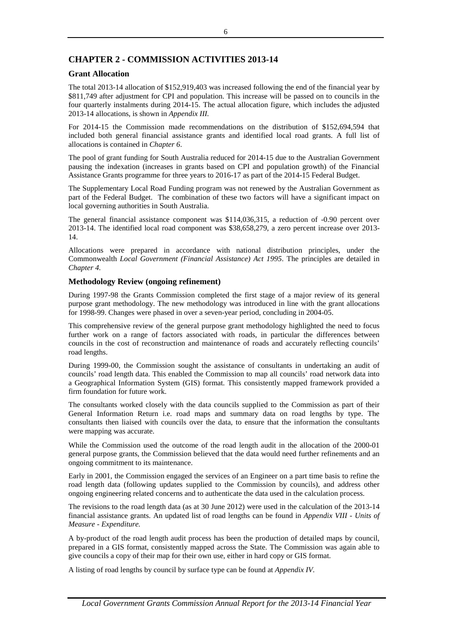# **CHAPTER 2 - COMMISSION ACTIVITIES 2013-14**

### **Grant Allocation**

The total 2013-14 allocation of \$152,919,403 was increased following the end of the financial year by \$811,749 after adjustment for CPI and population. This increase will be passed on to councils in the four quarterly instalments during 2014-15. The actual allocation figure, which includes the adjusted 2013-14 allocations, is shown in *Appendix III.*

For 2014-15 the Commission made recommendations on the distribution of \$152,694,594 that included both general financial assistance grants and identified local road grants. A full list of allocations is contained in *Chapter 6*.

The pool of grant funding for South Australia reduced for 2014-15 due to the Australian Government pausing the indexation (increases in grants based on CPI and population growth) of the Financial Assistance Grants programme for three years to 2016-17 as part of the 2014-15 Federal Budget.

The Supplementary Local Road Funding program was not renewed by the Australian Government as part of the Federal Budget. The combination of these two factors will have a significant impact on local governing authorities in South Australia.

The general financial assistance component was \$114,036,315, a reduction of -0.90 percent over 2013-14. The identified local road component was \$38,658,279, a zero percent increase over 2013- 14.

Allocations were prepared in accordance with national distribution principles, under the Commonwealth *Local Government (Financial Assistance) Act 1995*. The principles are detailed in *Chapter 4.*

## **Methodology Review (ongoing refinement)**

During 1997-98 the Grants Commission completed the first stage of a major review of its general purpose grant methodology. The new methodology was introduced in line with the grant allocations for 1998-99. Changes were phased in over a seven-year period, concluding in 2004-05.

This comprehensive review of the general purpose grant methodology highlighted the need to focus further work on a range of factors associated with roads, in particular the differences between councils in the cost of reconstruction and maintenance of roads and accurately reflecting councils' road lengths.

During 1999-00, the Commission sought the assistance of consultants in undertaking an audit of councils' road length data. This enabled the Commission to map all councils' road network data into a Geographical Information System (GIS) format. This consistently mapped framework provided a firm foundation for future work.

The consultants worked closely with the data councils supplied to the Commission as part of their General Information Return i.e. road maps and summary data on road lengths by type. The consultants then liaised with councils over the data, to ensure that the information the consultants were mapping was accurate.

While the Commission used the outcome of the road length audit in the allocation of the 2000-01 general purpose grants, the Commission believed that the data would need further refinements and an ongoing commitment to its maintenance.

Early in 2001, the Commission engaged the services of an Engineer on a part time basis to refine the road length data (following updates supplied to the Commission by councils), and address other ongoing engineering related concerns and to authenticate the data used in the calculation process.

The revisions to the road length data (as at 30 June 2012) were used in the calculation of the 2013-14 financial assistance grants. An updated list of road lengths can be found in *Appendix VIII - Units of Measure - Expenditure.*

A by-product of the road length audit process has been the production of detailed maps by council, prepared in a GIS format, consistently mapped across the State. The Commission was again able to give councils a copy of their map for their own use, either in hard copy or GIS format.

A listing of road lengths by council by surface type can be found at *Appendix IV.*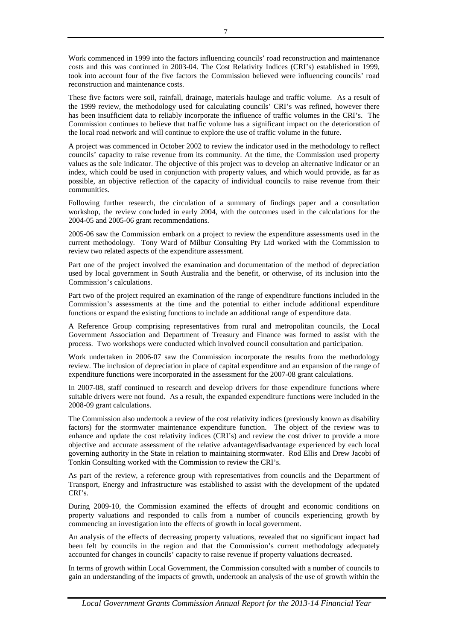Work commenced in 1999 into the factors influencing councils' road reconstruction and maintenance costs and this was continued in 2003-04. The Cost Relativity Indices (CRI's) established in 1999, took into account four of the five factors the Commission believed were influencing councils' road reconstruction and maintenance costs.

These five factors were soil, rainfall, drainage, materials haulage and traffic volume. As a result of the 1999 review, the methodology used for calculating councils' CRI's was refined, however there has been insufficient data to reliably incorporate the influence of traffic volumes in the CRI's. The Commission continues to believe that traffic volume has a significant impact on the deterioration of the local road network and will continue to explore the use of traffic volume in the future.

A project was commenced in October 2002 to review the indicator used in the methodology to reflect councils' capacity to raise revenue from its community. At the time, the Commission used property values as the sole indicator. The objective of this project was to develop an alternative indicator or an index, which could be used in conjunction with property values, and which would provide, as far as possible, an objective reflection of the capacity of individual councils to raise revenue from their communities.

Following further research, the circulation of a summary of findings paper and a consultation workshop, the review concluded in early 2004, with the outcomes used in the calculations for the 2004-05 and 2005-06 grant recommendations.

2005-06 saw the Commission embark on a project to review the expenditure assessments used in the current methodology. Tony Ward of Milbur Consulting Pty Ltd worked with the Commission to review two related aspects of the expenditure assessment.

Part one of the project involved the examination and documentation of the method of depreciation used by local government in South Australia and the benefit, or otherwise, of its inclusion into the Commission's calculations.

Part two of the project required an examination of the range of expenditure functions included in the Commission's assessments at the time and the potential to either include additional expenditure functions or expand the existing functions to include an additional range of expenditure data.

A Reference Group comprising representatives from rural and metropolitan councils, the Local Government Association and Department of Treasury and Finance was formed to assist with the process. Two workshops were conducted which involved council consultation and participation.

Work undertaken in 2006-07 saw the Commission incorporate the results from the methodology review. The inclusion of depreciation in place of capital expenditure and an expansion of the range of expenditure functions were incorporated in the assessment for the 2007-08 grant calculations.

In 2007-08, staff continued to research and develop drivers for those expenditure functions where suitable drivers were not found. As a result, the expanded expenditure functions were included in the 2008-09 grant calculations.

The Commission also undertook a review of the cost relativity indices (previously known as disability factors) for the stormwater maintenance expenditure function. The object of the review was to enhance and update the cost relativity indices (CRI's) and review the cost driver to provide a more objective and accurate assessment of the relative advantage/disadvantage experienced by each local governing authority in the State in relation to maintaining stormwater. Rod Ellis and Drew Jacobi of Tonkin Consulting worked with the Commission to review the CRI's.

As part of the review, a reference group with representatives from councils and the Department of Transport, Energy and Infrastructure was established to assist with the development of the updated CRI's.

During 2009-10, the Commission examined the effects of drought and economic conditions on property valuations and responded to calls from a number of councils experiencing growth by commencing an investigation into the effects of growth in local government.

An analysis of the effects of decreasing property valuations, revealed that no significant impact had been felt by councils in the region and that the Commission's current methodology adequately accounted for changes in councils' capacity to raise revenue if property valuations decreased.

In terms of growth within Local Government, the Commission consulted with a number of councils to gain an understanding of the impacts of growth, undertook an analysis of the use of growth within the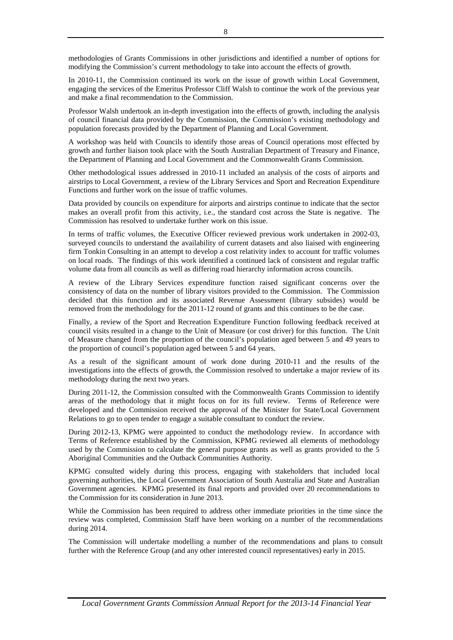methodologies of Grants Commissions in other jurisdictions and identified a number of options for modifying the Commission's current methodology to take into account the effects of growth.

In 2010-11, the Commission continued its work on the issue of growth within Local Government, engaging the services of the Emeritus Professor Cliff Walsh to continue the work of the previous year and make a final recommendation to the Commission.

Professor Walsh undertook an in-depth investigation into the effects of growth, including the analysis of council financial data provided by the Commission, the Commission's existing methodology and population forecasts provided by the Department of Planning and Local Government.

A workshop was held with Councils to identify those areas of Council operations most effected by growth and further liaison took place with the South Australian Department of Treasury and Finance, the Department of Planning and Local Government and the Commonwealth Grants Commission.

Other methodological issues addressed in 2010-11 included an analysis of the costs of airports and airstrips to Local Government, a review of the Library Services and Sport and Recreation Expenditure Functions and further work on the issue of traffic volumes.

Data provided by councils on expenditure for airports and airstrips continue to indicate that the sector makes an overall profit from this activity, i.e., the standard cost across the State is negative. The Commission has resolved to undertake further work on this issue.

In terms of traffic volumes, the Executive Officer reviewed previous work undertaken in 2002-03, surveyed councils to understand the availability of current datasets and also liaised with engineering firm Tonkin Consulting in an attempt to develop a cost relativity index to account for traffic volumes on local roads. The findings of this work identified a continued lack of consistent and regular traffic volume data from all councils as well as differing road hierarchy information across councils.

A review of the Library Services expenditure function raised significant concerns over the consistency of data on the number of library visitors provided to the Commission. The Commission decided that this function and its associated Revenue Assessment (library subsides) would be removed from the methodology for the 2011-12 round of grants and this continues to be the case.

Finally, a review of the Sport and Recreation Expenditure Function following feedback received at council visits resulted in a change to the Unit of Measure (or cost driver) for this function. The Unit of Measure changed from the proportion of the council's population aged between 5 and 49 years to the proportion of council's population aged between 5 and 64 years.

As a result of the significant amount of work done during 2010-11 and the results of the investigations into the effects of growth, the Commission resolved to undertake a major review of its methodology during the next two years.

During 2011-12, the Commission consulted with the Commonwealth Grants Commission to identify areas of the methodology that it might focus on for its full review. Terms of Reference were developed and the Commission received the approval of the Minister for State/Local Government Relations to go to open tender to engage a suitable consultant to conduct the review.

During 2012-13, KPMG were appointed to conduct the methodology review. In accordance with Terms of Reference established by the Commission, KPMG reviewed all elements of methodology used by the Commission to calculate the general purpose grants as well as grants provided to the 5 Aboriginal Communities and the Outback Communities Authority.

KPMG consulted widely during this process, engaging with stakeholders that included local governing authorities, the Local Government Association of South Australia and State and Australian Government agencies. KPMG presented its final reports and provided over 20 recommendations to the Commission for its consideration in June 2013.

While the Commission has been required to address other immediate priorities in the time since the review was completed, Commission Staff have been working on a number of the recommendations during 2014.

The Commission will undertake modelling a number of the recommendations and plans to consult further with the Reference Group (and any other interested council representatives) early in 2015.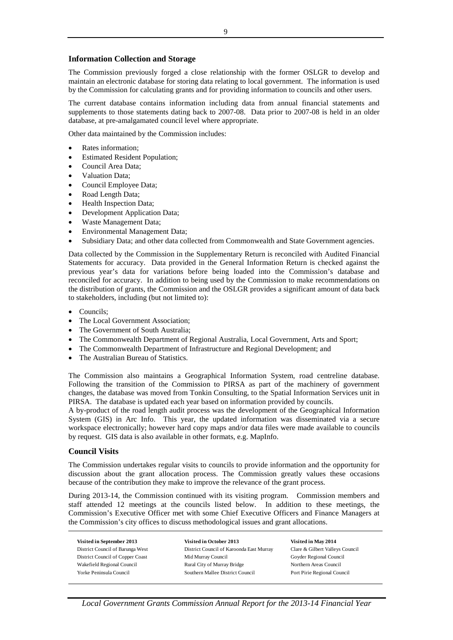### **Information Collection and Storage**

The Commission previously forged a close relationship with the former OSLGR to develop and maintain an electronic database for storing data relating to local government. The information is used by the Commission for calculating grants and for providing information to councils and other users.

The current database contains information including data from annual financial statements and supplements to those statements dating back to 2007-08. Data prior to 2007-08 is held in an older database, at pre-amalgamated council level where appropriate.

Other data maintained by the Commission includes:

- Rates information;
- Estimated Resident Population;
- Council Area Data;
- Valuation Data;
- Council Employee Data;
- Road Length Data;
- Health Inspection Data;
- Development Application Data;
- Waste Management Data;
- Environmental Management Data;
- Subsidiary Data; and other data collected from Commonwealth and State Government agencies.

Data collected by the Commission in the Supplementary Return is reconciled with Audited Financial Statements for accuracy. Data provided in the General Information Return is checked against the previous year's data for variations before being loaded into the Commission's database and reconciled for accuracy. In addition to being used by the Commission to make recommendations on the distribution of grants, the Commission and the OSLGR provides a significant amount of data back to stakeholders, including (but not limited to):

- Councils;
- The Local Government Association;
- The Government of South Australia;
- The Commonwealth Department of Regional Australia, Local Government, Arts and Sport;
- The Commonwealth Department of Infrastructure and Regional Development; and
- The Australian Bureau of Statistics.

The Commission also maintains a Geographical Information System, road centreline database. Following the transition of the Commission to PIRSA as part of the machinery of government changes, the database was moved from Tonkin Consulting, to the Spatial Information Services unit in PIRSA. The database is updated each year based on information provided by councils.

A by-product of the road length audit process was the development of the Geographical Information System (GIS) in Arc Info. This year, the updated information was disseminated via a secure workspace electronically; however hard copy maps and/or data files were made available to councils by request. GIS data is also available in other formats, e.g. MapInfo.

### **Council Visits**

The Commission undertakes regular visits to councils to provide information and the opportunity for discussion about the grant allocation process. The Commission greatly values these occasions because of the contribution they make to improve the relevance of the grant process.

During 2013-14, the Commission continued with its visiting program. Commission members and staff attended 12 meetings at the councils listed below. In addition to these meetings, the Commission's Executive Officer met with some Chief Executive Officers and Finance Managers at the Commission's city offices to discuss methodological issues and grant allocations.

**Visited in September 2013 Visited in October 2013 Visited in May 2014** District Council of Barunga West District Council of Karoonda East Murray Clare & Gilbert Valleys Council District Council of Copper Coast Mid Murray Council Goyder Regional Council Wakefield Regional Council **Rural City of Murray Bridge Northern Areas Council** Rural City of Murray Bridge Northern Areas Council Yorke Peninsula Council Southern Mallee District Council Port Pirie Regional Council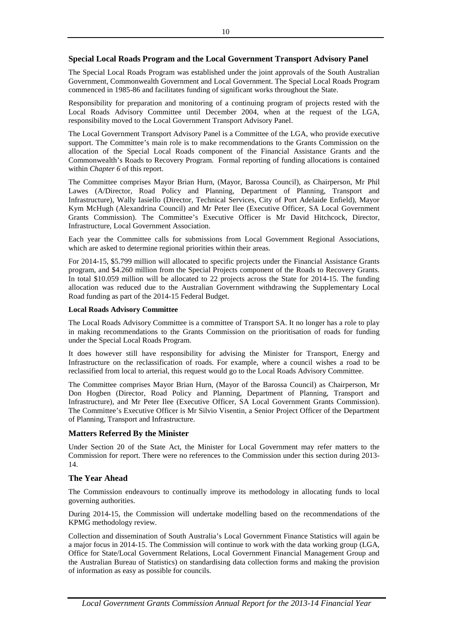### **Special Local Roads Program and the Local Government Transport Advisory Panel**

The Special Local Roads Program was established under the joint approvals of the South Australian Government, Commonwealth Government and Local Government. The Special Local Roads Program commenced in 1985-86 and facilitates funding of significant works throughout the State.

Responsibility for preparation and monitoring of a continuing program of projects rested with the Local Roads Advisory Committee until December 2004, when at the request of the LGA, responsibility moved to the Local Government Transport Advisory Panel.

The Local Government Transport Advisory Panel is a Committee of the LGA, who provide executive support. The Committee's main role is to make recommendations to the Grants Commission on the allocation of the Special Local Roads component of the Financial Assistance Grants and the Commonwealth's Roads to Recovery Program. Formal reporting of funding allocations is contained within *Chapter 6* of this report.

The Committee comprises Mayor Brian Hurn, (Mayor, Barossa Council), as Chairperson, Mr Phil Lawes (A/Director, Road Policy and Planning, Department of Planning, Transport and Infrastructure), Wally Iasiello (Director, Technical Services, City of Port Adelaide Enfield), Mayor Kym McHugh (Alexandrina Council) and Mr Peter Ilee (Executive Officer, SA Local Government Grants Commission). The Committee's Executive Officer is Mr David Hitchcock, Director, Infrastructure, Local Government Association.

Each year the Committee calls for submissions from Local Government Regional Associations, which are asked to determine regional priorities within their areas.

For 2014-15, \$5.799 million will allocated to specific projects under the Financial Assistance Grants program, and \$4.260 million from the Special Projects component of the Roads to Recovery Grants. In total \$10.059 million will be allocated to 22 projects across the State for 2014-15. The funding allocation was reduced due to the Australian Government withdrawing the Supplementary Local Road funding as part of the 2014-15 Federal Budget.

### **Local Roads Advisory Committee**

The Local Roads Advisory Committee is a committee of Transport SA. It no longer has a role to play in making recommendations to the Grants Commission on the prioritisation of roads for funding under the Special Local Roads Program.

It does however still have responsibility for advising the Minister for Transport, Energy and Infrastructure on the reclassification of roads. For example, where a council wishes a road to be reclassified from local to arterial, this request would go to the Local Roads Advisory Committee.

The Committee comprises Mayor Brian Hurn, (Mayor of the Barossa Council) as Chairperson, Mr Don Hogben (Director, Road Policy and Planning, Department of Planning, Transport and Infrastructure), and Mr Peter Ilee (Executive Officer, SA Local Government Grants Commission). The Committee's Executive Officer is Mr Silvio Visentin, a Senior Project Officer of the Department of Planning, Transport and Infrastructure.

### **Matters Referred By the Minister**

Under Section 20 of the State Act, the Minister for Local Government may refer matters to the Commission for report. There were no references to the Commission under this section during 2013- 14.

### **The Year Ahead**

The Commission endeavours to continually improve its methodology in allocating funds to local governing authorities.

During 2014-15, the Commission will undertake modelling based on the recommendations of the KPMG methodology review.

Collection and dissemination of South Australia's Local Government Finance Statistics will again be a major focus in 2014-15. The Commission will continue to work with the data working group (LGA, Office for State/Local Government Relations, Local Government Financial Management Group and the Australian Bureau of Statistics) on standardising data collection forms and making the provision of information as easy as possible for councils.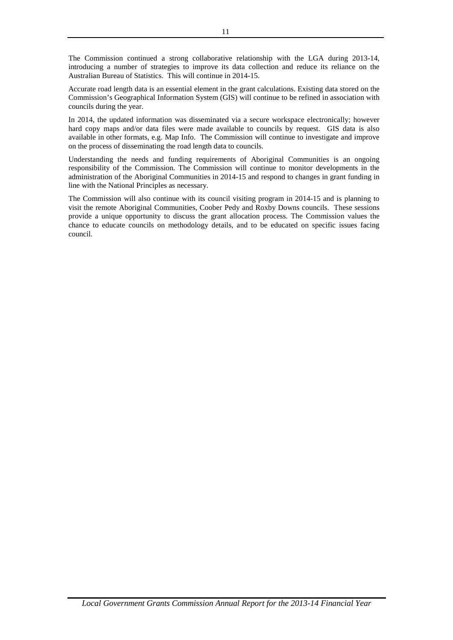The Commission continued a strong collaborative relationship with the LGA during 2013-14, introducing a number of strategies to improve its data collection and reduce its reliance on the Australian Bureau of Statistics. This will continue in 2014-15.

Accurate road length data is an essential element in the grant calculations. Existing data stored on the Commission's Geographical Information System (GIS) will continue to be refined in association with councils during the year.

In 2014, the updated information was disseminated via a secure workspace electronically; however hard copy maps and/or data files were made available to councils by request. GIS data is also available in other formats, e.g. Map Info. The Commission will continue to investigate and improve on the process of disseminating the road length data to councils.

Understanding the needs and funding requirements of Aboriginal Communities is an ongoing responsibility of the Commission. The Commission will continue to monitor developments in the administration of the Aboriginal Communities in 2014-15 and respond to changes in grant funding in line with the National Principles as necessary.

The Commission will also continue with its council visiting program in 2014-15 and is planning to visit the remote Aboriginal Communities, Coober Pedy and Roxby Downs councils. These sessions provide a unique opportunity to discuss the grant allocation process. The Commission values the chance to educate councils on methodology details, and to be educated on specific issues facing council.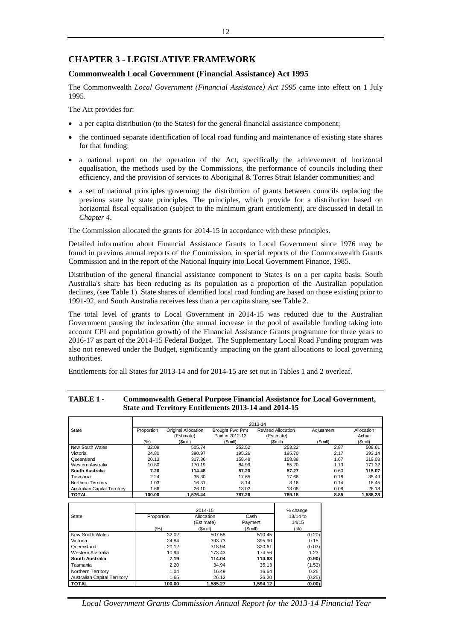# **CHAPTER 3 - LEGISLATIVE FRAMEWORK**

### **Commonwealth Local Government (Financial Assistance) Act 1995**

The Commonwealth *Local Government (Financial Assistance) Act 1995* came into effect on 1 July 1995.

The Act provides for:

- a per capita distribution (to the States) for the general financial assistance component;
- the continued separate identification of local road funding and maintenance of existing state shares for that funding;
- a national report on the operation of the Act, specifically the achievement of horizontal equalisation, the methods used by the Commissions, the performance of councils including their efficiency, and the provision of services to Aboriginal & Torres Strait Islander communities; and
- a set of national principles governing the distribution of grants between councils replacing the previous state by state principles. The principles, which provide for a distribution based on horizontal fiscal equalisation (subject to the minimum grant entitlement), are discussed in detail in *Chapter 4*.

The Commission allocated the grants for 2014-15 in accordance with these principles.

Detailed information about Financial Assistance Grants to Local Government since 1976 may be found in previous annual reports of the Commission, in special reports of the Commonwealth Grants Commission and in the report of the National Inquiry into Local Government Finance, 1985.

Distribution of the general financial assistance component to States is on a per capita basis. South Australia's share has been reducing as its population as a proportion of the Australian population declines, (see Table 1). State shares of identified local road funding are based on those existing prior to 1991-92, and South Australia receives less than a per capita share, see Table 2.

The total level of grants to Local Government in 2014-15 was reduced due to the Australian Government pausing the indexation (the annual increase in the pool of available funding taking into account CPI and population growth) of the Financial Assistance Grants programme for three years to 2016-17 as part of the 2014-15 Federal Budget. The Supplementary Local Road Funding program was also not renewed under the Budget, significantly impacting on the grant allocations to local governing authorities.

Entitlements for all States for 2013-14 and for 2014-15 are set out in Tables 1 and 2 overleaf.

|                                     |            |                            |                 | 2013-14                   |            |            |
|-------------------------------------|------------|----------------------------|-----------------|---------------------------|------------|------------|
| State                               | Proportion | <b>Original Allocation</b> | Brought Fwd Pmt | <b>Revised Allocation</b> | Adjustment | Allocation |
|                                     |            | (Estimate)                 | Paid in 2012-13 | (Estimate)                |            | Actual     |
|                                     | (%)        | (\$mill)                   | (Smill)         | (Smill)                   | (Smill)    | (Smill)    |
| New South Wales                     | 32.09      | 505.74                     | 252.52          | 253.22                    | 2.87       | 508.61     |
| Victoria                            | 24.80      | 390.97                     | 195.26          | 195.70                    | 2.17       | 393.14     |
| Queensland                          | 20.13      | 317.36                     | 158.48          | 158.88                    | 1.67       | 319.03     |
| Western Australia                   | 10.80      | 170.19                     | 84.99           | 85.20                     | 1.13       | 171.32     |
| South Australia                     | 7.26       | 114.48                     | 57.20           | 57.27                     | 0.60       | 115.07     |
| Tasmania                            | 2.24       | 35.30                      | 17.65           | 17.66                     | 0.18       | 35.49      |
| Northern Territory                  | 1.03       | 16.31                      | 8.14            | 8.16                      | 0.14       | 16.45      |
| <b>Australian Capital Territory</b> | 1.66       | 26.10                      | 13.02           | 13.08                     | 0.08       | 26.18      |
| <b>TOTAL</b>                        | 100.00     | 1.576.44                   | 787.26          | 789.18                    | 8.85       | 1.585.28   |

### **TABLE 1 - Commonwealth General Purpose Financial Assistance for Local Government, State and Territory Entitlements 2013-14 and 2014-15**

|                                     |            | 2014-15    |          | % change |
|-------------------------------------|------------|------------|----------|----------|
| State                               | Proportion | Allocation | Cash     | 13/14 to |
|                                     |            | (Estimate) | Payment  | 14/15    |
|                                     | $(\% )$    | (Smill)    | (Smill)  | $(\% )$  |
| New South Wales                     | 32.02      | 507.58     | 510.45   | (0.20)   |
| Victoria                            | 24.84      | 393.73     | 395.90   | 0.15     |
| Queensland                          | 20.12      | 318.94     | 320.61   | (0.03)   |
| Western Australia                   | 10.94      | 173.43     | 174.56   | 1.23     |
| South Australia                     | 7.19       | 114.04     | 114.63   | (0.90)   |
| Tasmania                            | 2.20       | 34.94      | 35.13    | (1.53)   |
| Northern Territory                  | 1.04       | 16.49      | 16.64    | 0.26     |
| <b>Australian Capital Territory</b> | 1.65       | 26.12      | 26.20    | (0.25)   |
| <b>TOTAL</b>                        | 100.00     | 1.585.27   | 1.594.12 | (0.00)   |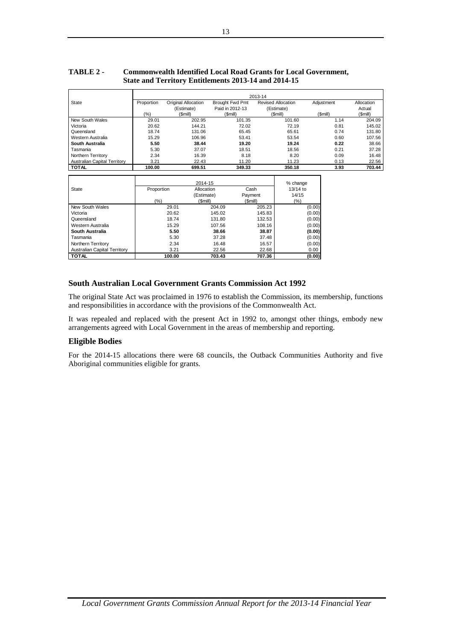|                                     |            |                     |                 | 2013-14                   |            |            |
|-------------------------------------|------------|---------------------|-----------------|---------------------------|------------|------------|
| <b>State</b>                        | Proportion | Original Allocation | Brought Fwd Pmt | <b>Revised Allocation</b> | Adjustment | Allocation |
|                                     |            | (Estimate)          | Paid in 2012-13 | (Estimate)                |            | Actual     |
|                                     | (%)        | (\$mill)            | (Smill)         | (Smill)                   | (Smill)    | (Smill)    |
| New South Wales                     | 29.01      | 202.95              | 101.35          | 101.60                    | 1.14       | 204.09     |
| Victoria                            | 20.62      | 144.21              | 72.02           | 72.19                     | 0.81       | 145.02     |
| Queensland                          | 18.74      | 131.06              | 65.45           | 65.61                     | 0.74       | 131.80     |
| Western Australia                   | 15.29      | 106.96              | 53.41           | 53.54                     | 0.60       | 107.56     |
| <b>South Australia</b>              | 5.50       | 38.44               | 19.20           | 19.24                     | 0.22       | 38.66      |
| Tasmania                            | 5.30       | 37.07               | 18.51           | 18.56                     | 0.21       | 37.28      |
| Northern Territory                  | 2.34       | 16.39               | 8.18            | 8.20                      | 0.09       | 16.48      |
| <b>Australian Capital Territory</b> | 3.21       | 22.43               | 11.20           | 11.23                     | 0.13       | 22.56      |
| <b>TOTAL</b>                        | 100.00     | 699.51              | 349.33          | 350.18                    | 3.93       | 703.44     |

# **TABLE 2 - Commonwealth Identified Local Road Grants for Local Government, State and Territory Entitlements 2013-14 and 2014-15**

|                                     |            | 2014-15    |         | % change   |
|-------------------------------------|------------|------------|---------|------------|
| State                               | Proportion | Allocation | Cash    | $13/14$ to |
|                                     |            | (Estimate) | Payment | 14/15      |
|                                     | (%)        | (\$mill)   | (Smill) | $(\% )$    |
| New South Wales                     | 29.01      | 204.09     | 205.23  | (0.00)     |
| Victoria                            | 20.62      | 145.02     | 145.83  | (0.00)     |
| Queensland                          | 18.74      | 131.80     | 132.53  | (0.00)     |
| Western Australia                   | 15.29      | 107.56     | 108.16  | (0.00)     |
| South Australia                     | 5.50       | 38.66      | 38.87   | (0.00)     |
| Tasmania                            | 5.30       | 37.28      | 37.48   | (0.00)     |
| Northern Territory                  | 2.34       | 16.48      | 16.57   | (0.00)     |
| <b>Australian Capital Territory</b> | 3.21       | 22.56      | 22.68   | 0.00       |
| <b>TOTAL</b>                        | 100.00     | 703.43     | 707.36  | (0.00)     |

## **South Australian Local Government Grants Commission Act 1992**

The original State Act was proclaimed in 1976 to establish the Commission, its membership, functions and responsibilities in accordance with the provisions of the Commonwealth Act.

It was repealed and replaced with the present Act in 1992 to, amongst other things, embody new arrangements agreed with Local Government in the areas of membership and reporting.

### **Eligible Bodies**

For the 2014-15 allocations there were 68 councils, the Outback Communities Authority and five Aboriginal communities eligible for grants*.*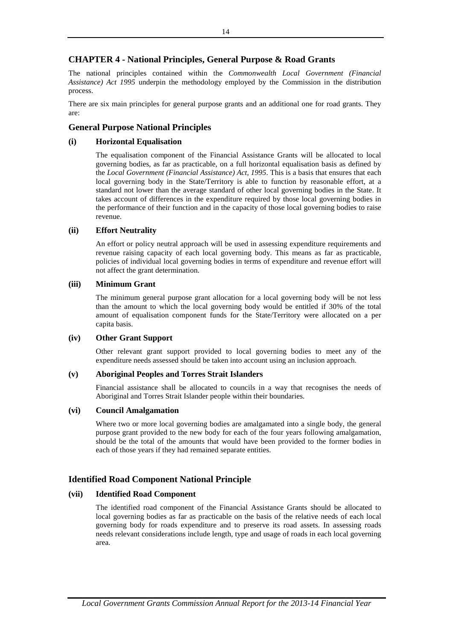# **CHAPTER 4 - National Principles, General Purpose & Road Grants**

The national principles contained within the *Commonwealth Local Government (Financial Assistance) Act 1995* underpin the methodology employed by the Commission in the distribution process.

There are six main principles for general purpose grants and an additional one for road grants. They are:

# **General Purpose National Principles**

# **(i) Horizontal Equalisation**

The equalisation component of the Financial Assistance Grants will be allocated to local governing bodies, as far as practicable, on a full horizontal equalisation basis as defined by the *Local Government (Financial Assistance) Act, 1995*. This is a basis that ensures that each local governing body in the State/Territory is able to function by reasonable effort, at a standard not lower than the average standard of other local governing bodies in the State. It takes account of differences in the expenditure required by those local governing bodies in the performance of their function and in the capacity of those local governing bodies to raise revenue.

## **(ii) Effort Neutrality**

An effort or policy neutral approach will be used in assessing expenditure requirements and revenue raising capacity of each local governing body. This means as far as practicable, policies of individual local governing bodies in terms of expenditure and revenue effort will not affect the grant determination.

## **(iii) Minimum Grant**

The minimum general purpose grant allocation for a local governing body will be not less than the amount to which the local governing body would be entitled if 30% of the total amount of equalisation component funds for the State/Territory were allocated on a per capita basis.

# **(iv) Other Grant Support**

Other relevant grant support provided to local governing bodies to meet any of the expenditure needs assessed should be taken into account using an inclusion approach.

### **(v) Aboriginal Peoples and Torres Strait Islanders**

Financial assistance shall be allocated to councils in a way that recognises the needs of Aboriginal and Torres Strait Islander people within their boundaries.

# **(vi) Council Amalgamation**

Where two or more local governing bodies are amalgamated into a single body, the general purpose grant provided to the new body for each of the four years following amalgamation, should be the total of the amounts that would have been provided to the former bodies in each of those years if they had remained separate entities.

# **Identified Road Component National Principle**

# **(vii) Identified Road Component**

The identified road component of the Financial Assistance Grants should be allocated to local governing bodies as far as practicable on the basis of the relative needs of each local governing body for roads expenditure and to preserve its road assets. In assessing roads needs relevant considerations include length, type and usage of roads in each local governing area.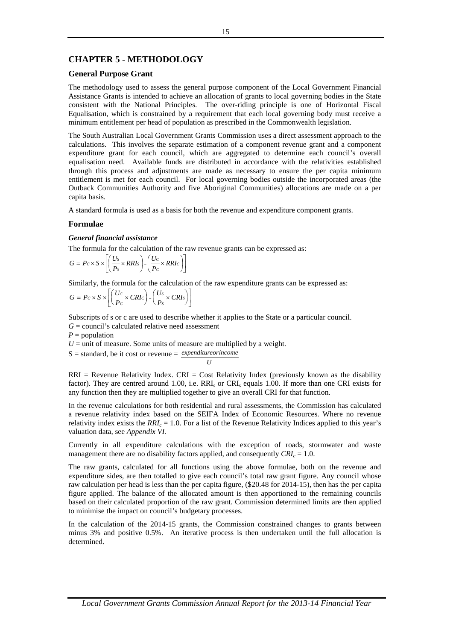# **CHAPTER 5 - METHODOLOGY**

### **General Purpose Grant**

The methodology used to assess the general purpose component of the Local Government Financial Assistance Grants is intended to achieve an allocation of grants to local governing bodies in the State consistent with the National Principles. The over-riding principle is one of Horizontal Fiscal Equalisation, which is constrained by a requirement that each local governing body must receive a minimum entitlement per head of population as prescribed in the Commonwealth legislation.

The South Australian Local Government Grants Commission uses a direct assessment approach to the calculations. This involves the separate estimation of a component revenue grant and a component expenditure grant for each council, which are aggregated to determine each council's overall equalisation need. Available funds are distributed in accordance with the relativities established through this process and adjustments are made as necessary to ensure the per capita minimum entitlement is met for each council. For local governing bodies outside the incorporated areas (the Outback Communities Authority and five Aboriginal Communities) allocations are made on a per capita basis.

A standard formula is used as a basis for both the revenue and expenditure component grants.

## **Formulae**

### *General financial assistance*

The formula for the calculation of the raw revenue grants can be expressed as:

$$
G = P c \times S \times \left[ \left( \frac{U_S}{P_S} \times RRIs \right) - \left( \frac{Uc}{P_C} \times RRIc \right) \right]
$$

Similarly, the formula for the calculation of the raw expenditure grants can be expressed as:

$$
G = Pc \times S \times \left[ \left( \frac{Uc}{P_c} \times CRIc \right) - \left( \frac{U_s}{P_s} \times CRI_s \right) \right]
$$

Subscripts of s or c are used to describe whether it applies to the State or a particular council.

 $G =$  council's calculated relative need assessment

 $P =$  population

 $U =$  unit of measure. Some units of measure are multiplied by a weight.

S = standard, be it cost or revenue = *expenditureorincome*  $U$ 

 $RRI =$  Revenue Relativity Index.  $CRI =$  Cost Relativity Index (previously known as the disability factor). They are centred around 1.00, i.e. RRI<sub>s</sub> or CRI<sub>s</sub> equals 1.00. If more than one CRI exists for any function then they are multiplied together to give an overall CRI for that function.

In the revenue calculations for both residential and rural assessments, the Commission has calculated a revenue relativity index based on the SEIFA Index of Economic Resources. Where no revenue relativity index exists the *RRIc* = 1.0. For a list of the Revenue Relativity Indices applied to this year's valuation data, see *Appendix VI.*

Currently in all expenditure calculations with the exception of roads, stormwater and waste management there are no disability factors applied, and consequently  $CRI_c = 1.0$ .

The raw grants, calculated for all functions using the above formulae, both on the revenue and expenditure sides, are then totalled to give each council's total raw grant figure. Any council whose raw calculation per head is less than the per capita figure, (\$20.48 for 2014-15), then has the per capita figure applied. The balance of the allocated amount is then apportioned to the remaining councils based on their calculated proportion of the raw grant. Commission determined limits are then applied to minimise the impact on council's budgetary processes.

In the calculation of the 2014-15 grants, the Commission constrained changes to grants between minus 3% and positive 0.5%. An iterative process is then undertaken until the full allocation is determined.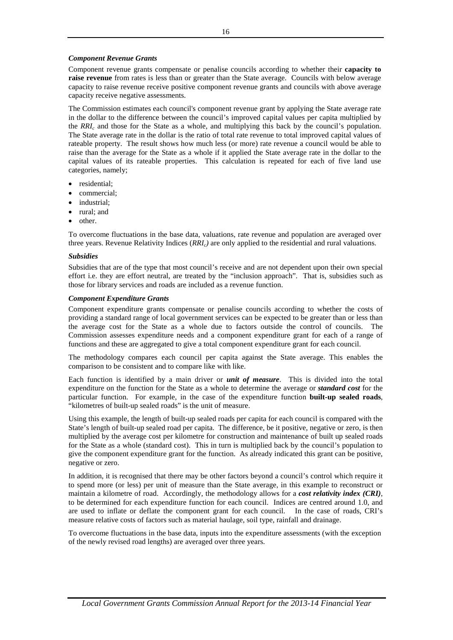### *Component Revenue Grants*

Component revenue grants compensate or penalise councils according to whether their **capacity to raise revenue** from rates is less than or greater than the State average. Councils with below average capacity to raise revenue receive positive component revenue grants and councils with above average capacity receive negative assessments.

The Commission estimates each council's component revenue grant by applying the State average rate in the dollar to the difference between the council's improved capital values per capita multiplied by the *RRIc* and those for the State as a whole, and multiplying this back by the council's population. The State average rate in the dollar is the ratio of total rate revenue to total improved capital values of rateable property. The result shows how much less (or more) rate revenue a council would be able to raise than the average for the State as a whole if it applied the State average rate in the dollar to the capital values of its rateable properties. This calculation is repeated for each of five land use categories, namely;

- residential;
- commercial;
- industrial;
- rural; and
- other.

To overcome fluctuations in the base data, valuations, rate revenue and population are averaged over three years. Revenue Relativity Indices (*RRIc)* are only applied to the residential and rural valuations.

### *Subsidies*

Subsidies that are of the type that most council's receive and are not dependent upon their own special effort i.e. they are effort neutral, are treated by the "inclusion approach". That is, subsidies such as those for library services and roads are included as a revenue function.

### *Component Expenditure Grants*

Component expenditure grants compensate or penalise councils according to whether the costs of providing a standard range of local government services can be expected to be greater than or less than the average cost for the State as a whole due to factors outside the control of councils. The Commission assesses expenditure needs and a component expenditure grant for each of a range of functions and these are aggregated to give a total component expenditure grant for each council.

The methodology compares each council per capita against the State average. This enables the comparison to be consistent and to compare like with like.

Each function is identified by a main driver or *unit of measure*. This is divided into the total expenditure on the function for the State as a whole to determine the average or *standard cost* for the particular function. For example, in the case of the expenditure function **built-up sealed roads**, "kilometres of built-up sealed roads" is the unit of measure.

Using this example, the length of built-up sealed roads per capita for each council is compared with the State's length of built-up sealed road per capita. The difference, be it positive, negative or zero, is then multiplied by the average cost per kilometre for construction and maintenance of built up sealed roads for the State as a whole (standard cost). This in turn is multiplied back by the council's population to give the component expenditure grant for the function. As already indicated this grant can be positive, negative or zero.

In addition, it is recognised that there may be other factors beyond a council's control which require it to spend more (or less) per unit of measure than the State average, in this example to reconstruct or maintain a kilometre of road. Accordingly, the methodology allows for a *cost relativity index (CRI)*, to be determined for each expenditure function for each council. Indices are centred around 1.0, and are used to inflate or deflate the component grant for each council. In the case of roads, CRI's measure relative costs of factors such as material haulage, soil type, rainfall and drainage.

To overcome fluctuations in the base data, inputs into the expenditure assessments (with the exception of the newly revised road lengths) are averaged over three years.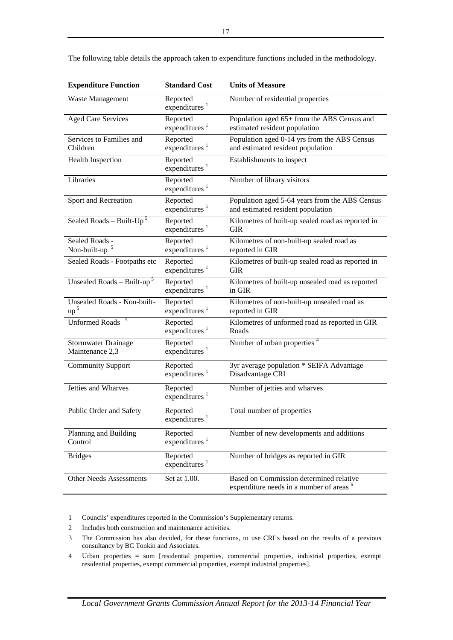| <b>Expenditure Function</b>                    | <b>Standard Cost</b>                  | <b>Units of Measure</b>                                                                        |
|------------------------------------------------|---------------------------------------|------------------------------------------------------------------------------------------------|
| Waste Management                               | Reported<br>expenditures <sup>1</sup> | Number of residential properties                                                               |
| <b>Aged Care Services</b>                      | Reported<br>expenditures <sup>1</sup> | Population aged 65+ from the ABS Census and<br>estimated resident population                   |
| Services to Families and<br>Children           | Reported<br>expenditures $1$          | Population aged 0-14 yrs from the ABS Census<br>and estimated resident population              |
| <b>Health Inspection</b>                       | Reported<br>expenditures <sup>1</sup> | Establishments to inspect                                                                      |
| Libraries                                      | Reported<br>expenditures <sup>1</sup> | Number of library visitors                                                                     |
| Sport and Recreation                           | Reported<br>expenditures $1$          | Population aged 5-64 years from the ABS Census<br>and estimated resident population            |
| Sealed Roads - Built- $Up^5$                   | Reported<br>expenditures $1$          | Kilometres of built-up sealed road as reported in<br><b>GIR</b>                                |
| Sealed Roads -<br>Non-built-up $5$             | Reported<br>expenditures $1$          | Kilometres of non-built-up sealed road as<br>reported in GIR                                   |
| Sealed Roads - Footpaths etc                   | Reported<br>expenditures $1$          | Kilometres of built-up sealed road as reported in<br><b>GIR</b>                                |
| Unsealed Roads - Built-up <sup>5</sup>         | Reported<br>expenditures <sup>1</sup> | Kilometres of built-up unsealed road as reported<br>in GIR                                     |
| Unsealed Roads - Non-built-<br>up <sup>5</sup> | Reported<br>expenditures $1$          | Kilometres of non-built-up unsealed road as<br>reported in GIR                                 |
| <b>Unformed Roads</b>                          | Reported<br>expenditures <sup>1</sup> | Kilometres of unformed road as reported in GIR<br>Roads                                        |
| Stormwater Drainage<br>Maintenance 2,3         | Reported<br>expenditures <sup>1</sup> | Number of urban properties <sup>4</sup>                                                        |
| <b>Community Support</b>                       | Reported<br>expenditures <sup>1</sup> | 3yr average population * SEIFA Advantage<br>Disadvantage CRI                                   |
| Jetties and Wharves                            | Reported<br>expenditures <sup>1</sup> | Number of jetties and wharves                                                                  |
| Public Order and Safety                        | Reported<br>expenditures <sup>1</sup> | Total number of properties                                                                     |
| Planning and Building<br>Control               | Reported<br>expenditures <sup>1</sup> | Number of new developments and additions                                                       |
| <b>Bridges</b>                                 | Reported<br>expenditures <sup>1</sup> | Number of bridges as reported in GIR                                                           |
| <b>Other Needs Assessments</b>                 | Set at 1.00.                          | Based on Commission determined relative<br>expenditure needs in a number of areas <sup>6</sup> |

The following table details the approach taken to expenditure functions included in the methodology.

1 Councils' expenditures reported in the Commission's Supplementary returns.

- 2 Includes both construction and maintenance activities.
- 3 The Commission has also decided, for these functions, to use CRI's based on the results of a previous consultancy by BC Tonkin and Associates.
- 4 Urban properties = sum [residential properties, commercial properties, industrial properties, exempt residential properties, exempt commercial properties, exempt industrial properties].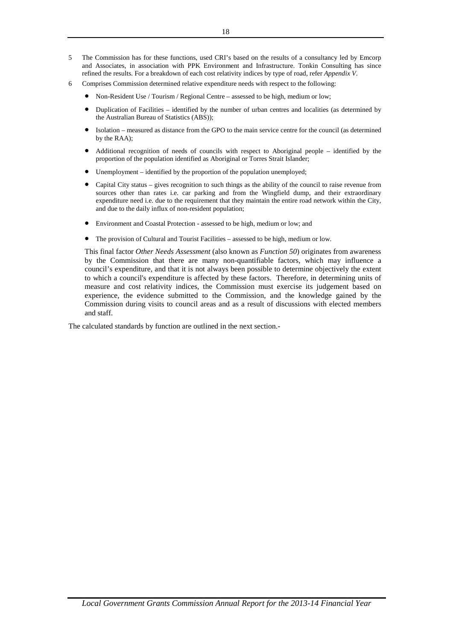- 5 The Commission has for these functions, used CRI's based on the results of a consultancy led by Emcorp and Associates, in association with PPK Environment and Infrastructure. Tonkin Consulting has since refined the results. For a breakdown of each cost relativity indices by type of road, refer *Appendix V*.
- 6 Comprises Commission determined relative expenditure needs with respect to the following:
	- Non-Resident Use / Tourism / Regional Centre assessed to be high, medium or low;
	- Duplication of Facilities identified by the number of urban centres and localities (as determined by the Australian Bureau of Statistics (ABS));
	- Isolation measured as distance from the GPO to the main service centre for the council (as determined by the RAA);
	- Additional recognition of needs of councils with respect to Aboriginal people identified by the proportion of the population identified as Aboriginal or Torres Strait Islander;
	- Unemployment identified by the proportion of the population unemployed;
	- Capital City status gives recognition to such things as the ability of the council to raise revenue from sources other than rates i.e. car parking and from the Wingfield dump, and their extraordinary expenditure need i.e. due to the requirement that they maintain the entire road network within the City, and due to the daily influx of non-resident population;
	- Environment and Coastal Protection assessed to be high, medium or low; and
	- The provision of Cultural and Tourist Facilities assessed to be high, medium or low.

This final factor *Other Needs Assessment* (also known as *Function 50*) originates from awareness by the Commission that there are many non-quantifiable factors, which may influence a council's expenditure, and that it is not always been possible to determine objectively the extent to which a council's expenditure is affected by these factors. Therefore, in determining units of measure and cost relativity indices, the Commission must exercise its judgement based on experience, the evidence submitted to the Commission, and the knowledge gained by the Commission during visits to council areas and as a result of discussions with elected members and staff.

The calculated standards by function are outlined in the next section.-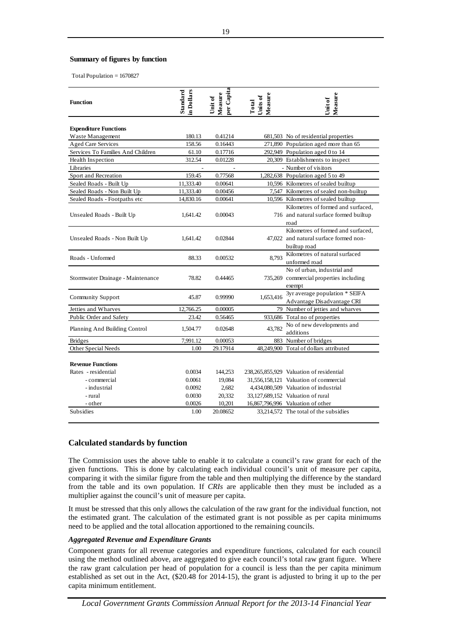### **Summary of figures by function**

Total Population = 1670827

| <b>Function</b>                   | in Dollars<br>Standard | per Capita<br>Measure<br>Unit of | Measure<br>Units of<br>Total | Measure<br><b>Unit of</b>                |
|-----------------------------------|------------------------|----------------------------------|------------------------------|------------------------------------------|
|                                   |                        |                                  |                              |                                          |
| <b>Expenditure Functions</b>      |                        |                                  |                              |                                          |
| Waste Management                  | 180.13                 | 0.41214                          |                              | 681,503 No of residential properties     |
| <b>Aged Care Services</b>         | 158.56                 | 0.16443                          |                              | 271,890 Population aged more than 65     |
| Services To Families And Children | 61.10                  | 0.17716                          |                              | 292,949 Population aged 0 to 14          |
| Health Inspection                 | 312.54                 | 0.01228                          |                              | 20,309 Establishments to inspect         |
| Libraries                         |                        | $\overline{a}$                   |                              | - Number of visitors                     |
| Sport and Recreation              | 159.45                 | 0.77568                          |                              | 1,282,638 Population aged 5 to 49        |
| Sealed Roads - Built Up           | 11,333.40              | 0.00641                          |                              | 10,596 Kilometres of sealed builtup      |
| Sealed Roads - Non Built Up       | 11,333.40              | 0.00456                          |                              | 7,547 Kilometres of sealed non-builtup   |
| Sealed Roads - Footpaths etc      | 14,830.16              | 0.00641                          |                              | 10,596 Kilometres of sealed builtup      |
|                                   |                        |                                  |                              | Kilometres of formed and surfaced,       |
| Unsealed Roads - Built Up         | 1,641.42               | 0.00043                          |                              | 716 and natural surface formed builtup   |
|                                   |                        |                                  |                              | road                                     |
|                                   |                        |                                  |                              | Kilometres of formed and surfaced.       |
| Unsealed Roads - Non Built Up     | 1.641.42               | 0.02844                          |                              | 47,022 and natural surface formed non-   |
|                                   |                        |                                  |                              | builtup road                             |
| Roads - Unformed                  | 88.33                  | 0.00532                          | 8,793                        | Kilometres of natural surfaced           |
|                                   |                        |                                  |                              | unformed road                            |
|                                   |                        |                                  |                              | No of urban, industrial and              |
| Stormwater Drainage - Maintenance | 78.82                  | 0.44465                          |                              | 735,269 commercial properties including  |
|                                   |                        |                                  |                              | exempt                                   |
| Community Support                 | 45.87                  | 0.99990                          | 1,653,416                    | 3yr average population * SEIFA           |
|                                   |                        |                                  |                              | Advantage Disadvantage CRI               |
| Jetties and Wharves               | 12,766.25              | 0.00005                          |                              | 79 Number of jetties and wharves         |
| Public Order and Safety           | 23.42                  | 0.56465                          |                              | 933,686 Total no of properties           |
|                                   |                        | 0.02648                          | 43,782                       | No of new developments and               |
| Planning And Building Control     | 1,504.77               |                                  |                              | additions                                |
| <b>Bridges</b>                    | 7,991.12               | 0.00053                          |                              | 883 Number of bridges                    |
| Other Special Needs               | 1.00                   | 29.17914                         |                              | 48,249,900 Total of dollars attributed   |
|                                   |                        |                                  |                              |                                          |
| <b>Revenue Functions</b>          |                        |                                  |                              |                                          |
| Rates - residential               | 0.0034                 | 144,253                          |                              | 238,265,855,929 Valuation of residential |
| - commercial                      | 0.0061                 | 19,084                           |                              | 31,556,158,121 Valuation of commercial   |
| - industrial                      | 0.0092                 | 2,682                            |                              | 4,434,080,509 Valuation of industrial    |
| - rural                           | 0.0030                 | 20,332                           |                              | 33,127,689,152 Valuation of rural        |
| - other                           | 0.0026                 | 10,201                           |                              | 16,867,796,996 Valuation of other        |
| <b>Subsidies</b>                  | 1.00                   | 20.08652                         |                              | 33,214,572 The total of the subsidies    |

### **Calculated standards by function**

The Commission uses the above table to enable it to calculate a council's raw grant for each of the given functions. This is done by calculating each individual council's unit of measure per capita, comparing it with the similar figure from the table and then multiplying the difference by the standard from the table and its own population. If *CRIs* are applicable then they must be included as a multiplier against the council's unit of measure per capita.

It must be stressed that this only allows the calculation of the raw grant for the individual function, not the estimated grant. The calculation of the estimated grant is not possible as per capita minimums need to be applied and the total allocation apportioned to the remaining councils.

### *Aggregated Revenue and Expenditure Grants*

Component grants for all revenue categories and expenditure functions, calculated for each council using the method outlined above, are aggregated to give each council's total raw grant figure. Where the raw grant calculation per head of population for a council is less than the per capita minimum established as set out in the Act, (\$20.48 for 2014-15), the grant is adjusted to bring it up to the per capita minimum entitlement.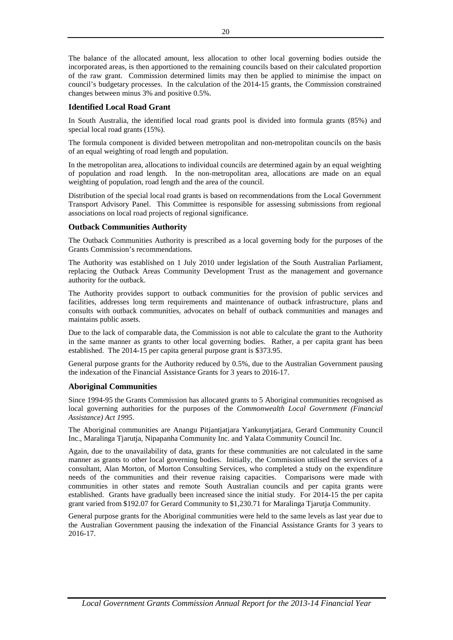The balance of the allocated amount, less allocation to other local governing bodies outside the incorporated areas, is then apportioned to the remaining councils based on their calculated proportion of the raw grant. Commission determined limits may then be applied to minimise the impact on council's budgetary processes. In the calculation of the 2014-15 grants, the Commission constrained changes between minus 3% and positive 0.5%.

# **Identified Local Road Grant**

In South Australia, the identified local road grants pool is divided into formula grants (85%) and special local road grants (15%).

The formula component is divided between metropolitan and non-metropolitan councils on the basis of an equal weighting of road length and population.

In the metropolitan area, allocations to individual councils are determined again by an equal weighting of population and road length. In the non-metropolitan area, allocations are made on an equal weighting of population, road length and the area of the council.

Distribution of the special local road grants is based on recommendations from the Local Government Transport Advisory Panel. This Committee is responsible for assessing submissions from regional associations on local road projects of regional significance.

# **Outback Communities Authority**

The Outback Communities Authority is prescribed as a local governing body for the purposes of the Grants Commission's recommendations.

The Authority was established on 1 July 2010 under legislation of the South Australian Parliament, replacing the Outback Areas Community Development Trust as the management and governance authority for the outback.

The Authority provides support to outback communities for the provision of public services and facilities, addresses long term requirements and maintenance of outback infrastructure, plans and consults with outback communities, advocates on behalf of outback communities and manages and maintains public assets.

Due to the lack of comparable data, the Commission is not able to calculate the grant to the Authority in the same manner as grants to other local governing bodies. Rather, a per capita grant has been established. The 2014-15 per capita general purpose grant is \$373.95.

General purpose grants for the Authority reduced by 0.5%, due to the Australian Government pausing the indexation of the Financial Assistance Grants for 3 years to 2016-17.

# **Aboriginal Communities**

Since 1994-95 the Grants Commission has allocated grants to 5 Aboriginal communities recognised as local governing authorities for the purposes of the *Commonwealth Local Government (Financial Assistance) Act 1995*.

The Aboriginal communities are Anangu Pitjantjatjara Yankunytjatjara, Gerard Community Council Inc., Maralinga Tjarutja, Nipapanha Community Inc. and Yalata Community Council Inc.

Again, due to the unavailability of data, grants for these communities are not calculated in the same manner as grants to other local governing bodies. Initially, the Commission utilised the services of a consultant, Alan Morton, of Morton Consulting Services, who completed a study on the expenditure needs of the communities and their revenue raising capacities. Comparisons were made with communities in other states and remote South Australian councils and per capita grants were established. Grants have gradually been increased since the initial study. For 2014-15 the per capita grant varied from \$192.07 for Gerard Community to \$1,230.71 for Maralinga Tjarutja Community.

General purpose grants for the Aboriginal communities were held to the same levels as last year due to the Australian Government pausing the indexation of the Financial Assistance Grants for 3 years to 2016-17.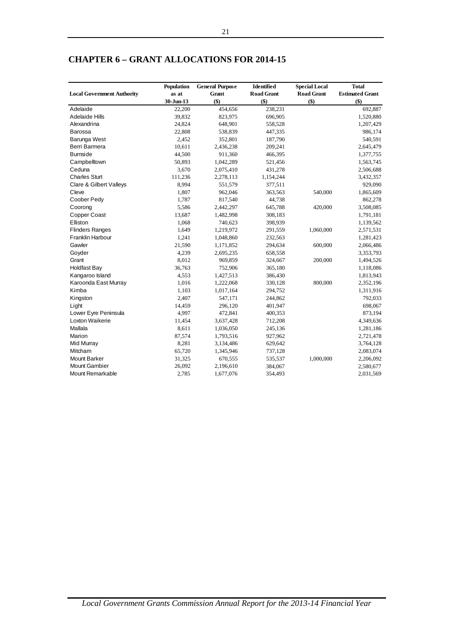|                                   | Population | <b>General Purpose</b> | Identified        | <b>Special Local</b> | <b>Total</b>           |
|-----------------------------------|------------|------------------------|-------------------|----------------------|------------------------|
| <b>Local Government Authority</b> | as at      | Grant                  | <b>Road Grant</b> | <b>Road Grant</b>    | <b>Estimated Grant</b> |
|                                   | 30-Jun-13  | \$)                    | \$)               | \$)                  | \$)                    |
| Adelaide                          | 22,200     | 454,656                | 238,231           |                      | 692,887                |
| Adelaide Hills                    | 39,832     | 823,975                | 696,905           |                      | 1,520,880              |
| Alexandrina                       | 24,824     | 648,901                | 558,528           |                      | 1,207,429              |
| Barossa                           | 22,808     | 538,839                | 447,335           |                      | 986,174                |
| Barunga West                      | 2,452      | 352,801                | 187,790           |                      | 540,591                |
| Berri Barmera                     | 10,611     | 2,436,238              | 209,241           |                      | 2,645,479              |
| <b>Burnside</b>                   | 44,500     | 911,360                | 466,395           |                      | 1,377,755              |
| Campbelltown                      | 50,893     | 1,042,289              | 521,456           |                      | 1,563,745              |
| Ceduna                            | 3,670      | 2,075,410              | 431,278           |                      | 2,506,688              |
| <b>Charles Sturt</b>              | 111,236    | 2,278,113              | 1,154,244         |                      | 3,432,357              |
| Clare & Gilbert Valleys           | 8,994      | 551,579                | 377,511           |                      | 929,090                |
| Cleve                             | 1,807      | 962,046                | 363,563           | 540,000              | 1,865,609              |
| Coober Pedy                       | 1,787      | 817,540                | 44,738            |                      | 862,278                |
| Coorong                           | 5,586      | 2,442,297              | 645,788           | 420,000              | 3,508,085              |
| Copper Coast                      | 13,687     | 1,482,998              | 308,183           |                      | 1,791,181              |
| Elliston                          | 1,068      | 740,623                | 398,939           |                      | 1,139,562              |
| <b>Flinders Ranges</b>            | 1,649      | 1,219,972              | 291,559           | 1,060,000            | 2,571,531              |
| <b>Franklin Harbour</b>           | 1,241      | 1,048,860              | 232,563           |                      | 1,281,423              |
| Gawler                            | 21,590     | 1,171,852              | 294,634           | 600,000              | 2,066,486              |
| Goyder                            | 4,239      | 2,695,235              | 658,558           |                      | 3,353,793              |
| Grant                             | 8,012      | 969,859                | 324,667           | 200,000              | 1,494,526              |
| <b>Holdfast Bay</b>               | 36,763     | 752,906                | 365,180           |                      | 1,118,086              |
| Kangaroo Island                   | 4,553      | 1,427,513              | 386,430           |                      | 1,813,943              |
| Karoonda East Murray              | 1,016      | 1,222,068              | 330,128           | 800,000              | 2,352,196              |
| Kimba                             | 1,103      | 1,017,164              | 294,752           |                      | 1,311,916              |
| Kingston                          | 2,407      | 547,171                | 244,862           |                      | 792,033                |
| Light                             | 14,459     | 296,120                | 401,947           |                      | 698,067                |
| Lower Eyre Peninsula              | 4,997      | 472,841                | 400,353           |                      | 873,194                |
| Loxton Waikerie                   | 11,454     | 3,637,428              | 712,208           |                      | 4,349,636              |
| Mallala                           | 8,611      | 1,036,050              | 245,136           |                      | 1,281,186              |
| Marion                            | 87,574     | 1,793,516              | 927,962           |                      | 2,721,478              |
| Mid Murray                        | 8,281      | 3,134,486              | 629,642           |                      | 3,764,128              |
| Mitcham                           | 65,720     | 1,345,946              | 737,128           |                      | 2,083,074              |
| <b>Mount Barker</b>               | 31,325     | 670,555                | 535,537           | 1,000,000            | 2,206,092              |
| <b>Mount Gambier</b>              | 26,092     | 2,196,610              | 384,067           |                      | 2,580,677              |
| <b>Mount Remarkable</b>           | 2,785      | 1,677,076              | 354,493           |                      | 2,031,569              |

# **CHAPTER 6 – GRANT ALLOCATIONS FOR 2014-15**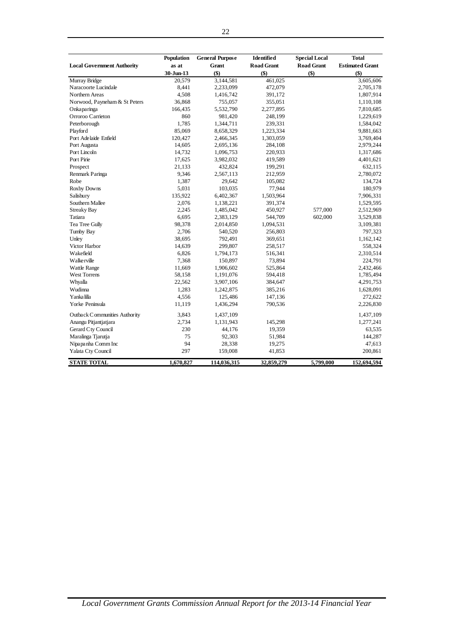|                                   | Population | <b>General Purpose</b> | Identified        | <b>Special Local</b> | <b>Total</b>           |
|-----------------------------------|------------|------------------------|-------------------|----------------------|------------------------|
| <b>Local Government Authority</b> | as at      | <b>Grant</b>           | <b>Road Grant</b> | <b>Road Grant</b>    | <b>Estimated Grant</b> |
|                                   | 30-Jun-13  | $($ \$)                | $($ \$)           | $($ \$               | $($ \$                 |
| Murray Bridge                     | 20,579     | 3,144,581              | 461,025           |                      | 3,605,606              |
| Naracoorte Lucindale              | 8,441      | 2,233,099              | 472,079           |                      | 2,705,178              |
| Northern Areas                    | 4,508      | 1,416,742              | 391,172           |                      | 1,807,914              |
| Norwood, Payneham & St Peters     | 36,868     | 755,057                | 355,051           |                      | 1,110,108              |
| Onkaparinga                       | 166,435    | 5,532,790              | 2,277,895         |                      | 7,810,685              |
| Orroroo Carrieton                 | 860        | 981,420                | 248,199           |                      | 1,229,619              |
| Peterborough                      | 1,785      | 1,344,711              | 239,331           |                      | 1,584,042              |
| Playford                          | 85,069     | 8,658,329              | 1,223,334         |                      | 9,881,663              |
| Port Adelaide Enfield             | 120,427    | 2,466,345              | 1,303,059         |                      | 3,769,404              |
| Port Augusta                      | 14,605     | 2,695,136              | 284,108           |                      | 2,979,244              |
| Port Lincoln                      | 14,732     | 1,096,753              | 220,933           |                      | 1,317,686              |
| Port Pirie                        | 17,625     | 3,982,032              | 419,589           |                      | 4,401,621              |
| Prospect                          | 21,133     | 432,824                | 199,291           |                      | 632,115                |
| Renmark Paringa                   | 9,346      | 2,567,113              | 212,959           |                      | 2,780,072              |
| Robe                              | 1,387      | 29,642                 | 105,082           |                      | 134,724                |
| Roxby Downs                       | 5,031      | 103,035                | 77,944            |                      | 180,979                |
| Salisbury                         | 135,922    | 6,402,367              | 1,503,964         |                      | 7,906,331              |
| Southern Mallee                   | 2,076      | 1,138,221              | 391,374           |                      | 1,529,595              |
| <b>Streaky Bay</b>                | 2,245      | 1,485,042              | 450,927           | 577,000              | 2,512,969              |
| Tatiara                           | 6,695      | 2,383,129              | 544,709           | 602,000              | 3,529,838              |
| Tea Tree Gully                    | 98,378     | 2,014,850              | 1,094,531         |                      | 3,109,381              |
| Tumby Bay                         | 2,706      | 540,520                | 256,803           |                      | 797,323                |
| Unley                             | 38,695     | 792,491                | 369,651           |                      | 1,162,142              |
| Victor Harbor                     | 14,639     | 299,807                | 258,517           |                      | 558,324                |
| Wakefield                         | 6,826      | 1,794,173              | 516,341           |                      | 2,310,514              |
| <b>Walkerville</b>                | 7,368      | 150,897                | 73,894            |                      | 224,791                |
| Wattle Range                      | 11,669     | 1,906,602              | 525,864           |                      | 2,432,466              |
| <b>West Torrens</b>               | 58,158     | 1,191,076              | 594,418           |                      | 1,785,494              |
| Whyalla                           | 22,562     | 3,907,106              | 384,647           |                      | 4,291,753              |
| Wudinna                           | 1,283      | 1,242,875              | 385,216           |                      | 1,628,091              |
| Yanka lilla                       | 4,556      | 125,486                | 147,136           |                      | 272,622                |
| Yorke Peninsula                   | 11,119     | 1,436,294              | 790,536           |                      | 2,226,830              |
| Outback Communities Authority     | 3,843      | 1,437,109              |                   |                      | 1,437,109              |
| Anangu Pitjantjatjara             | 2,734      | 1,131,943              | 145,298           |                      | 1,277,241              |
| Gerard Cty Council                | 230        | 44,176                 | 19,359            |                      | 63,535                 |
| Maralinga Tjarutja                | 75         | 92,303                 | 51,984            |                      | 144,287                |
| Nipapanha Comm Inc                | 94         | 28,338                 | 19,275            |                      | 47,613                 |
| Yalata Cty Council                | 297        | 159,008                | 41,853            |                      | 200,861                |
| <b>STATE TOTAL</b>                | 1,670,827  | 114,036,315            | 32,859,279        | 5,799,000            | 152,694,594            |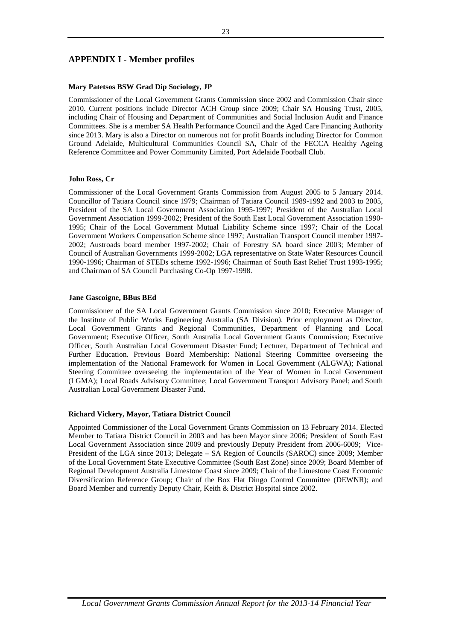# **APPENDIX I - Member profiles**

### **Mary Patetsos BSW Grad Dip Sociology, JP**

Commissioner of the Local Government Grants Commission since 2002 and Commission Chair since 2010. Current positions include Director ACH Group since 2009; Chair SA Housing Trust, 2005, including Chair of Housing and Department of Communities and Social Inclusion Audit and Finance Committees. She is a member SA Health Performance Council and the Aged Care Financing Authority since 2013. Mary is also a Director on numerous not for profit Boards including Director for Common Ground Adelaide, Multicultural Communities Council SA, Chair of the FECCA Healthy Ageing Reference Committee and Power Community Limited, Port Adelaide Football Club.

### **John Ross, Cr**

Commissioner of the Local Government Grants Commission from August 2005 to 5 January 2014. Councillor of Tatiara Council since 1979; Chairman of Tatiara Council 1989-1992 and 2003 to 2005, President of the SA Local Government Association 1995-1997; President of the Australian Local Government Association 1999-2002; President of the South East Local Government Association 1990- 1995; Chair of the Local Government Mutual Liability Scheme since 1997; Chair of the Local Government Workers Compensation Scheme since 1997; Australian Transport Council member 1997- 2002; Austroads board member 1997-2002; Chair of Forestry SA board since 2003; Member of Council of Australian Governments 1999-2002; LGA representative on State Water Resources Council 1990-1996; Chairman of STEDs scheme 1992-1996; Chairman of South East Relief Trust 1993-1995; and Chairman of SA Council Purchasing Co-Op 1997-1998.

### **Jane Gascoigne, BBus BEd**

Commissioner of the SA Local Government Grants Commission since 2010; Executive Manager of the Institute of Public Works Engineering Australia (SA Division). Prior employment as Director, Local Government Grants and Regional Communities, Department of Planning and Local Government; Executive Officer, South Australia Local Government Grants Commission; Executive Officer, South Australian Local Government Disaster Fund; Lecturer, Department of Technical and Further Education. Previous Board Membership: National Steering Committee overseeing the implementation of the National Framework for Women in Local Government (ALGWA); National Steering Committee overseeing the implementation of the Year of Women in Local Government (LGMA); Local Roads Advisory Committee; Local Government Transport Advisory Panel; and South Australian Local Government Disaster Fund.

### **Richard Vickery, Mayor, Tatiara District Council**

Appointed Commissioner of the Local Government Grants Commission on 13 February 2014. Elected Member to Tatiara District Council in 2003 and has been Mayor since 2006; President of South East Local Government Association since 2009 and previously Deputy President from 2006-6009; Vice-President of the LGA since 2013; Delegate – SA Region of Councils (SAROC) since 2009; Member of the Local Government State Executive Committee (South East Zone) since 2009; Board Member of Regional Development Australia Limestone Coast since 2009; Chair of the Limestone Coast Economic Diversification Reference Group; Chair of the Box Flat Dingo Control Committee (DEWNR); and Board Member and currently Deputy Chair, Keith & District Hospital since 2002.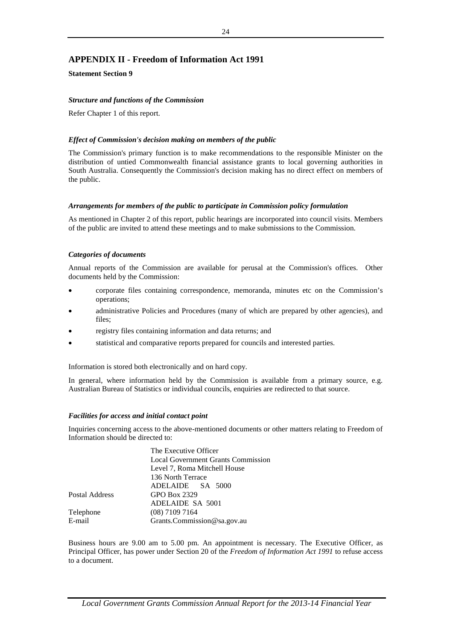# **APPENDIX II - Freedom of Information Act 1991**

**Statement Section 9**

### *Structure and functions of the Commission*

Refer Chapter 1 of this report.

### *Effect of Commission's decision making on members of the public*

The Commission's primary function is to make recommendations to the responsible Minister on the distribution of untied Commonwealth financial assistance grants to local governing authorities in South Australia. Consequently the Commission's decision making has no direct effect on members of the public.

### *Arrangements for members of the public to participate in Commission policy formulation*

As mentioned in Chapter 2 of this report, public hearings are incorporated into council visits. Members of the public are invited to attend these meetings and to make submissions to the Commission.

### *Categories of documents*

Annual reports of the Commission are available for perusal at the Commission's offices. Other documents held by the Commission:

- corporate files containing correspondence, memoranda, minutes etc on the Commission's operations;
- administrative Policies and Procedures (many of which are prepared by other agencies), and files;
- registry files containing information and data returns; and
- statistical and comparative reports prepared for councils and interested parties.

Information is stored both electronically and on hard copy.

In general, where information held by the Commission is available from a primary source, e.g. Australian Bureau of Statistics or individual councils, enquiries are redirected to that source.

### *Facilities for access and initial contact point*

Inquiries concerning access to the above-mentioned documents or other matters relating to Freedom of Information should be directed to:

|                | The Executive Officer                     |
|----------------|-------------------------------------------|
|                | <b>Local Government Grants Commission</b> |
|                | Level 7, Roma Mitchell House              |
|                | 136 North Terrace                         |
|                | ADELAIDE SA 5000                          |
| Postal Address | GPO Box 2329                              |
|                | ADELAIDE SA 5001                          |
| Telephone      | $(08)$ 7109 7164                          |
| E-mail         | Grants.Commission@sa.gov.au               |
|                |                                           |

Business hours are 9.00 am to 5.00 pm. An appointment is necessary. The Executive Officer, as Principal Officer, has power under Section 20 of the *Freedom of Information Act 1991* to refuse access to a document.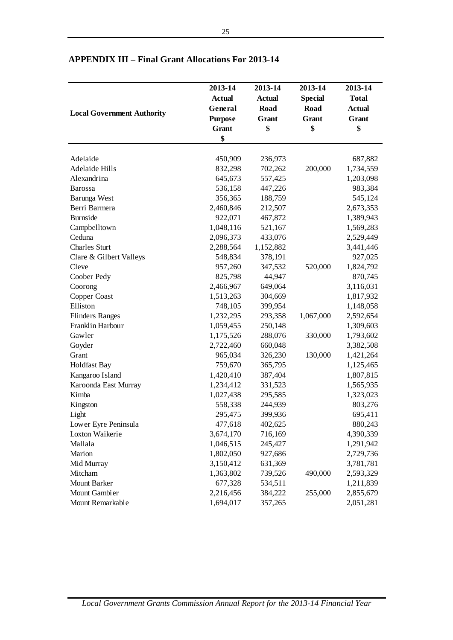|                                   | 2013-14        | 2013-14       | 2013-14        | 2013-14       |
|-----------------------------------|----------------|---------------|----------------|---------------|
|                                   | <b>Actual</b>  | <b>Actual</b> | <b>Special</b> | <b>Total</b>  |
|                                   | General        | Road          | <b>Road</b>    | <b>Actual</b> |
| <b>Local Government Authority</b> | <b>Purpose</b> | Grant         | Grant          | Grant         |
|                                   | <b>Grant</b>   | \$            | \$             | \$            |
|                                   | \$             |               |                |               |
| Adelaide                          | 450,909        | 236,973       |                | 687,882       |
| <b>Adelaide Hills</b>             | 832,298        | 702,262       | 200,000        | 1,734,559     |
| Alexandrina                       | 645,673        | 557,425       |                | 1,203,098     |
| <b>Barossa</b>                    | 536,158        | 447,226       |                | 983,384       |
| Barunga West                      | 356,365        | 188,759       |                | 545,124       |
| Berri Barmera                     | 2,460,846      | 212,507       |                | 2,673,353     |
| <b>Burnside</b>                   | 922,071        | 467,872       |                | 1,389,943     |
| Campbelltown                      | 1,048,116      | 521,167       |                | 1,569,283     |
| Ceduna                            | 2,096,373      | 433,076       |                | 2,529,449     |
| <b>Charles Sturt</b>              | 2,288,564      | 1,152,882     |                | 3,441,446     |
| Clare & Gilbert Valleys           | 548,834        | 378,191       |                | 927,025       |
| Cleve                             | 957,260        | 347,532       | 520,000        | 1,824,792     |
| Coober Pedy                       | 825,798        | 44,947        |                | 870,745       |
| Coorong                           | 2,466,967      | 649,064       |                | 3,116,031     |
| Copper Coast                      | 1,513,263      | 304,669       |                | 1,817,932     |
| Elliston                          | 748,105        | 399,954       |                | 1,148,058     |
| <b>Flinders Ranges</b>            | 1,232,295      | 293,358       | 1,067,000      | 2,592,654     |
| Franklin Harbour                  | 1,059,455      | 250,148       |                | 1,309,603     |
| Gawler                            | 1,175,526      | 288,076       | 330,000        | 1,793,602     |
| Goyder                            | 2,722,460      | 660,048       |                | 3,382,508     |
| Grant                             | 965,034        | 326,230       | 130,000        | 1,421,264     |
| <b>Holdfast Bay</b>               | 759,670        | 365,795       |                | 1,125,465     |
| Kangaroo Island                   | 1,420,410      | 387,404       |                | 1,807,815     |
| Karoonda East Murray              | 1,234,412      | 331,523       |                | 1,565,935     |
| Kimba                             | 1,027,438      | 295,585       |                | 1,323,023     |
| Kingston                          | 558,338        | 244,939       |                | 803,276       |
| Light                             | 295,475        | 399,936       |                | 695,411       |
| Lower Eyre Peninsula              | 477,618        | 402,625       |                | 880,243       |
| Loxton Waikerie                   | 3,674,170      | 716,169       |                | 4,390,339     |
| Mallala                           | 1,046,515      | 245,427       |                | 1,291,942     |
| Marion                            | 1,802,050      | 927,686       |                | 2,729,736     |
| Mid Murray                        | 3,150,412      | 631,369       |                | 3,781,781     |
| Mitcham                           | 1,363,802      | 739,526       | 490,000        | 2,593,329     |
| <b>Mount Barker</b>               | 677,328        | 534,511       |                | 1,211,839     |
| Mount Gambier                     | 2,216,456      | 384,222       | 255,000        | 2,855,679     |
| Mount Remarkable                  | 1,694,017      | 357,265       |                | 2,051,281     |

# **APPENDIX III – Final Grant Allocations For 2013-14**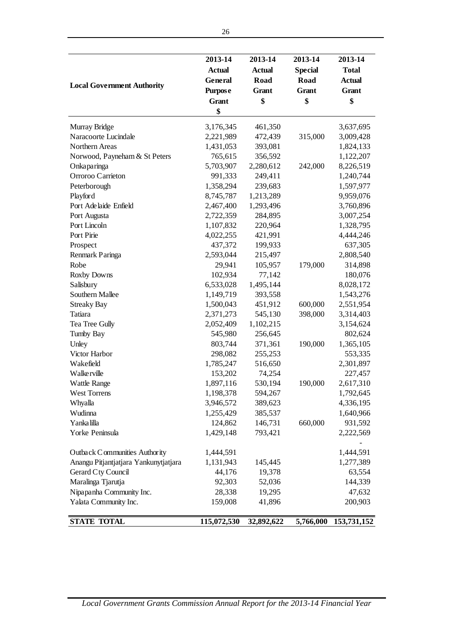| <b>Local Government Authority</b>     | 2013-14<br><b>Actual</b><br>General<br><b>Purpose</b><br><b>Grant</b><br>\$ | 2013-14<br><b>Actual</b><br>Road<br>Grant<br>\$ | 2013-14<br><b>Special</b><br>Road<br>Grant<br>\$ | 2013-14<br><b>Total</b><br><b>Actual</b><br>Grant<br>\$ |
|---------------------------------------|-----------------------------------------------------------------------------|-------------------------------------------------|--------------------------------------------------|---------------------------------------------------------|
| Murray Bridge                         | 3,176,345                                                                   | 461,350                                         |                                                  | 3,637,695                                               |
| Naracoorte Lucindale                  | 2,221,989                                                                   | 472,439                                         | 315,000                                          | 3,009,428                                               |
| Northern Areas                        | 1,431,053                                                                   | 393,081                                         |                                                  | 1,824,133                                               |
| Norwood, Payneham & St Peters         | 765,615                                                                     | 356,592                                         |                                                  | 1,122,207                                               |
| Onkaparinga                           | 5,703,907                                                                   | 2,280,612                                       | 242,000                                          | 8,226,519                                               |
| Orroroo Carrieton                     | 991,333                                                                     | 249,411                                         |                                                  | 1,240,744                                               |
| Peterborough                          | 1,358,294                                                                   | 239,683                                         |                                                  | 1,597,977                                               |
| Playford                              | 8,745,787                                                                   | 1,213,289                                       |                                                  | 9,959,076                                               |
| Port Adelaide Enfield                 | 2,467,400                                                                   | 1,293,496                                       |                                                  | 3,760,896                                               |
| Port Augusta                          | 2,722,359                                                                   | 284,895                                         |                                                  | 3,007,254                                               |
| Port Lincoln                          | 1,107,832                                                                   | 220,964                                         |                                                  | 1,328,795                                               |
| Port Pirie                            | 4,022,255                                                                   | 421,991                                         |                                                  | 4,444,246                                               |
| Prospect                              | 437,372                                                                     | 199,933                                         |                                                  | 637,305                                                 |
| Renmark Paringa                       | 2,593,044                                                                   | 215,497                                         |                                                  | 2,808,540                                               |
| Robe                                  | 29,941                                                                      | 105,957                                         | 179,000                                          | 314,898                                                 |
| <b>Roxby Downs</b>                    | 102,934                                                                     | 77,142                                          |                                                  | 180,076                                                 |
| Salisbury                             | 6,533,028                                                                   | 1,495,144                                       |                                                  | 8,028,172                                               |
| <b>Southern Mallee</b>                | 1,149,719                                                                   | 393,558                                         |                                                  | 1,543,276                                               |
| <b>Streaky Bay</b>                    | 1,500,043                                                                   | 451,912                                         | 600,000                                          | 2,551,954                                               |
| Tatiara                               | 2,371,273                                                                   | 545,130                                         | 398,000                                          | 3,314,403                                               |
| Tea Tree Gully                        | 2,052,409                                                                   | 1,102,215                                       |                                                  | 3,154,624                                               |
| Tumby Bay                             | 545,980                                                                     | 256,645                                         |                                                  | 802,624                                                 |
| Unley                                 | 803,744                                                                     | 371,361                                         | 190,000                                          | 1,365,105                                               |
| Victor Harbor                         | 298,082                                                                     | 255,253                                         |                                                  | 553,335                                                 |
| Wakefield                             | 1,785,247                                                                   | 516,650                                         |                                                  | 2,301,897                                               |
| <b>Walkerville</b>                    | 153,202                                                                     | 74,254                                          |                                                  | 227,457                                                 |
| <b>Wattle Range</b>                   | 1,897,116                                                                   | 530,194                                         | 190,000                                          | 2,617,310                                               |
| <b>West Torrens</b>                   | 1,198,378                                                                   | 594,267                                         |                                                  | 1,792,645                                               |
| Whyalla                               | 3,946,572                                                                   | 389,623                                         |                                                  | 4,336,195                                               |
| Wudinna                               | 1,255,429                                                                   | 385,537                                         |                                                  | 1,640,966                                               |
| Yanka lilla                           | 124,862                                                                     | 146,731                                         | 660,000                                          | 931,592                                                 |
| Yorke Peninsula                       | 1,429,148                                                                   | 793,421                                         |                                                  | 2,222,569                                               |
|                                       |                                                                             |                                                 |                                                  |                                                         |
| Outback Communities Authority         | 1,444,591                                                                   |                                                 |                                                  | 1,444,591                                               |
| Anangu Pitjantjatjara Yankunytjatjara | 1,131,943                                                                   | 145,445                                         |                                                  | 1,277,389                                               |
| Gerard Cty Council                    | 44,176                                                                      | 19,378                                          |                                                  | 63,554                                                  |
| Maralinga Tjarutja                    | 92,303                                                                      | 52,036                                          |                                                  | 144,339                                                 |
| Nipapanha Community Inc.              | 28,338                                                                      | 19,295                                          |                                                  | 47,632                                                  |
| Yalata Community Inc.                 | 159,008                                                                     | 41,896                                          |                                                  | 200,903                                                 |
| <b>STATE TOTAL</b>                    | 115,072,530                                                                 | 32,892,622                                      | 5,766,000                                        | 153,731,152                                             |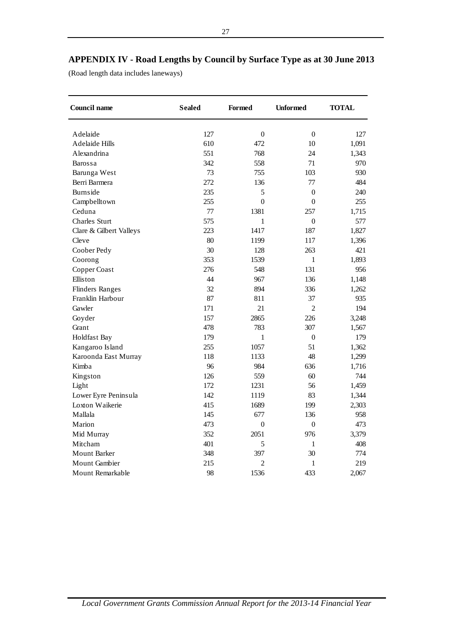(Road length data includes laneways)

| <b>Council name</b>     | <b>Sealed</b> | <b>Formed</b>    | <b>Unformed</b>  | <b>TOTAL</b> |
|-------------------------|---------------|------------------|------------------|--------------|
| Adelaide                | 127           | $\boldsymbol{0}$ | $\overline{0}$   | 127          |
| <b>Adelaide Hills</b>   | 610           | 472              | 10               | 1,091        |
| Alexandrina             | 551           | 768              | 24               | 1,343        |
| <b>Barossa</b>          | 342           | 558              | 71               | 970          |
| Barunga West            | 73            | 755              | 103              | 930          |
| Berri Barmera           | 272           | 136              | 77               | 484          |
| Burnside                | 235           | 5                | $\overline{0}$   | 240          |
| Campbelltown            | 255           | $\overline{0}$   | $\mathbf{0}$     | 255          |
| Ceduna                  | 77            | 1381             | 257              | 1,715        |
| Charles Sturt           | 575           | $\mathbf{1}$     | $\boldsymbol{0}$ | 577          |
| Clare & Gilbert Valleys | 223           | 1417             | 187              | 1,827        |
| Cleve                   | 80            | 1199             | 117              | 1,396        |
| Coober Pedy             | 30            | 128              | 263              | 421          |
| Coorong                 | 353           | 1539             | $\mathbf{1}$     | 1,893        |
| Copper Coast            | 276           | 548              | 131              | 956          |
| Elliston                | 44            | 967              | 136              | 1,148        |
| <b>Flinders Ranges</b>  | 32            | 894              | 336              | 1,262        |
| Franklin Harbour        | 87            | 811              | 37               | 935          |
| Gawler                  | 171           | 21               | $\overline{2}$   | 194          |
| Goyder                  | 157           | 2865             | 226              | 3,248        |
| Grant                   | 478           | 783              | 307              | 1,567        |
| Holdfast Bay            | 179           | $\mathbf{1}$     | $\boldsymbol{0}$ | 179          |
| Kangaroo Island         | 255           | 1057             | 51               | 1,362        |
| Karoonda East Murray    | 118           | 1133             | 48               | 1,299        |
| Kimba                   | 96            | 984              | 636              | 1,716        |
| Kingston                | 126           | 559              | 60               | 744          |
| Light                   | 172           | 1231             | 56               | 1,459        |
| Lower Eyre Peninsula    | 142           | 1119             | 83               | 1,344        |
| Loxton Waikerie         | 415           | 1689             | 199              | 2,303        |
| Mallala                 | 145           | 677              | 136              | 958          |
| Marion                  | 473           | $\overline{0}$   | $\boldsymbol{0}$ | 473          |
| Mid Murray              | 352           | 2051             | 976              | 3,379        |
| Mitcham                 | 401           | 5                | $\mathbf{1}$     | 408          |
| <b>Mount Barker</b>     | 348           | 397              | 30               | 774          |
| <b>Mount Gambier</b>    | 215           | 2                | 1                | 219          |
| Mount Remarkable        | 98            | 1536             | 433              | 2,067        |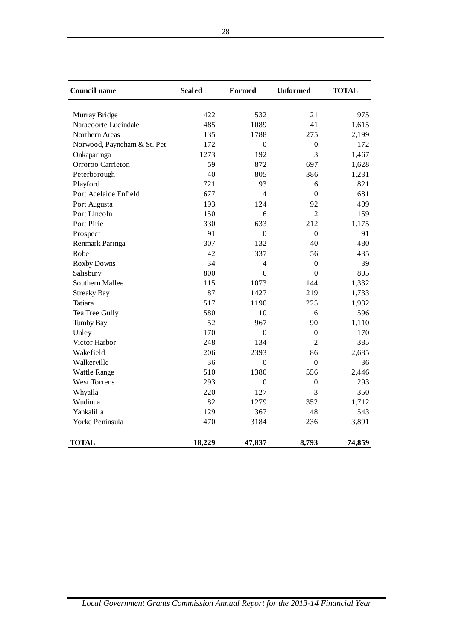| Council name                | <b>Sealed</b> | Formed           | <b>Unformed</b>  | <b>TOTAL</b> |
|-----------------------------|---------------|------------------|------------------|--------------|
| Murray Bridge               | 422           | 532              | 21               | 975          |
| Naracoorte Lucindale        | 485           | 1089             | 41               | 1,615        |
| Northern Areas              | 135           | 1788             | 275              | 2,199        |
| Norwood, Payneham & St. Pet | 172           | $\overline{0}$   | $\Omega$         | 172          |
| Onkaparinga                 | 1273          | 192              | 3                | 1,467        |
| Orroroo Carrieton           | 59            | 872              | 697              | 1,628        |
| Peterborough                | 40            | 805              | 386              | 1,231        |
| Playford                    | 721           | 93               | 6                | 821          |
| Port Adelaide Enfield       | 677           | $\overline{4}$   | $\Omega$         | 681          |
| Port Augusta                | 193           | 124              | 92               | 409          |
| Port Lincoln                | 150           | 6                | $\overline{2}$   | 159          |
| Port Pirie                  | 330           | 633              | 212              | 1,175        |
| Prospect                    | 91            | $\overline{0}$   | $\mathbf{0}$     | 91           |
| Renmark Paringa             | 307           | 132              | 40               | 480          |
| Robe                        | 42            | 337              | 56               | 435          |
| <b>Roxby Downs</b>          | 34            | 4                | $\mathbf{0}$     | 39           |
| Salisbury                   | 800           | 6                | $\mathbf{0}$     | 805          |
| Southern Mallee             | 115           | 1073             | 144              | 1,332        |
| <b>Streaky Bay</b>          | 87            | 1427             | 219              | 1,733        |
| Tatiara                     | 517           | 1190             | 225              | 1,932        |
| Tea Tree Gully              | 580           | 10               | 6                | 596          |
| <b>Tumby Bay</b>            | 52            | 967              | 90               | 1,110        |
| Unley                       | 170           | $\boldsymbol{0}$ | $\boldsymbol{0}$ | 170          |
| Victor Harbor               | 248           | 134              | 2                | 385          |
| Wakefield                   | 206           | 2393             | 86               | 2,685        |
| Walkerville                 | 36            | $\boldsymbol{0}$ | $\Omega$         | 36           |
| <b>Wattle Range</b>         | 510           | 1380             | 556              | 2,446        |
| <b>West Torrens</b>         | 293           | $\theta$         | 0                | 293          |
| Whyalla                     | 220           | 127              | 3                | 350          |
| Wudinna                     | 82            | 1279             | 352              | 1,712        |
| Yankalilla                  | 129           | 367              | 48               | 543          |
| Yorke Peninsula             | 470           | 3184             | 236              | 3,891        |
| <b>TOTAL</b>                | 18,229        | 47,837           | 8,793            | 74,859       |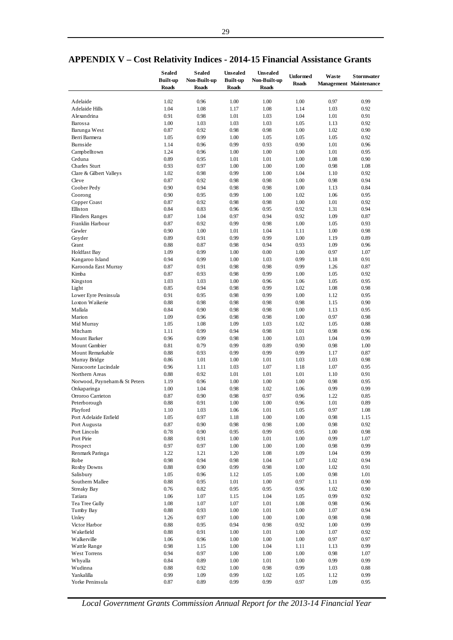|                               | <b>Sealed</b>   | <b>Sealed</b> | <b>Unsealed</b> | <b>Unsealed</b> | <b>Unformed</b> | Waste | <b>Stormwater</b>             |
|-------------------------------|-----------------|---------------|-----------------|-----------------|-----------------|-------|-------------------------------|
|                               | <b>Built-up</b> | Non-Built-up  | <b>Built-up</b> | Non-Built-up    | <b>Roads</b>    |       | <b>Management Maintenance</b> |
|                               | <b>Roads</b>    | <b>Roads</b>  | <b>Roads</b>    | <b>Roads</b>    |                 |       |                               |
|                               |                 |               |                 |                 |                 |       |                               |
| Adelaide                      | 1.02            | 0.96          | 1.00            | 1.00            | 1.00            | 0.97  | 0.99                          |
| Adelaide Hills                | 1.04            | 1.08          | 1.17            | 1.08            | 1.14            | 1.03  | 0.92                          |
| Alexandrina                   | 0.91            | 0.98          | 1.01            | 1.03            | 1.04            | 1.01  | 0.91                          |
| Barossa                       | 1.00            | 1.03          | 1.03            | 1.03            | 1.05            | 1.13  | 0.92                          |
| Barunga West                  | 0.87            | 0.92          | 0.98            | 0.98            | 1.00            | 1.02  | 0.90                          |
| Berri Barmera                 | 1.05            | 0.99          | 1.00            | 1.05            | 1.05            | 1.05  | 0.92                          |
| Burnside                      | 1.14            | 0.96          | 0.99            | 0.93            | 0.90            | 1.01  | 0.96                          |
| Campbelltown                  | 1.24            | 0.96          | 1.00            | 1.00            | 1.00            | 1.01  | 0.95                          |
| Ceduna                        | 0.89            | 0.95          | 1.01            | 1.01            | 1.00            | 1.08  | 0.90                          |
| Charles Sturt                 | 0.93            | 0.97          | 1.00            | 1.00            | 1.00            | 0.98  | 1.08                          |
| Clare & Gilbert Valleys       | 1.02            | 0.98          | 0.99            | 1.00            | 1.04            | 1.10  | 0.92                          |
| Cleve                         | 0.87            | 0.92          | 0.98            | 0.98            | 1.00            | 0.98  | 0.94                          |
| Coober Pedy                   | 0.90            | 0.94          | 0.98            | 0.98            | 1.00            | 1.13  | 0.84                          |
| Coorong                       | 0.90            | 0.95          | 0.99            | 1.00            | 1.02            | 1.06  | 0.95                          |
| Copper Coast                  | 0.87            | 0.92          | 0.98            | 0.98            | 1.00            | 1.01  | 0.92                          |
| Elliston                      | 0.84            | 0.83          | 0.96            | 0.95            | 0.92            | 1.31  | 0.94                          |
| <b>Flinders Ranges</b>        | 0.87            | 1.04          | 0.97            | 0.94            | 0.92            | 1.09  | 0.87                          |
| Franklin Harbour              | 0.87            | 0.92          | 0.99            | 0.98            | 1.00            | 1.05  | 0.93                          |
| Gawler                        | 0.90            | 1.00          | 1.01            | 1.04            | 1.11            | 1.00  | 0.98                          |
| Goyder                        | 0.89            | 0.91          | 0.99            | 0.99            | 1.00            | 1.19  | 0.89                          |
| Grant                         | 0.88            | 0.87          | 0.98            | 0.94            | 0.93            | 1.09  | 0.96                          |
| <b>Holdfast Bay</b>           | 1.09            | 0.99          | 1.00            | 0.00            | 1.00            | 0.97  | 1.07                          |
| Kangaroo Island               | 0.94            | 0.99          | 1.00            | 1.03            | 0.99            | 1.18  | 0.91                          |
| Karoonda East Murray          | 0.87            | 0.91          | 0.98            | 0.98            | 0.99            | 1.26  | 0.87                          |
| Kimba                         | 0.87            | 0.93          | 0.98            | 0.99            | 1.00            | 1.05  | 0.92                          |
| Kingston                      | 1.03            | 1.03          | 1.00            | 0.96            | 1.06            | 1.05  | 0.95                          |
| Light                         | 0.85            | 0.94          | 0.98            | 0.99            | 1.02            | 1.08  | 0.98                          |
| Lower Eyre Peninsula          | 0.91            | 0.95          | 0.98            | 0.99            | 1.00            | 1.12  | 0.95                          |
| Loxton Waikerie               | 0.88            | 0.98          | 0.98            | 0.98            | 0.98            | 1.15  | 0.90                          |
| Mallala                       | 0.84            | 0.90          | 0.98            | 0.98            | 1.00            | 1.13  | 0.95                          |
| Marion                        | 1.09            | 0.96          | 0.98            | 0.98            | 1.00            | 0.97  | 0.98                          |
|                               | 1.05            | 1.08          | 1.09            | 1.03            | 1.02            | 1.05  | 0.88                          |
| Mid Murray<br>Mitcham         | 1.11            | 0.99          | 0.94            | 0.98            | 1.01            | 0.98  | 0.96                          |
|                               | 0.96            | 0.99          | 0.98            | 1.00            | 1.03            | 1.04  | 0.99                          |
| <b>Mount Barker</b>           |                 |               | 0.99            |                 | 0.90            |       |                               |
| Mount Gambier                 | 0.81            | 0.79          |                 | 0.89            |                 | 0.98  | 1.00                          |
| Mount Remarkable              | 0.88            | 0.93          | 0.99            | 0.99            | 0.99            | 1.17  | 0.87                          |
| Murray Bridge                 | 0.86            | 1.01          | 1.00            | 1.01            | 1.03            | 1.03  | 0.98                          |
| Naracoorte Lucindale          | 0.96            | 1.11          | 1.03            | 1.07            | 1.18            | 1.07  | 0.95                          |
| Northern Areas                | 0.88            | 0.92          | 1.01            | 1.01            | 1.01            | 1.10  | 0.91                          |
| Norwood, Payneham & St Peters | 1.19            | 0.96          | 1.00            | 1.00            | 1.00            | 0.98  | 0.95                          |
| Onkaparinga                   | 1.00            | 1.04          | 0.98            | 1.02            | 1.06            | 0.99  | 0.99                          |
| Orroroo Carrieton             | 0.87            | 0.90          | 0.98            | 0.97            | 0.96            | 1.22  | 0.85                          |
| Peterborough                  | 0.88            | 0.91          | 1.00            | 1.00            | 0.96            | 1.01  | 0.89                          |
| Playford                      | 1.10            | 1.03          | 1.06            | 1.01            | 1.05            | 0.97  | 1.08                          |
| Port Adelaide Enfield         | 1.05            | 0.97          | 1.18            | $1.00\,$        | $1.00\,$        | 0.98  | 1.15                          |
| Port Augusta                  | 0.87            | 0.90          | 0.98            | $0.98\,$        | 1.00            | 0.98  | 0.92                          |
| Port Lincoln                  | 0.78            | 0.90          | 0.95            | 0.99            | 0.95            | 1.00  | 0.98                          |
| Port Pirie                    | 0.88            | 0.91          | 1.00            | 1.01            | 1.00            | 0.99  | 1.07                          |
| Prospect                      | 0.97            | 0.97          | 1.00            | $1.00\,$        | 1.00            | 0.98  | 0.99                          |
| Renmark Paringa               | 1.22            | 1.21          | 1.20            | 1.08            | 1.09            | 1.04  | 0.99                          |
| Robe                          | 0.98            | 0.94          | 0.98            | 1.04            | 1.07            | 1.02  | 0.94                          |
| Roxby Downs                   | 0.88            | 0.90          | 0.99            | 0.98            | 1.00            | 1.02  | 0.91                          |
| Salisbury                     | 1.05            | 0.96          | 1.12            | 1.05            | 1.00            | 0.98  | 1.01                          |
| Southern Mallee               | 0.88            | 0.95          | 1.01            | 1.00            | 0.97            | 1.11  | 0.90                          |
| Streaky Bay                   | 0.76            | 0.82          | 0.95            | 0.95            | 0.96            | 1.02  | 0.90                          |
| Tatiara                       | 1.06            | 1.07          | 1.15            | 1.04            | 1.05            | 0.99  | 0.92                          |
| Tea Tree Gully                | 1.08            | 1.07          | 1.07            | 1.01            | 1.08            | 0.98  | 0.96                          |
| Tumby Bay                     | 0.88            | 0.93          | 1.00            | 1.01            | 1.00            | 1.07  | 0.94                          |
| Unley                         | 1.26            | 0.97          | $1.00\,$        | $1.00\,$        | 1.00            | 0.98  | 0.98                          |
| Victor Harbor                 | 0.88            | 0.95          | 0.94            | $0.98\,$        | 0.92            | 1.00  | 0.99                          |
| Wakefield                     | 0.88            | 0.91          | 1.00            | 1.01            | 1.00            | 1.07  | 0.92                          |
| Walkerville                   | 1.06            | 0.96          | 1.00            | $1.00\,$        | $1.00\,$        | 0.97  | 0.97                          |
| Wattle Range                  | 0.98            | 1.15          | 1.00            | 1.04            | 1.11            | 1.13  | 0.99                          |
| West Torrens                  | 0.94            | 0.97          | 1.00            | $1.00\,$        | 1.00            | 0.98  | 1.07                          |
| Whyalla                       | 0.84            | 0.89          | 1.00            | 1.01            | 1.00            | 0.99  | 0.99                          |
| Wudinna                       | 0.88            | 0.92          | $1.00\,$        | 0.98            | 0.99            | 1.03  | 0.88                          |
| Yankalilla                    | 0.99            | 1.09          | 0.99            | 1.02            | 1.05            | 1.12  | 0.99                          |
| Yorke Peninsula               | 0.87            | 0.89          | 0.99            | 0.99            | 0.97            | 1.09  | 0.95                          |

# **APPENDIX V – Cost Relativity Indices - 2014-15 Financial Assistance Grants**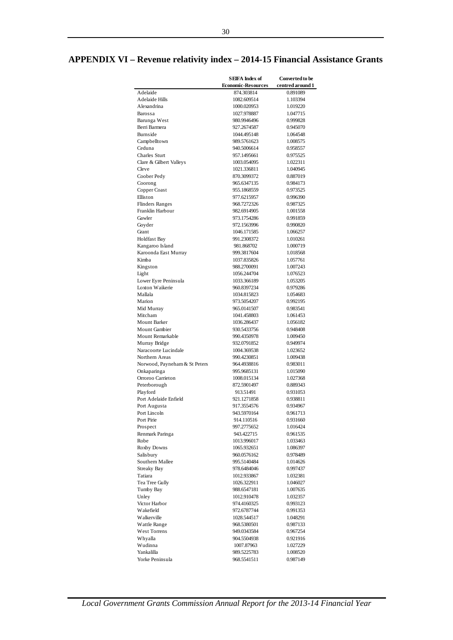# **APPENDIX VI – Revenue relativity index – 2014-15 Financial Assistance Grants**

|                                              | <b>SEIFA</b> Index of      | <b>Converted to be</b> |
|----------------------------------------------|----------------------------|------------------------|
|                                              | <b>Economic-Resources</b>  | centred around 1       |
| Adelaide                                     | 874.303814                 | 0.891089               |
| <b>Adelaide Hills</b>                        | 1082.609514                | 1.103394               |
| Alexandrina                                  | 1000.020953<br>1027.978887 | 1.019220               |
| Barossa<br>Barunga West                      | 980.9946496                | 1.047715<br>0.999828   |
| Berri Barmera                                | 927.2674587                | 0.945070               |
| Burnside                                     | 1044.495148                | 1.064548               |
| Campbelltown                                 | 989.5761623                | 1.008575               |
| Ceduna                                       | 940.5006614                | 0.958557               |
| <b>Charles Sturt</b>                         | 957.1495661                | 0.975525               |
| Clare & Gilbert Valleys                      | 1003.054095                | 1.022311               |
| Cleve                                        | 1021.336811                | 1.040945               |
| Coober Pedy                                  | 870.3099372                | 0.887019               |
| Coorong                                      | 965.6347135                | 0.984173               |
| Copper Coast<br>Elliston                     | 955.1868559<br>977.6215957 | 0.973525<br>0.996390   |
| <b>Flinders Ranges</b>                       | 968.7272326                | 0.987325               |
| Franklin Harbour                             | 982.6914905                | 1.001558               |
| Gawler                                       | 973.1754286                | 0.991859               |
| Goyder                                       | 972.1563996                | 0.990820               |
| Grant                                        | 1046.171585                | 1.066257               |
| <b>Holdfast Bay</b>                          | 991.2308372                | 1.010261               |
| Kangaroo Island                              | 981.868702                 | 1.000719               |
| Karoonda East Murray                         | 999.3817604                | 1.018568               |
| Kimba                                        | 1037.835826                | 1.057761               |
| Kingston                                     | 988.2700091                | 1.007243               |
| Light                                        | 1056.244704                | 1.076523               |
| Lower Eyre Peninsula<br>Loxton Waikerie      | 1033.366189<br>960.8397234 | 1.053205               |
| Mallala                                      | 1034.815823                | 0.979286<br>1.054683   |
| Marion                                       | 973.5054207                | 0.992195               |
| Mid Murray                                   | 965.0141507                | 0.983541               |
| Mitcham                                      | 1041.458803                | 1.061453               |
| <b>Mount Barker</b>                          | 1036.286437                | 1.056182               |
| <b>Mount Gambier</b>                         | 930.5433756                | 0.948408               |
| Mount Remarkable                             | 990.4350978                | 1.009450               |
| Murray Bridge                                | 932.0791852                | 0.949974               |
| Naracoorte Lucindale                         | 1004.369538                | 1.023652               |
| Northern Areas                               | 990.4230851                | 1.009438               |
| Norwood, Payneham & St Peters<br>Onkaparinga | 964.4938816<br>995.9685131 | 0.983011<br>1.015090   |
| Orroroo Carrieton                            | 1008.015134                | 1.027368               |
| Peterborough                                 | 872.5901497                | 0.889343               |
| Playford                                     | 913.51491                  | 0.931053               |
| Port Adelaide Enfield                        | 921.1271858                | 0.938811               |
| Port Augusta                                 | 917.3554576                | 0.934967               |
| Port Lincoln                                 | 943.5970164                | 0.961713               |
| Port Pirie                                   | 914.110516                 | 0.931660               |
| Prospect                                     | 997.2775652                | 1.016424               |
| Renmark Paringa                              | 943.422715                 | 0.961535               |
| Robe<br>Roxby Downs                          | 1013.996017<br>1065.932651 | 1.033463<br>1.086397   |
| Salisbury                                    | 960.0576162                | 0.978489               |
| Southern Mallee                              | 995.5140484                | 1.014626               |
| <b>Streaky Bay</b>                           | 978.6484046                | 0.997437               |
| Tatiara                                      | 1012.933867                | 1.032381               |
| Tea Tree Gully                               | 1026.322911                | 1.046027               |
| Tumby Bay                                    | 988.6547181                | 1.007635               |
| Unley                                        | 1012.910478                | 1.032357               |
| Victor Harbor                                | 974.4160325                | 0.993123               |
| Wakefield                                    | 972.6787744                | 0.991353               |
| Walkerville                                  | 1028.544517                | 1.048291               |
| Wattle Range<br>West Torrens                 | 968.5380501<br>949.0343584 | 0.987133<br>0.967254   |
| Whyalla                                      | 904.5504938                | 0.921916               |
| Wudinna                                      | 1007.87963                 | 1.027229               |
| Yankalilla                                   | 989.5225783                | 1.008520               |
| Yorke Peninsula                              | 968.5541511                | 0.987149               |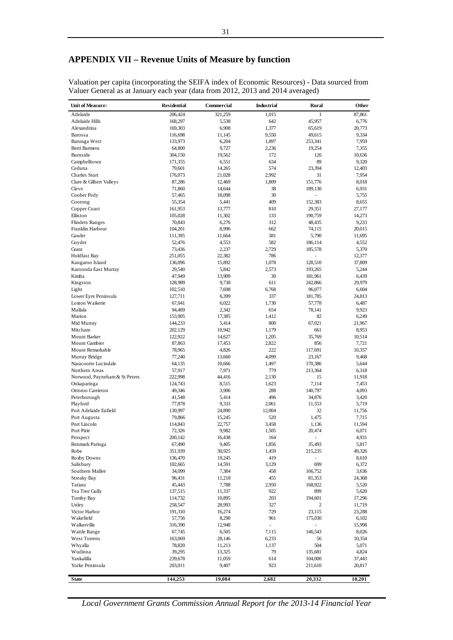# **APPENDIX VII – Revenue Units of Measure by function**

Valuation per capita (incorporating the SEIFA index of Economic Resources) - Data sourced from Valuer General as at January each year (data from 2012, 2013 and 2014 averaged)

| <b>Unit of Measure:</b>       | <b>Residential</b> | Commercial      | <b>Industrial</b>               | Rural              | Other           |
|-------------------------------|--------------------|-----------------|---------------------------------|--------------------|-----------------|
| Adelaide                      | 206,424            | 321,259         | 1,015                           | 1                  | 87,861          |
| Adelaide Hills                | 168,297            | 5,538           | 642                             | 45,957             | 6,776           |
| Alexandrina                   | 169,303            | 6,908           | 1,377                           | 65,619             | 20,773          |
| Barossa                       | 116,698            | 11,145          | 9,550                           | 49,615             | 9,334           |
| Barunga West                  | 133,973            | 6,204           | 1,897                           | 253,341            | 7,959           |
| Berri Barmera                 | 64,800             | 9,727           | 2,236                           | 19,254             | 7,355           |
| Burnside                      | 304,150            | 19,562          | 172                             | 126                | 10,636          |
| Campbelltown                  | 171,355            | 6,551           | 634                             | 89                 | 9,320           |
| Ceduna                        | 79,601             | 14,265          | 574                             | 23,394             | 12,403          |
| Charles Sturt                 | 176,073            | 21,028          | 2,992                           | 31                 | 7,954           |
| Clare & Gilbert Valleys       | 87,286             | 12,469          | 1,809                           | 151,776            | 8,018           |
| Cleve                         | 71,860             | 14,644          | 38                              | 189,130            | 6,931           |
| Coober Pedy                   | 57,465             | 18,098          | 30                              |                    | 5,755           |
| Coorong                       | 55,354             | 5,441           | 409                             | 152,383            | 8,655           |
| Copper Coast                  | 161,953            | 13,777          | 810                             | 29,351             | 27,177          |
| Elliston                      | 105,028            | 11,302          | 133                             | 190,759            | 14,273          |
| <b>Flinders Ranges</b>        | 70,843             | 6,276           | 312                             | 48,435             | 9,233           |
| Franklin Harbour              | 104,201            | 8,996           | 662                             | 74,115             | 20,015          |
| Gawler                        | 111,395            | 11,664          | 381                             | 5,790              | 11,695          |
| Goyder                        | 52,476             | 4,553           | 582                             | 186,114            | 4,552           |
| Grant                         | 73,436             | 2,237           | 2,729                           | 185,578            | 5,370           |
| <b>Holdfast Bay</b>           | 251,055            | 22,382          | 786                             | ÷,                 | 12,377          |
| Kangaroo Island               | 136,096            | 15,892          | 1,078                           | 128,510            | 37,809          |
| Karoonda East Murray          | 29,540             | 5,842           | 2,573                           | 193,265            | 5,244           |
| Kimba                         | 47,949             | 13,909          | 30<br>611                       | 181,961<br>242,866 | 6,439           |
| Kingston                      | 128,989<br>102,510 | 9,738<br>7,698  | 6,768                           | 96,077             | 29,979<br>6,604 |
| Light<br>Lower Eyre Peninsula | 127,711            | 6,399           | 337                             | 181,785            | 24,813          |
| Loxton Waikerie               | 67,041             | 6,022           | 1,730                           | 57,778             | 6,487           |
| Mallala                       | 94,469             | 2,342           | 654                             | 78,141             | 9,923           |
| Marion                        | 153,905            | 17,385          | 1,412                           | 82                 | 6,249           |
| Mid Murray                    | 144,233            | 5,414           | 800                             | 67,021             | 21,967          |
| Mitcham                       | 202,129            | 10,942          | 1,179                           | 661                | 8,953           |
| Mount Barker                  | 122,922            | 14,627          | 1,205                           | 35,769             | 10,514          |
| Mount Gambier                 | 87,863             | 17,453          | 2,822                           | 856                | 7,721           |
| Mount Remarkable              | 78,965             | 4,826           | 222                             | 117,691            | 10,357          |
| Murray Bridge                 | 77,240             | 13,660          | 4,099                           | 23,167             | 9,468           |
| Naracoorte Lucindale          | 64,135             | 10,666          | 1,497                           | 170,386            | 5,644           |
| Northern Areas                | 57,917             | 7,971           | 779                             | 213,364            | 6,318           |
| Norwood, Payneham & St Peters | 222,998            | 44,416          | 2,130                           | 15                 | 11,918          |
| Onkaparinga                   | 124,743            | 8,515           | 1,623                           | 7,114              | 7,453           |
| Orroroo Carrieton             | 49,346             | 3,906           | 288                             | 140,797            | 4,093           |
| Peterborough                  | 41,548             | 5,414           | 496                             | 34,876             | 3,420           |
| Playford                      | 77,878             | 9,333           | 2,061                           | 11,553             | 5,719           |
| Port Adelaide Enfield         | 130,997            | 24,890          | 12,004                          | 32                 | 11,756          |
| Port Augusta                  | 79,866             | 15,245          | 520                             | 1,475              | 7,715           |
| Port Lincoln                  | 114,843            | 22,757          | 3,458                           | 1,136              | 11,594          |
| Port Pirie                    | 72,326             | 9,982           | 1,505                           | 20,474             | 6,071           |
| Prospect                      | 200,142            | 16,438          | 164                             |                    | 4,931           |
| Renmark Paringa               | 67,490             | 9,405           | 1,856                           | 35,493             | 5,817           |
| Robe                          | 351,939            | 30,925          | 1,459                           | 215,235            | 49,326          |
| Roxby Downs                   | 136,470            | 19,245          | 419                             |                    | 8,610           |
| Salisbury                     | 102,665            | 14,591          | 3,129                           | 699                | 6,372           |
| Southern Mallee               | 34,099             | 7,384           | 458                             | 166,752            | 3,636           |
| <b>Streaky Bay</b>            | 96,431             | 11,218          | 455                             | 81,353             | 24,368          |
| Tatiara                       | 45,443             | 7,788           | 2,950                           | 168,922            | 5,520           |
| Tea Tree Gully                | 137,515            | 11,337          | 922                             | 899                | 5,620           |
| Tumby Bay                     | 114,732            | 10,895          | 203                             | 194,601            | 17,296          |
| Unley                         | 258,547            | 28,993          | 327                             | 2                  | 11,719          |
| Victor Harbor<br>Wakefield    | 191,310            | 16,274          | 729                             | 23,115<br>175,030  | 23,288          |
| Walkerville                   | 57,756<br>316,390  | 8,290<br>12,948 | 961<br>$\overline{\phantom{a}}$ | ÷.                 | 6,102<br>15,998 |
| Wattle Range                  | 67,745             | 6,505           | 7,115                           | 146,543            | 8,026           |
| West Torrens                  | 163,069            | 28,146          | 6,233                           | 56                 | 10,354          |
| Whyalla                       | 78,820             | 11,213          | 1,137                           | 504                | 5,071           |
| Wudinna                       | 39,295             | 13,325          | 79                              | 135,681            | 4,824           |
| Yankalilla                    | 239,678            | 11,059          | 614                             | 104,000            | 37,443          |
| Yorke Peninsula               | 203,011            | 9,407           | 923                             | 211,610            | 20,817          |
|                               |                    |                 |                                 |                    |                 |
| <b>State</b>                  | 144,253            | 19,084          | 2,682                           | 20,332             | 10,201          |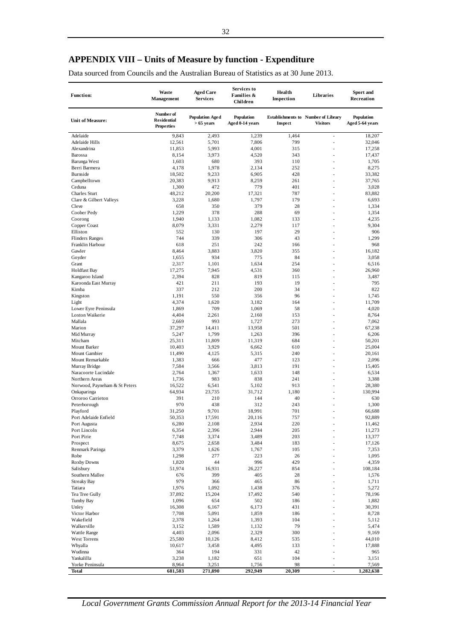# **APPENDIX VIII – Units of Measure by function - Expenditure**

Data sourced from Councils and the Australian Bureau of Statistics as at 30 June 2013.

| <b>Function:</b>                             | <b>Waste</b><br><b>Management</b>                    | <b>Aged Care</b><br><b>Services</b>    | Services to<br>Families &<br>Children | Health<br>Inspection | Libraries                                                     | Sport and<br>Recreation       |
|----------------------------------------------|------------------------------------------------------|----------------------------------------|---------------------------------------|----------------------|---------------------------------------------------------------|-------------------------------|
| <b>Unit of Measure:</b>                      | Number of<br><b>Residential</b><br><b>Properties</b> | <b>Population Age d</b><br>$>65$ years | <b>Population</b><br>Aged 0-14 years  | Inspect              | <b>Establishments to Number of Library</b><br><b>Visitors</b> | Population<br>Aged 5-64 years |
| Adelaide                                     | 9,843                                                | 2,493                                  | 1,239                                 | 1,464                | J.                                                            | 18,207                        |
| Adelaide Hills                               | 12,561                                               | 5,701                                  | 7,806                                 | 799                  | Ĭ.                                                            | 32,046                        |
| Alexandrina                                  | 11,853                                               | 5,993                                  | 4,001                                 | 315                  | ×.                                                            | 17,258                        |
| Barossa                                      | 8,154                                                | 3,973                                  | 4,520                                 | 343                  |                                                               | 17,437                        |
| Barunga West                                 | 1,603                                                | 680                                    | 393                                   | 110                  | ٠                                                             | 1,705                         |
| Berri Barmera                                | 4,178                                                | 1,978                                  | 2,134                                 | 252                  |                                                               | 8,275                         |
| Burnside                                     | 18,502                                               | 9,233                                  | 6,905                                 | 428                  | ×.                                                            | 33,382                        |
| Campbelltown<br>Ceduna                       | 20,383<br>1,300                                      | 9,913<br>472                           | 8,259<br>779                          | 261<br>401           |                                                               | 37,765<br>3,028               |
| Charles Sturt                                | 48,212                                               | 20,200                                 | 17,321                                | 787                  | ÷                                                             | 83,882                        |
| Clare & Gilbert Valleys                      | 3,228                                                | 1,680                                  | 1,797                                 | 179                  |                                                               | 6,693                         |
| Cleve                                        | 658                                                  | 350                                    | 379                                   | 28                   |                                                               | 1,334                         |
| Coober Pedy                                  | 1,229                                                | 378                                    | 288                                   | 69                   | ×.                                                            | 1,354                         |
| Coorong                                      | 1,940                                                | 1,133                                  | 1,082                                 | 133                  |                                                               | 4,235                         |
| Copper Coast                                 | 8,079                                                | 3,331                                  | 2,279                                 | 117                  | ÷                                                             | 9,304                         |
| Elliston                                     | 552                                                  | 130                                    | 197                                   | 29                   |                                                               | 906                           |
| <b>Flinders Ranges</b>                       | 744                                                  | 339                                    | 306                                   | 43                   |                                                               | 1,299                         |
| Franklin Harbour                             | 618                                                  | 251                                    | 242                                   | 166                  | ×.                                                            | 968                           |
| Gawler                                       | 8,464                                                | 3.883                                  | 3.820                                 | 355                  |                                                               | 16,182                        |
| Goyder                                       | 1,655                                                | 934                                    | 775                                   | 84                   | ÷                                                             | 3,058                         |
| Grant                                        | 2,317                                                | 1,101                                  | 1,634                                 | 254                  | ÷                                                             | 6,516                         |
| <b>Holdfast Bay</b>                          | 17,275                                               | 7,945                                  | 4,531                                 | 360                  |                                                               | 26,960                        |
| Kangaroo Island                              | 2,394                                                | 828                                    | 819                                   | 115                  | ×.                                                            | 3,487                         |
| Karoonda East Murray<br>Kimba                | 421<br>337                                           | 211<br>212                             | 193<br>200                            | 19<br>34             |                                                               | 795<br>822                    |
| Kingston                                     | 1,191                                                | 550                                    | 356                                   | 96                   | ÷                                                             | 1,745                         |
| Light                                        | 4,374                                                | 1,620                                  | 3,182                                 | 164                  |                                                               | 11,709                        |
| Lower Eyre Peninsula                         | 1,869                                                | 709                                    | 1,069                                 | 58                   | ×.                                                            | 4,020                         |
| <b>Loxton Waikerie</b>                       | 4,404                                                | 2,261                                  | 2,160                                 | 153                  |                                                               | 8,764                         |
| Mallala                                      | 2,669                                                | 993                                    | 1,727                                 | 273                  |                                                               | 7,062                         |
| Marion                                       | 37,297                                               | 14,411                                 | 13,958                                | 501                  | ÷                                                             | 67,238                        |
| Mid Murray                                   | 5,247                                                | 1,799                                  | 1,263                                 | 396                  | Ĭ.                                                            | 6,206                         |
| Mitcham                                      | 25,311                                               | 11,809                                 | 11,319                                | 684                  | ×.                                                            | 50,201                        |
| Mount Barker                                 | 10,403                                               | 3,929                                  | 6,662                                 | 610                  | ×.                                                            | 25,004                        |
| <b>Mount Gambier</b>                         | 11,490                                               | 4,125                                  | 5,315                                 | 240                  | ä,                                                            | 20,161                        |
| Mount Remarkable                             | 1,383                                                | 666                                    | 477                                   | 123                  | ÷                                                             | 2,096                         |
| Murray Bridge                                | 7,584                                                | 3,566                                  | 3,813                                 | 191                  | Ĭ.                                                            | 15,405                        |
| Naracoorte Lucindale                         | 2,764                                                | 1,367                                  | 1,633                                 | 148                  |                                                               | 6,534                         |
| Northern Areas                               | 1,736                                                | 983                                    | 838                                   | 241<br>913           | ×.                                                            | 3,388<br>28,380               |
| Norwood, Payneham & St Peters<br>Onkaparinga | 16,522<br>64,934                                     | 6,541<br>23,735                        | 5,102<br>31,712                       | 1,180                | ×.                                                            | 130,994                       |
| Orroroo Carrieton                            | 391                                                  | 210                                    | 144                                   | 40                   |                                                               | 630                           |
| Peterborough                                 | 970                                                  | 438                                    | 312                                   | 243                  |                                                               | 1,300                         |
| Playford                                     | 31,250                                               | 9,701                                  | 18,991                                | 701                  | ÷                                                             | 66,688                        |
| Port Adelaide Enfield                        | 50,353                                               | 17,591                                 | 20,116                                | 757                  | Ĭ.                                                            | 92,889                        |
| Port Augusta                                 | 6,280                                                | 2,108                                  | 2,934                                 | 220                  |                                                               | 11,462                        |
| Port Lincoln                                 | 6,354                                                | 2,396                                  | 2,944                                 | 205                  | ÷                                                             | 11,273                        |
| Port Pirie                                   | 7,748                                                | 3,374                                  | 3,489                                 | 203                  |                                                               | 13,377                        |
| Prospect                                     | 8,675                                                | 2,658                                  | 3,484                                 | 183                  |                                                               | 17,126                        |
| Renmark Paringa                              | 3,379                                                | 1,626                                  | 1,767                                 | 105                  |                                                               | 7,353                         |
| Robe                                         | 1,298                                                | 277                                    | 223                                   | 26                   |                                                               | 1,095                         |
| Roxby Downs                                  | 1,820                                                | 44                                     | 996                                   | 429                  | ä,                                                            | 4,359                         |
| Salisbury                                    | 51,974                                               | 16,931                                 | 26,227                                | 854                  | ä,                                                            | 108,184                       |
| Southern Mallee<br><b>Streaky Bay</b>        | 676<br>979                                           | 399<br>366                             | 405<br>465                            | 28<br>86             |                                                               | 1,576<br>1,711                |
| Tatiara                                      | 1,976                                                | 1,092                                  | 1,438                                 | 376                  |                                                               | 5,272                         |
| Tea Tree Gully                               | 37,892                                               | 15,204                                 | 17,492                                | 540                  | ä,                                                            | 78,196                        |
| <b>Tumby Bay</b>                             | 1,096                                                | 654                                    | 502                                   | 186                  |                                                               | 1,882                         |
| Unley                                        | 16,308                                               | 6,167                                  | 6,173                                 | 431                  | ä,                                                            | 30,391                        |
| Victor Harbor                                | 7,708                                                | 5,091                                  | 1,859                                 | 186                  |                                                               | 8,728                         |
| Wakefield                                    | 2,378                                                | 1,264                                  | 1,393                                 | 104                  |                                                               | 5,112                         |
| Walkerville                                  | 3,152                                                | 1,589                                  | 1,132                                 | 79                   |                                                               | 5,474                         |
| Wattle Range                                 | 4,403                                                | 2,096                                  | 2,329                                 | 300                  |                                                               | 9,169                         |
| West Torrens                                 | 25,580                                               | 10,126                                 | 8,412                                 | 535                  |                                                               | 44,010                        |
| Whyalla                                      | 10,617                                               | 3,458                                  | 4,495                                 | 133                  |                                                               | 17,888                        |
| Wudinna                                      | 364                                                  | 194                                    | 331                                   | 42                   |                                                               | 965                           |
| Yankalilla<br>Yorke Peninsula                | 3,238<br>8,964                                       | 1,182<br>3,251                         | 651<br>1,756                          | 104<br>98            | Ĭ.                                                            | 3,151<br>7,569                |
| Total                                        | 681,503                                              | 271,890                                | 292,949                               | 20,309               | $\blacksquare$                                                | 1,282,638                     |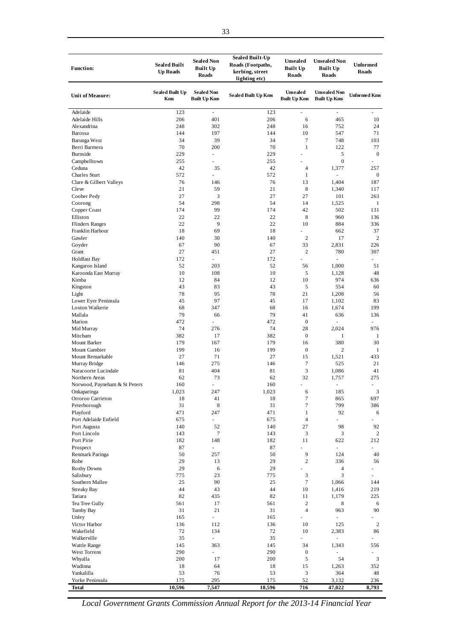| <b>Function:</b>              | <b>Sealed Built</b><br><b>Up Roads</b> | <b>Sealed Non</b><br><b>Built Up</b><br>Roads | <b>Sealed Built-Up</b><br>Roads (Footpaths,<br>kerbing, street<br>lighting etc) | Unsealed<br><b>Built Up</b><br><b>Roads</b> | <b>Unsealed Non</b><br><b>Built Up</b><br><b>Roads</b> | <b>Unformed</b><br><b>Roads</b> |
|-------------------------------|----------------------------------------|-----------------------------------------------|---------------------------------------------------------------------------------|---------------------------------------------|--------------------------------------------------------|---------------------------------|
| <b>Unit of Measure:</b>       | <b>Sealed Built Up</b><br><b>Kms</b>   | <b>Sealed Non</b><br><b>Built Up Kms</b>      | <b>Sealed Built Up Kms</b>                                                      | Unsealed<br><b>Built Up Kms</b>             | <b>Unsealed Non</b><br><b>Built Up Kms</b>             | <b>Unformed Kms</b>             |
| Adelaide                      | 123                                    | ÷,                                            | 123                                                                             | ÷,                                          | ÷,                                                     |                                 |
| Adelaide Hills                | 206                                    | 401                                           | 206                                                                             | 6                                           | 465                                                    | 10                              |
| Alexandrina                   | 248                                    | 302                                           | 248                                                                             | 16                                          | 752                                                    | 24                              |
| Barossa                       | 144                                    | 197                                           | 144                                                                             | 10                                          | 547                                                    | 71                              |
| Barunga West                  | 34                                     | 39                                            | 34                                                                              | $\tau$                                      | 748                                                    | 103                             |
| Berri Barmera                 | 70                                     | 200                                           | 70                                                                              | $\mathbf{1}$                                | 122                                                    | 77                              |
| Burnside                      | 229                                    | $\omega$                                      | 229                                                                             |                                             | 5                                                      | $\boldsymbol{0}$                |
| Campbelltown                  | 255                                    |                                               | 255                                                                             |                                             | $\boldsymbol{0}$                                       |                                 |
| Ceduna                        | 42                                     | 35                                            | 42                                                                              | 4                                           | 1,377                                                  | 257                             |
| <b>Charles Sturt</b>          | 572                                    | $\sim$                                        | 572                                                                             | $\mathbf{1}$                                | $\omega$                                               | 0                               |
| Clare & Gilbert Valleys       | 76                                     | 146                                           | 76                                                                              | 13                                          | 1,404                                                  | 187                             |
| Cleve                         | 21                                     | 59                                            | 21                                                                              | 8                                           | 1,340                                                  | 117                             |
| Coober Pedy                   | 27                                     | 3                                             | 27                                                                              | 27                                          | 101                                                    | 263                             |
| Coorong                       | 54                                     | 298                                           | 54                                                                              | 14                                          | 1,525                                                  | $\mathbf{1}$                    |
| Copper Coast                  | 174                                    | 99                                            | 174                                                                             | 42                                          | 502                                                    | 131                             |
| Elliston                      | 22                                     | 22                                            | 22                                                                              | 8                                           | 960                                                    | 136                             |
| <b>Flinders Ranges</b>        | 22                                     | 9                                             | 22                                                                              | 10                                          | 884                                                    | 336                             |
| Franklin Harbour              | 18                                     | 69                                            | 18                                                                              |                                             | 662                                                    | 37                              |
| Gawler                        | 140                                    | 30                                            | 140                                                                             | $\mathfrak{2}$                              | 17                                                     | 2                               |
| Goyder                        | 67                                     | 90                                            | 67                                                                              | 33                                          | 2,831                                                  | 226                             |
| Grant                         | 27                                     | 451                                           | 27                                                                              | $\mathfrak{2}$                              | 780                                                    | 307                             |
| <b>Holdfast Bay</b>           | 172                                    | $\blacksquare$                                | 172                                                                             |                                             |                                                        | $\overline{\phantom{a}}$        |
| Kangaroo Island               | 52                                     | 203                                           | 52                                                                              | 56<br>5                                     | 1,000                                                  | 51                              |
| Karoonda East Murray          | 10<br>12                               | 108<br>84                                     | 10<br>12                                                                        | 10                                          | 1,128<br>974                                           | 48<br>636                       |
| Kimba<br>Kingston             | 43                                     | 83                                            | 43                                                                              | 5                                           | 554                                                    | 60                              |
|                               | 78                                     | 95                                            | 78                                                                              | 21                                          | 1,208                                                  | 56                              |
| Light<br>Lower Eyre Peninsula | 45                                     | 97                                            | 45                                                                              | 17                                          | 1,102                                                  | 83                              |
| Loxton Waikerie               | 68                                     | 347                                           | 68                                                                              | 16                                          | 1,674                                                  | 199                             |
| Mallala                       | 79                                     | 66                                            | 79                                                                              | 41                                          | 636                                                    | 136                             |
| Marion                        | 472                                    | $\blacksquare$                                | 472                                                                             | $\boldsymbol{0}$                            |                                                        | $\overline{\phantom{a}}$        |
| Mid Murray                    | 74                                     | 276                                           | 74                                                                              | 28                                          | 2,024                                                  | 976                             |
| Mitcham                       | 382                                    | 17                                            | 382                                                                             | $\boldsymbol{0}$                            | $\mathbf{1}$                                           | $\mathbf{1}$                    |
| Mount Barker                  | 179                                    | 167                                           | 179                                                                             | 16                                          | 380                                                    | 30                              |
| Mount Gambier                 | 199                                    | 16                                            | 199                                                                             | $\boldsymbol{0}$                            | 2                                                      | $\mathbf{1}$                    |
| Mount Remarkable              | 27                                     | 71                                            | 27                                                                              | 15                                          | 1,521                                                  | 433                             |
| Murray Bridge                 | 146                                    | 275                                           | 146                                                                             | $\tau$                                      | 525                                                    | 21                              |
| Naracoorte Lucindale          | 81                                     | 404                                           | 81                                                                              | 3                                           | 1,086                                                  | 41                              |
| Northern Areas                | 62                                     | 73                                            | 62                                                                              | 32                                          | 1,757                                                  | 275                             |
| Norwood, Payneham & St Peters | 160                                    |                                               | 160                                                                             |                                             |                                                        | $\sim$                          |
| Onkaparinga                   | 1,023                                  | 247                                           | 1,023                                                                           | 6                                           | 185                                                    | 3                               |
| Orroroo Carrieton             | 18                                     | 41                                            | 18                                                                              | $\tau$                                      | 865                                                    | 697                             |
| Peterborough                  | 31                                     | 8                                             | 31                                                                              | 7                                           | 799                                                    | 386                             |
| Playford                      | 471                                    | 247                                           | 471                                                                             | $\mathbf{1}$                                | 92                                                     | 6                               |
| Port Adelaide Enfield         | 675                                    | ÷,                                            | 675                                                                             | $\overline{4}$                              |                                                        |                                 |
| Port Augusta                  | 140                                    | 52                                            | 140                                                                             | 27                                          | 98                                                     | 92                              |
| Port Lincoln                  | 143                                    | $\tau$                                        | 143                                                                             | 3                                           | 3                                                      | $\overline{c}$                  |
| Port Pirie                    | 182                                    | 148                                           | 182                                                                             | 11                                          | 622                                                    | 212                             |
| Prospect                      | 87                                     | $\overline{\phantom{a}}$                      | 87                                                                              |                                             | $\overline{\phantom{a}}$                               | $\frac{1}{2}$                   |
| Renmark Paringa               | 50                                     | 257                                           | 50                                                                              | 9                                           | 124                                                    | 40                              |
| Robe                          | 29                                     | 13                                            | 29                                                                              | $\overline{c}$                              | 336                                                    | 56                              |
| <b>Roxby Downs</b>            | 29                                     | 6                                             | 29                                                                              |                                             | 4                                                      | ۰                               |
| Salisbury                     | 775                                    | 23                                            | 775                                                                             | 3                                           | 3                                                      | $\sim$                          |
| Southern Mallee               | 25                                     | 90                                            | 25                                                                              | $\tau$                                      | 1,066                                                  | 144                             |
| <b>Streaky Bay</b>            | 44                                     | 43                                            | 44                                                                              | 10                                          | 1,416                                                  | 219                             |
| Tatiara                       | 82                                     | 435                                           | 82                                                                              | 11                                          | 1,179                                                  | 225                             |
| Tea Tree Gully                | 561                                    | 17                                            | 561                                                                             | $\sqrt{2}$                                  | 8                                                      | 6                               |
| Tumby Bay                     | 31                                     | 21                                            | 31                                                                              | $\overline{4}$                              | 963                                                    | 90                              |
| Unley                         | 165                                    | $\sim$                                        | 165                                                                             | $\blacksquare$                              |                                                        |                                 |
| Victor Harbor                 | 136                                    | 112                                           | 136<br>72                                                                       | 10                                          | 125                                                    | $\overline{\mathbf{c}}$         |
| Wakefield<br>Walkerville      | 72<br>35                               | 134<br>÷.                                     | 35                                                                              | 10                                          | 2,383<br>٠                                             | 86<br>$\overline{\phantom{a}}$  |
| Wattle Range                  | 145                                    | 363                                           | 145                                                                             | 34                                          | 1,343                                                  | 556                             |
| West Torrens                  | 290                                    | $\omega_{\rm c}$                              | 290                                                                             | $\boldsymbol{0}$                            |                                                        | $\sim$                          |
| Whyalla                       | 200                                    | 17                                            | 200                                                                             | $\sqrt{5}$                                  | 54                                                     | 3                               |
| Wudinna                       | 18                                     | 64                                            | 18                                                                              | 15                                          | 1,263                                                  | 352                             |
| Yankalilla                    | 53                                     | $76\,$                                        | 53                                                                              | $\ensuremath{\mathfrak{Z}}$                 | 364                                                    | 48                              |
| Yorke Peninsula               | 175                                    | 295                                           | 175                                                                             | 52                                          | 3,132                                                  | 236                             |
| Total                         | 10,596                                 | 7,547                                         | 10,596                                                                          | 716                                         | 47,022                                                 | 8,793                           |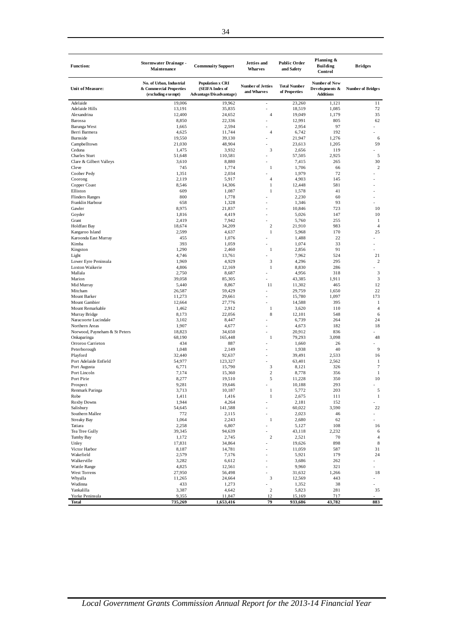| <b>Function:</b>              | <b>Stormwater Drainage -</b><br>Maintenance                               | <b>Commnuity Support</b>                                              | <b>Jetties</b> and<br><b>Wharves</b>    | <b>Public Order</b><br>and Safety    | Planning &<br><b>Building</b><br>Control                   | <b>Bridges</b>           |
|-------------------------------|---------------------------------------------------------------------------|-----------------------------------------------------------------------|-----------------------------------------|--------------------------------------|------------------------------------------------------------|--------------------------|
| <b>Unit of Measure:</b>       | No. of Urban, Industrial<br>& Commercial Properties<br>(excluding exempt) | <b>Population x CRI</b><br>(SEIFA Index of<br>Advantage/Disadvantage) | <b>Number of Jetties</b><br>and Wharves | <b>Total Number</b><br>of Properties | <b>Number of New</b><br>Developments &<br><b>Additions</b> | <b>Number of Bridges</b> |
| Adelaide                      | 19,006                                                                    | 19.962                                                                | $\blacksquare$                          | 23,260                               | 1,121                                                      | 11                       |
| Adelaide Hills                | 13,191                                                                    | 35,835                                                                | $\overline{\phantom{a}}$                | 18,519                               | 1,085                                                      | 72                       |
| Alexandrina                   | 12,400                                                                    | 24,652                                                                | $\overline{4}$                          | 19,049                               | 1,179                                                      | 35                       |
| Barossa                       | 8,850                                                                     | 22,336                                                                | ä,                                      | 12,991                               | 805                                                        | 62                       |
| Barunga West                  | 1,665                                                                     | 2,594                                                                 |                                         | 2,954                                | 97                                                         |                          |
| Berri Barmera                 | 4,625                                                                     | 11,744                                                                | $\overline{4}$                          | 6,742                                | 192                                                        |                          |
| Burnside                      | 19,550                                                                    | 39,130                                                                | $\overline{a}$                          | 21,947                               | 1,276                                                      | 6                        |
| Campbelltown                  | 21,030                                                                    | 48,904                                                                |                                         | 23,613                               | 1,205                                                      | 59                       |
| Ceduna                        | 1,475                                                                     | 3,932                                                                 | 3                                       | 2,656                                | 119                                                        |                          |
| <b>Charles Sturt</b>          | 51,648                                                                    | 110,581                                                               |                                         | 57,505                               | 2,925                                                      | 5                        |
| Clare & Gilbert Valleys       | 3,610                                                                     | 8,880                                                                 | ä,                                      | 7,415                                | 265                                                        | 30                       |
| Cleve                         | 745                                                                       | 1,774                                                                 | $\mathbf{1}$                            | 1,706                                | 66                                                         | 2                        |
| Coober Pedy                   | 1,351                                                                     | 2,034                                                                 | $\overline{a}$                          | 1,979                                | 72                                                         |                          |
| Coorong                       | 2,119                                                                     | 5,917                                                                 | $\overline{4}$                          | 4,903                                | 145                                                        |                          |
| Copper Coast                  | 8,546                                                                     | 14,306                                                                | $\mathbf{1}$                            | 12,448                               | 581                                                        |                          |
| Elliston                      | 609                                                                       | 1,087                                                                 | $\mathbf{1}$                            | 1,578                                | 41                                                         |                          |
| <b>Flinders Ranges</b>        | 800                                                                       | 1,778                                                                 |                                         | 2,230                                | 60                                                         |                          |
| Franklin Harbour              | 658                                                                       | 1,328                                                                 | ä,                                      | 1,346                                | 93                                                         |                          |
| Gawler                        | 8,975                                                                     | 21,837                                                                | ÷                                       | 10,846                               | 723                                                        | 10                       |
| Goyder                        | 1,816                                                                     | 4,419                                                                 | $\overline{a}$                          | 5,026                                | 147                                                        | 10                       |
| Grant                         | 2,419                                                                     | 7,942                                                                 |                                         | 5,760                                | 255                                                        | $\mathbf{1}$             |
| <b>Holdfast Bay</b>           | 18,674                                                                    | 34,209                                                                | $\overline{c}$                          | 21,910                               | 983                                                        | $\overline{4}$           |
| Kangaroo Island               | 2,599                                                                     | 4,637                                                                 | $\mathbf{1}$                            | 5,968                                | 170                                                        | 25                       |
| Karoonda East Murray          | 455                                                                       | 1,076                                                                 | $\overline{a}$                          | 1,488                                | 22                                                         |                          |
| Kimba                         | 393                                                                       | 1,059                                                                 | ä,                                      | 1,074                                | 33                                                         |                          |
| Kingston                      | 1,290                                                                     | 2,460                                                                 | $\mathbf{1}$                            | 2,856                                | 91                                                         |                          |
| Light                         | 4,746                                                                     | 13,761                                                                | $\overline{a}$                          | 7,962                                | 524                                                        | 21                       |
| Lower Eyre Peninsula          | 1,969                                                                     | 4,929                                                                 | 3                                       | 4,296                                | 295                                                        | $\overline{2}$           |
| Loxton Waikerie               | 4,806                                                                     | 12,169                                                                | $\mathbf{1}$                            | 8,830                                | 286                                                        |                          |
| Mallala                       | 2,750                                                                     | 8,687                                                                 | L,                                      | 4,956                                | 318                                                        | $\boldsymbol{\beta}$     |
| Marion                        | 39,058                                                                    | 85,305                                                                | ÷,                                      | 43,385                               | 1,911                                                      | 3                        |
| Mid Murray                    | 5,440                                                                     | 8,867                                                                 | 11                                      | 11,302                               | 465                                                        | 12                       |
| Mitcham                       | 26,587                                                                    | 59,429                                                                | L,                                      | 29,759                               | 1,650                                                      | 22                       |
| Mount Barker                  | 11,273                                                                    | 29,661                                                                | $\overline{a}$                          | 15,780                               | 1,097                                                      | 173                      |
| Mount Gambier                 | 12,664                                                                    | 27,776                                                                | $\overline{a}$                          | 14,588                               | 395                                                        | 1                        |
| Mount Remarkable              | 1,462                                                                     | 2,912                                                                 | 1                                       | 3,620                                | 110                                                        | $\overline{4}$           |
| Murray Bridge                 | 8,173                                                                     | 22,056                                                                | 8                                       | 12,101                               | 548                                                        | 6                        |
| Naracoorte Lucindale          | 3,102                                                                     | 8,447                                                                 | ä,                                      | 6,739                                | 264                                                        | 24                       |
| Northern Areas                | 1,907                                                                     | 4,677                                                                 | ä,                                      | 4,673                                | 182                                                        | 18                       |
|                               |                                                                           |                                                                       | $\overline{a}$                          |                                      | 836                                                        |                          |
| Norwood, Payneham & St Peters | 18,823<br>68,190                                                          | 34,650<br>165,448                                                     | $\mathbf{1}$                            | 20,912<br>79,293                     | 3,098                                                      | 48                       |
| Onkaparinga                   |                                                                           |                                                                       |                                         |                                      |                                                            |                          |
| Orroroo Carrieton             | 434                                                                       | 887                                                                   |                                         | 1,660                                | 26                                                         |                          |
| Peterborough                  | 1,048                                                                     | 2,149                                                                 |                                         | 1,938                                | 40                                                         | 9                        |
| Playford                      | 32,440                                                                    | 92,637                                                                |                                         | 39,491                               | 2,533                                                      | 16                       |
| Port Adelaide Enfield         | 54,977                                                                    | 123,327                                                               |                                         | 63,401                               | 2,562                                                      | $\mathbf{1}$             |
| Port Augusta                  | 6,771                                                                     | 15,790                                                                | 3                                       | 8,121                                | 326                                                        | $\tau$                   |
| Port Lincoln                  | 7,174                                                                     | 15,360                                                                | $\,2$                                   | 8,778                                | 356                                                        | $\mathbf{1}$             |
| Port Pirie                    | 8,277                                                                     | 19,510                                                                | 5                                       | 11,228                               | 350                                                        | 10                       |
| Prospect                      | 9,281                                                                     | 19,646                                                                |                                         | 10,188                               | 293                                                        |                          |
| Renmark Paringa               | 3,713                                                                     | 10,187                                                                | 1                                       | 5,772                                | 203                                                        | 5                        |
| Robe                          | 1,411                                                                     | 1,416                                                                 | $\mathbf{1}$                            | 2,675                                | 111                                                        | $\mathbf{1}$             |
| <b>Roxby Downs</b>            | 1,944                                                                     | 4,264                                                                 | ä,                                      | 2,181                                | 152                                                        |                          |
| Salisbury                     | 54,645                                                                    | 141,588                                                               | $\overline{a}$                          | 60,022                               | 3,590                                                      | 22                       |
| Southern Mallee               | 772                                                                       | 2,115                                                                 | $\overline{a}$                          | 2,023                                | 46                                                         |                          |
| <b>Streaky Bay</b>            | 1,064                                                                     | 2,243                                                                 | $\mathbf{1}$                            | 2,680                                | 62                                                         |                          |
| Tatiara                       | 2,258                                                                     | 6,807                                                                 | $\frac{1}{2}$                           | 5,127                                | 108                                                        | 16                       |
| Tea Tree Gully                | 39,345                                                                    | 94,639                                                                |                                         | 43,118                               | 2,232                                                      | 6                        |
| Tumby Bay                     | 1,172                                                                     | 2,745                                                                 | $\overline{c}$                          | 2,521                                | 70                                                         | 4                        |
| Unley                         | 17,831                                                                    | 34,864                                                                |                                         | 19,626                               | 898                                                        | 8                        |
| Victor Harbor                 | 8,187                                                                     | 14,781                                                                |                                         | 11,059                               | 587                                                        | 31                       |
| Wakefield                     | 2,579                                                                     | 7,176                                                                 | L,                                      | 5,921                                | 179                                                        | 24                       |
| Walkerville                   | 3,282                                                                     | 6,612                                                                 |                                         | 3,686                                | 262                                                        |                          |
| <b>Wattle Range</b>           | 4,825                                                                     | 12,561                                                                |                                         | 9,960                                | 321                                                        |                          |
| West Torrens                  | 27,950                                                                    | 56,498                                                                |                                         | 31,632                               | 1,266                                                      | 18                       |
| Whyalla                       | 11,265                                                                    | 24,664                                                                | 3                                       | 12,569                               | 443                                                        |                          |
| Wudinna                       | 433                                                                       | 1,273                                                                 |                                         | 1,352                                | 38                                                         |                          |
| Yankalilla                    | 3,387                                                                     | 4,642                                                                 | $\sqrt{2}$                              | 5,823                                | 281                                                        | 35                       |
| Yorke Peninsula               | 9,355                                                                     | 11,847                                                                | 12                                      | 15,169                               | 717                                                        |                          |
| <b>Total</b>                  | 735,269                                                                   | 1,653,416                                                             | 79                                      | 933,686                              | 43,782                                                     | 883                      |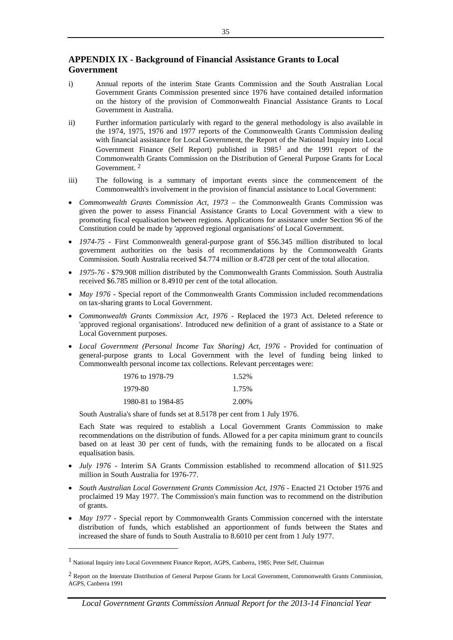# **APPENDIX IX - Background of Financial Assistance Grants to Local Government**

- i) Annual reports of the interim State Grants Commission and the South Australian Local Government Grants Commission presented since 1976 have contained detailed information on the history of the provision of Commonwealth Financial Assistance Grants to Local Government in Australia.
- ii) Further information particularly with regard to the general methodology is also available in the 1974, 1975, 1976 and 1977 reports of the Commonwealth Grants Commission dealing with financial assistance for Local Government, the Report of the National Inquiry into Local Government Finance (Self Report) published in [1](#page-37-0)985<sup>1</sup> and the 1991 report of the Commonwealth Grants Commission on the Distribution of General Purpose Grants for Local Government. [2](#page-37-1)
- iii) The following is a summary of important events since the commencement of the Commonwealth's involvement in the provision of financial assistance to Local Government:
- *Commonwealth Grants Commission Act, 1973 –* the Commonwealth Grants Commission was given the power to assess Financial Assistance Grants to Local Government with a view to promoting fiscal equalisation between regions. Applications for assistance under Section 96 of the Constitution could be made by 'approved regional organisations' of Local Government.
- *1974-75 -* First Commonwealth general-purpose grant of \$56.345 million distributed to local government authorities on the basis of recommendations by the Commonwealth Grants Commission. South Australia received \$4.774 million or 8.4728 per cent of the total allocation.
- *1975-76*  \$79.908 million distributed by the Commonwealth Grants Commission. South Australia received \$6.785 million or 8.4910 per cent of the total allocation.
- *May 1976* Special report of the Commonwealth Grants Commission included recommendations on tax-sharing grants to Local Government.
- *Commonwealth Grants Commission Act, 1976 -* Replaced the 1973 Act. Deleted reference to 'approved regional organisations'. Introduced new definition of a grant of assistance to a State or Local Government purposes.
- *Local Government (Personal Income Tax Sharing) Act, 1976 -* Provided for continuation of general-purpose grants to Local Government with the level of funding being linked to Commonwealth personal income tax collections. Relevant percentages were:

| 1976 to 1978-79    | 1.52% |
|--------------------|-------|
| 1979-80            | 1.75% |
| 1980-81 to 1984-85 | 2.00% |

South Australia's share of funds set at 8.5178 per cent from 1 July 1976.

Each State was required to establish a Local Government Grants Commission to make recommendations on the distribution of funds. Allowed for a per capita minimum grant to councils based on at least 30 per cent of funds, with the remaining funds to be allocated on a fiscal equalisation basis.

- *July 1976 -* Interim SA Grants Commission established to recommend allocation of \$11.925 million in South Australia for 1976-77.
- *South Australian Local Government Grants Commission Act, 1976 -* Enacted 21 October 1976 and proclaimed 19 May 1977. The Commission's main function was to recommend on the distribution of grants.
- *May 1977* Special report by Commonwealth Grants Commission concerned with the interstate distribution of funds, which established an apportionment of funds between the States and increased the share of funds to South Australia to 8.6010 per cent from 1 July 1977.

-

<span id="page-37-0"></span><sup>1</sup> National Inquiry into Local Government Finance Report, AGPS, Canberra, 1985; Peter Self, Chairman

<span id="page-37-1"></span> $2$  Report on the Interstate Distribution of General Purpose Grants for Local Government, Commonwealth Grants Commission, AGPS, Canberra 1991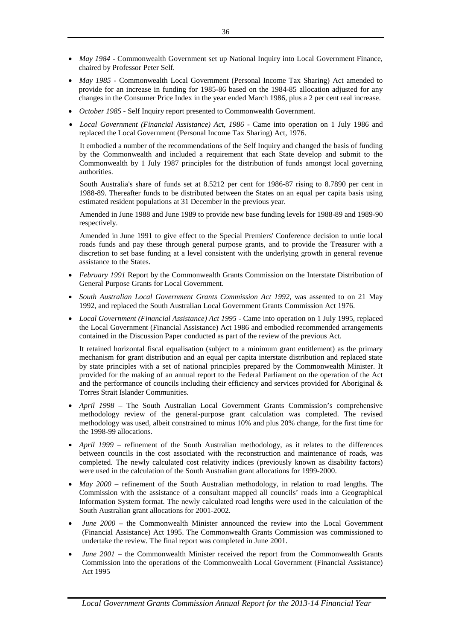- *May 1984 -* Commonwealth Government set up National Inquiry into Local Government Finance, chaired by Professor Peter Self.
- *May 1985 -* Commonwealth Local Government (Personal Income Tax Sharing) Act amended to provide for an increase in funding for 1985-86 based on the 1984-85 allocation adjusted for any changes in the Consumer Price Index in the year ended March 1986, plus a 2 per cent real increase.
- *October 1985 -* Self Inquiry report presented to Commonwealth Government.
- *Local Government (Financial Assistance) Act, 1986 -* Came into operation on 1 July 1986 and replaced the Local Government (Personal Income Tax Sharing) Act, 1976.

It embodied a number of the recommendations of the Self Inquiry and changed the basis of funding by the Commonwealth and included a requirement that each State develop and submit to the Commonwealth by 1 July 1987 principles for the distribution of funds amongst local governing authorities.

South Australia's share of funds set at 8.5212 per cent for 1986-87 rising to 8.7890 per cent in 1988-89. Thereafter funds to be distributed between the States on an equal per capita basis using estimated resident populations at 31 December in the previous year.

Amended in June 1988 and June 1989 to provide new base funding levels for 1988-89 and 1989-90 respectively.

Amended in June 1991 to give effect to the Special Premiers' Conference decision to untie local roads funds and pay these through general purpose grants, and to provide the Treasurer with a discretion to set base funding at a level consistent with the underlying growth in general revenue assistance to the States.

- *February 1991* Report by the Commonwealth Grants Commission on the Interstate Distribution of General Purpose Grants for Local Government.
- *South Australian Local Government Grants Commission Act 1992,* was assented to on 21 May 1992, and replaced the South Australian Local Government Grants Commission Act 1976.
- *Local Government (Financial Assistance) Act 1995 -* Came into operation on 1 July 1995, replaced the Local Government (Financial Assistance) Act 1986 and embodied recommended arrangements contained in the Discussion Paper conducted as part of the review of the previous Act.

It retained horizontal fiscal equalisation (subject to a minimum grant entitlement) as the primary mechanism for grant distribution and an equal per capita interstate distribution and replaced state by state principles with a set of national principles prepared by the Commonwealth Minister. It provided for the making of an annual report to the Federal Parliament on the operation of the Act and the performance of councils including their efficiency and services provided for Aboriginal & Torres Strait Islander Communities.

- *April 1998* The South Australian Local Government Grants Commission's comprehensive methodology review of the general-purpose grant calculation was completed. The revised methodology was used, albeit constrained to minus 10% and plus 20% change, for the first time for the 1998-99 allocations.
- *April 1999* refinement of the South Australian methodology, as it relates to the differences between councils in the cost associated with the reconstruction and maintenance of roads, was completed. The newly calculated cost relativity indices (previously known as disability factors) were used in the calculation of the South Australian grant allocations for 1999-2000.
- *May 2000* refinement of the South Australian methodology, in relation to road lengths. The Commission with the assistance of a consultant mapped all councils' roads into a Geographical Information System format. The newly calculated road lengths were used in the calculation of the South Australian grant allocations for 2001-2002.
- *June 2000 –* the Commonwealth Minister announced the review into the Local Government (Financial Assistance) Act 1995. The Commonwealth Grants Commission was commissioned to undertake the review. The final report was completed in June 2001.
- *June 2001* the Commonwealth Minister received the report from the Commonwealth Grants Commission into the operations of the Commonwealth Local Government (Financial Assistance) Act 1995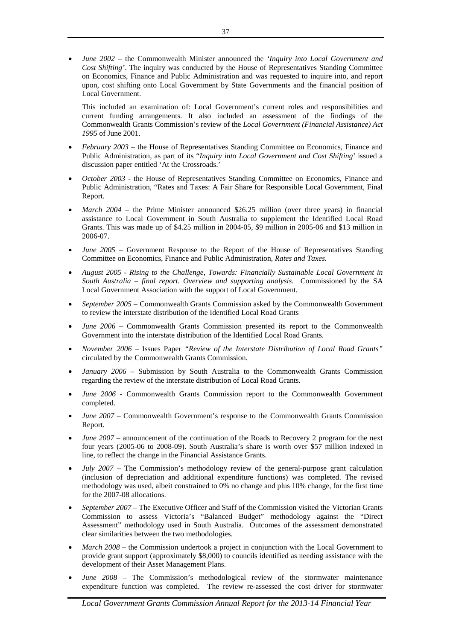• *June 2002* – the Commonwealth Minister announced the *'Inquiry into Local Government and Cost Shifting'*. The inquiry was conducted by the House of Representatives Standing Committee on Economics, Finance and Public Administration and was requested to inquire into, and report upon, cost shifting onto Local Government by State Governments and the financial position of Local Government.

This included an examination of: Local Government's current roles and responsibilities and current funding arrangements. It also included an assessment of the findings of the Commonwealth Grants Commission's review of the *Local Government (Financial Assistance) Act 1995* of June 2001.

- *February 2003*  the House of Representatives Standing Committee on Economics, Finance and Public Administration, as part of its "*Inquiry into Local Government and Cost Shifting'* issued a discussion paper entitled 'At the Crossroads.'
- *October 2003 -* the House of Representatives Standing Committee on Economics, Finance and Public Administration, "Rates and Taxes: A Fair Share for Responsible Local Government, Final Report.
- *March 2004* the Prime Minister announced \$26.25 million (over three years) in financial assistance to Local Government in South Australia to supplement the Identified Local Road Grants. This was made up of \$4.25 million in 2004-05, \$9 million in 2005-06 and \$13 million in 2006-07.
- *June 2005*  Government Response to the Report of the House of Representatives Standing Committee on Economics, Finance and Public Administration, *Rates and Taxes.*
- *August 2005 - Rising to the Challenge, Towards: Financially Sustainable Local Government in South Australia – final report. Overview and supporting analysis.* Commissioned by the SA Local Government Association with the support of Local Government.
- *September 2005 –* Commonwealth Grants Commission asked by the Commonwealth Government to review the interstate distribution of the Identified Local Road Grants
- *June 2006 –* Commonwealth Grants Commission presented its report to the Commonwealth Government into the interstate distribution of the Identified Local Road Grants.
- *November 2006 –* Issues Paper *"Review of the Interstate Distribution of Local Road Grants"*  circulated by the Commonwealth Grants Commission.
- *January 2006 –* Submission by South Australia to the Commonwealth Grants Commission regarding the review of the interstate distribution of Local Road Grants.
- *June 2006* Commonwealth Grants Commission report to the Commonwealth Government completed.
- *June 2007* Commonwealth Government's response to the Commonwealth Grants Commission Report.
- *June 2007 –* announcement of the continuation of the Roads to Recovery 2 program for the next four years (2005-06 to 2008-09). South Australia's share is worth over \$57 million indexed in line, to reflect the change in the Financial Assistance Grants.
- *July 2007* The Commission's methodology review of the general-purpose grant calculation (inclusion of depreciation and additional expenditure functions) was completed. The revised methodology was used, albeit constrained to 0% no change and plus 10% change, for the first time for the 2007-08 allocations.
- *September 2007*  The Executive Officer and Staff of the Commission visited the Victorian Grants Commission to assess Victoria's "Balanced Budget" methodology against the "Direct Assessment" methodology used in South Australia. Outcomes of the assessment demonstrated clear similarities between the two methodologies.
- *March 2008*  the Commission undertook a project in conjunction with the Local Government to provide grant support (approximately \$8,000) to councils identified as needing assistance with the development of their Asset Management Plans.
- *June 2008* The Commission's methodological review of the stormwater maintenance expenditure function was completed. The review re-assessed the cost driver for stormwater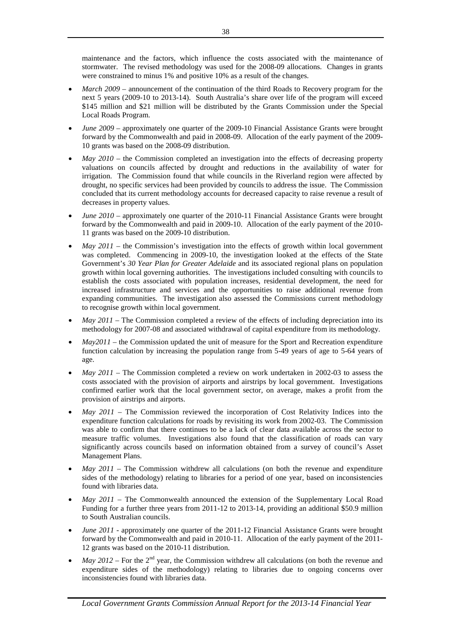maintenance and the factors, which influence the costs associated with the maintenance of stormwater. The revised methodology was used for the 2008-09 allocations. Changes in grants were constrained to minus 1% and positive 10% as a result of the changes.

- *March 2009* announcement of the continuation of the third Roads to Recovery program for the next 5 years (2009-10 to 2013-14). South Australia's share over life of the program will exceed \$145 million and \$21 million will be distributed by the Grants Commission under the Special Local Roads Program.
- *June 2009*  approximately one quarter of the 2009-10 Financial Assistance Grants were brought forward by the Commonwealth and paid in 2008-09. Allocation of the early payment of the 2009- 10 grants was based on the 2008-09 distribution.
- *May 2010*  the Commission completed an investigation into the effects of decreasing property valuations on councils affected by drought and reductions in the availability of water for irrigation. The Commission found that while councils in the Riverland region were affected by drought, no specific services had been provided by councils to address the issue. The Commission concluded that its current methodology accounts for decreased capacity to raise revenue a result of decreases in property values.
- *June 2010*  approximately one quarter of the 2010-11 Financial Assistance Grants were brought forward by the Commonwealth and paid in 2009-10. Allocation of the early payment of the 2010- 11 grants was based on the 2009-10 distribution.
- *May 2011*  the Commission's investigation into the effects of growth within local government was completed. Commencing in 2009-10, the investigation looked at the effects of the State Government's *30 Year Plan for Greater Adelaide* and its associated regional plans on population growth within local governing authorities. The investigations included consulting with councils to establish the costs associated with population increases, residential development, the need for increased infrastructure and services and the opportunities to raise additional revenue from expanding communities. The investigation also assessed the Commissions current methodology to recognise growth within local government.
- *May 2011* The Commission completed a review of the effects of including depreciation into its methodology for 2007-08 and associated withdrawal of capital expenditure from its methodology.
- *May2011*  the Commission updated the unit of measure for the Sport and Recreation expenditure function calculation by increasing the population range from 5-49 years of age to 5-64 years of age.
- *May 2011* The Commission completed a review on work undertaken in 2002-03 to assess the costs associated with the provision of airports and airstrips by local government. Investigations confirmed earlier work that the local government sector, on average, makes a profit from the provision of airstrips and airports.
- *May 2011*  The Commission reviewed the incorporation of Cost Relativity Indices into the expenditure function calculations for roads by revisiting its work from 2002-03. The Commission was able to confirm that there continues to be a lack of clear data available across the sector to measure traffic volumes. Investigations also found that the classification of roads can vary significantly across councils based on information obtained from a survey of council's Asset Management Plans.
- *May 2011*  The Commission withdrew all calculations (on both the revenue and expenditure sides of the methodology) relating to libraries for a period of one year, based on inconsistencies found with libraries data.
- *May 2011* The Commonwealth announced the extension of the Supplementary Local Road Funding for a further three years from 2011-12 to 2013-14, providing an additional \$50.9 million to South Australian councils.
- *June 2011* approximately one quarter of the 2011-12 Financial Assistance Grants were brought forward by the Commonwealth and paid in 2010-11. Allocation of the early payment of the 2011- 12 grants was based on the 2010-11 distribution.
- *May 2012* For the  $2<sup>nd</sup>$  year, the Commission withdrew all calculations (on both the revenue and expenditure sides of the methodology) relating to libraries due to ongoing concerns over inconsistencies found with libraries data.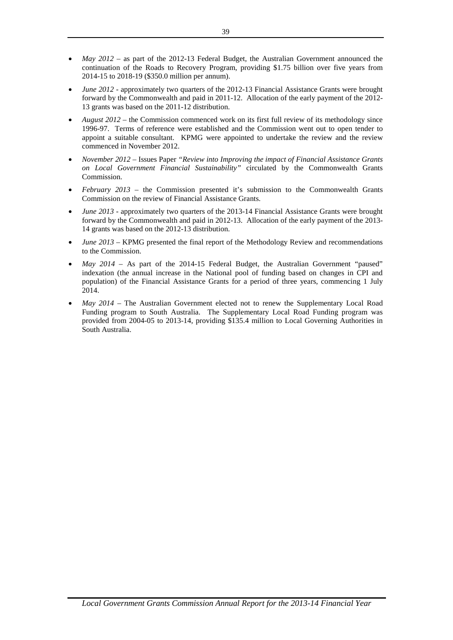- *May 2012*  as part of the 2012-13 Federal Budget, the Australian Government announced the continuation of the Roads to Recovery Program, providing \$1.75 billion over five years from 2014-15 to 2018-19 (\$350.0 million per annum).
- *June 2012*  approximately two quarters of the 2012-13 Financial Assistance Grants were brought forward by the Commonwealth and paid in 2011-12. Allocation of the early payment of the 2012- 13 grants was based on the 2011-12 distribution.
- *August 2012*  the Commission commenced work on its first full review of its methodology since 1996-97. Terms of reference were established and the Commission went out to open tender to appoint a suitable consultant. KPMG were appointed to undertake the review and the review commenced in November 2012.
- *November 2012*  Issues Paper *"Review into Improving the impact of Financial Assistance Grants on Local Government Financial Sustainability"* circulated by the Commonwealth Grants Commission.
- *February 2013*  the Commission presented it's submission to the Commonwealth Grants Commission on the review of Financial Assistance Grants.
- *June 2013*  approximately two quarters of the 2013-14 Financial Assistance Grants were brought forward by the Commonwealth and paid in 2012-13. Allocation of the early payment of the 2013- 14 grants was based on the 2012-13 distribution.
- *June 2013*  KPMG presented the final report of the Methodology Review and recommendations to the Commission.
- *May 2014*  As part of the 2014-15 Federal Budget, the Australian Government "paused" indexation (the annual increase in the National pool of funding based on changes in CPI and population) of the Financial Assistance Grants for a period of three years, commencing 1 July 2014.
- *May 2014*  The Australian Government elected not to renew the Supplementary Local Road Funding program to South Australia. The Supplementary Local Road Funding program was provided from 2004-05 to 2013-14, providing \$135.4 million to Local Governing Authorities in South Australia.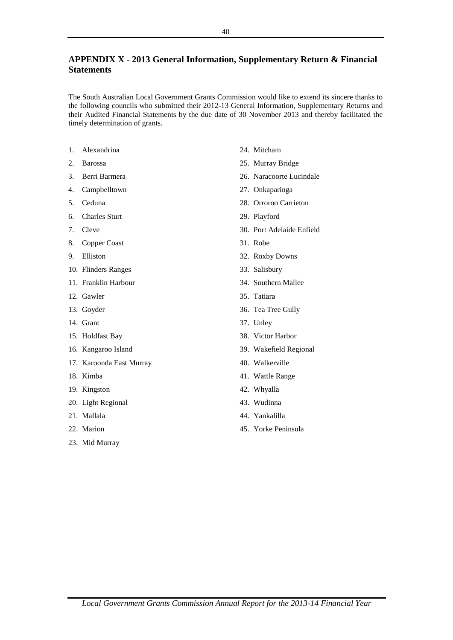# **APPENDIX X - 2013 General Information, Supplementary Return & Financial Statements**

The South Australian Local Government Grants Commission would like to extend its sincere thanks to the following councils who submitted their 2012-13 General Information, Supplementary Returns and their Audited Financial Statements by the due date of 30 November 2013 and thereby facilitated the timely determination of grants.

- 1. Alexandrina
- 2. Barossa
- 3. Berri Barmera
- 4. Campbelltown
- 5. Ceduna
- 6. Charles Sturt
- 7. Cleve
- 8. Copper Coast
- 9. Elliston
- 10. Flinders Ranges
- 11. Franklin Harbour
- 12. Gawler
- 13. Goyder
- 14. Grant
- 15. Holdfast Bay
- 16. Kangaroo Island
- 17. Karoonda East Murray
- 18. Kimba
- 19. Kingston
- 20. Light Regional
- 21. Mallala
- 22. Marion
- 23. Mid Murray
- 24. Mitcham
- 25. Murray Bridge
- 26. Naracoorte Lucindale
- 27. Onkaparinga
- 28. Orroroo Carrieton
- 29. Playford
- 30. Port Adelaide Enfield
- 31. Robe
- 32. Roxby Downs
- 33. Salisbury
- 34. Southern Mallee
- 35. Tatiara
- 36. Tea Tree Gully
- 37. Unley
- 38. Victor Harbor
- 39. Wakefield Regional
- 40. Walkerville
- 41. Wattle Range
- 42. Whyalla
- 43. Wudinna
- 44. Yankalilla
- 45. Yorke Peninsula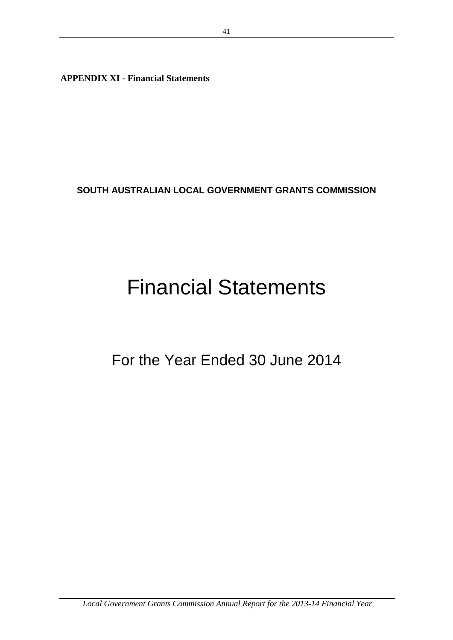**APPENDIX XI - Financial Statements**

**SOUTH AUSTRALIAN LOCAL GOVERNMENT GRANTS COMMISSION**

# Financial Statements

For the Year Ended 30 June 2014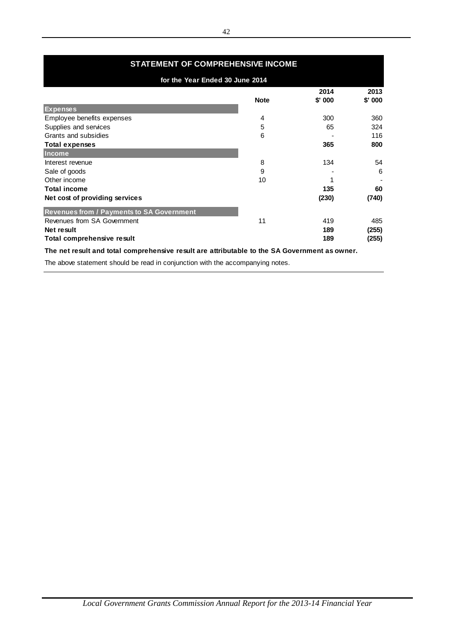| <b>STATEMENT OF COMPREHENSIVE INCOME</b>                                                      |             |         |          |  |  |  |  |
|-----------------------------------------------------------------------------------------------|-------------|---------|----------|--|--|--|--|
| for the Year Ended 30 June 2014                                                               |             |         |          |  |  |  |  |
|                                                                                               |             | 2014    | 2013     |  |  |  |  |
|                                                                                               | <b>Note</b> | \$' 000 | $$'$ 000 |  |  |  |  |
| <b>Expenses</b>                                                                               |             |         |          |  |  |  |  |
| Employee benefits expenses                                                                    | 4           | 300     | 360      |  |  |  |  |
| Supplies and services                                                                         | 5           | 65      | 324      |  |  |  |  |
| Grants and subsidies                                                                          | 6           |         | 116      |  |  |  |  |
| Total expenses                                                                                |             | 365     | 800      |  |  |  |  |
| <b>Income</b>                                                                                 |             |         |          |  |  |  |  |
| Interest revenue                                                                              | 8           | 134     | 54       |  |  |  |  |
| Sale of goods                                                                                 | 9           |         | 6        |  |  |  |  |
| Other income                                                                                  | 10          |         |          |  |  |  |  |
| <b>Total income</b>                                                                           |             | 135     | 60       |  |  |  |  |
| Net cost of providing services                                                                |             | (230)   | (740)    |  |  |  |  |
| <b>Revenues from / Payments to SA Government</b>                                              |             |         |          |  |  |  |  |
| Revenues from SA Government                                                                   | 11          | 419     | 485      |  |  |  |  |
| Net result                                                                                    |             | 189     | (255)    |  |  |  |  |
| Total comprehensive result                                                                    |             | 189     | (255)    |  |  |  |  |
| The net result and total comprehensive result are attributable to the SA Government as owner. |             |         |          |  |  |  |  |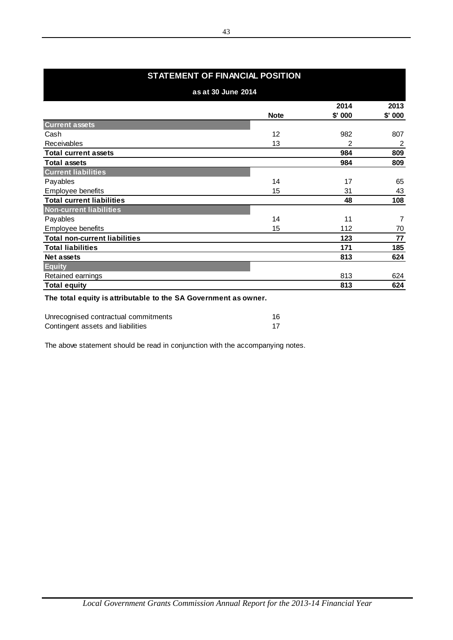# **STATEMENT OF FINANCIAL POSITION**

| 2014<br><b>Note</b><br>\$'000<br><b>Current assets</b><br>Cash<br>12<br>982<br>13<br>Receivables<br>2<br><b>Total current assets</b><br>984<br><b>Total assets</b><br>984<br><b>Current liabilities</b><br>Payables<br>14<br>17<br>Employee benefits<br>15<br>31<br><b>Total current liabilities</b><br>48<br><b>Non-current liabilities</b><br>14<br>Payables<br>11<br>Employee benefits<br>15<br>112<br><b>Total non-current liabilities</b><br>123<br><b>Total liabilities</b><br>171<br>Net assets<br>813<br><b>Equity</b><br>Retained earnings<br>813<br><b>Total equity</b><br>813 | as at 30 June 2014 |         |
|------------------------------------------------------------------------------------------------------------------------------------------------------------------------------------------------------------------------------------------------------------------------------------------------------------------------------------------------------------------------------------------------------------------------------------------------------------------------------------------------------------------------------------------------------------------------------------------|--------------------|---------|
|                                                                                                                                                                                                                                                                                                                                                                                                                                                                                                                                                                                          |                    | 2013    |
|                                                                                                                                                                                                                                                                                                                                                                                                                                                                                                                                                                                          |                    | \$' 000 |
|                                                                                                                                                                                                                                                                                                                                                                                                                                                                                                                                                                                          |                    |         |
|                                                                                                                                                                                                                                                                                                                                                                                                                                                                                                                                                                                          |                    | 807     |
|                                                                                                                                                                                                                                                                                                                                                                                                                                                                                                                                                                                          |                    | 2       |
|                                                                                                                                                                                                                                                                                                                                                                                                                                                                                                                                                                                          |                    | 809     |
|                                                                                                                                                                                                                                                                                                                                                                                                                                                                                                                                                                                          |                    | 809     |
|                                                                                                                                                                                                                                                                                                                                                                                                                                                                                                                                                                                          |                    |         |
|                                                                                                                                                                                                                                                                                                                                                                                                                                                                                                                                                                                          |                    | 65      |
|                                                                                                                                                                                                                                                                                                                                                                                                                                                                                                                                                                                          |                    | 43      |
|                                                                                                                                                                                                                                                                                                                                                                                                                                                                                                                                                                                          |                    | 108     |
|                                                                                                                                                                                                                                                                                                                                                                                                                                                                                                                                                                                          |                    |         |
|                                                                                                                                                                                                                                                                                                                                                                                                                                                                                                                                                                                          |                    | 7       |
|                                                                                                                                                                                                                                                                                                                                                                                                                                                                                                                                                                                          |                    | 70      |
|                                                                                                                                                                                                                                                                                                                                                                                                                                                                                                                                                                                          |                    | 77      |
|                                                                                                                                                                                                                                                                                                                                                                                                                                                                                                                                                                                          |                    | 185     |
|                                                                                                                                                                                                                                                                                                                                                                                                                                                                                                                                                                                          |                    | 624     |
|                                                                                                                                                                                                                                                                                                                                                                                                                                                                                                                                                                                          |                    |         |
|                                                                                                                                                                                                                                                                                                                                                                                                                                                                                                                                                                                          |                    | 624     |
|                                                                                                                                                                                                                                                                                                                                                                                                                                                                                                                                                                                          |                    | 624     |

**The total equity is attributable to the SA Government as owner.**

j.

| Unrecognised contractual commitments |  |
|--------------------------------------|--|
| Contingent assets and liabilities    |  |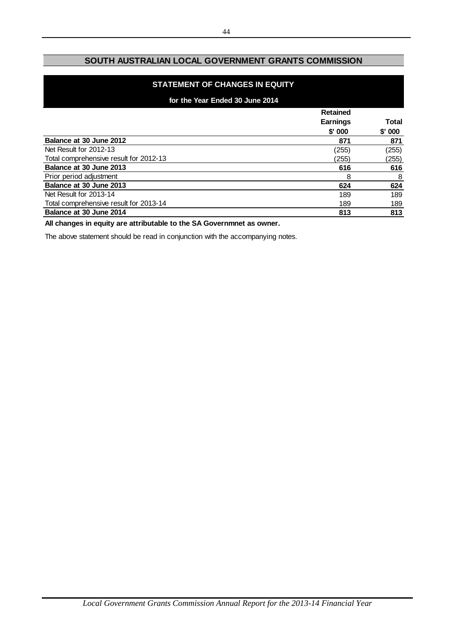# **SOUTH AUSTRALIAN LOCAL GOVERNMENT GRANTS COMMISSION**

# **STATEMENT OF CHANGES IN EQUITY**

# **for the Year Ended 30 June 2014**

|                                        | <b>Retained</b> |              |
|----------------------------------------|-----------------|--------------|
|                                        | <b>Earnings</b> | <b>Total</b> |
|                                        | \$'000          | $$'$ 000     |
| Balance at 30 June 2012                | 871             | 871          |
| Net Result for 2012-13                 | (255)           | (255)        |
| Total comprehensive result for 2012-13 | (255)           | (255)        |
| Balance at 30 June 2013                | 616             | 616          |
| Prior period adjustment                | 8               | 8            |
| Balance at 30 June 2013                | 624             | 624          |
| Net Result for 2013-14                 | 189             | 189          |
| Total comprehensive result for 2013-14 | 189             | 189          |
| Balance at 30 June 2014                | 813             | 813          |

**All changes in equity are attributable to the SA Governmnet as owner.**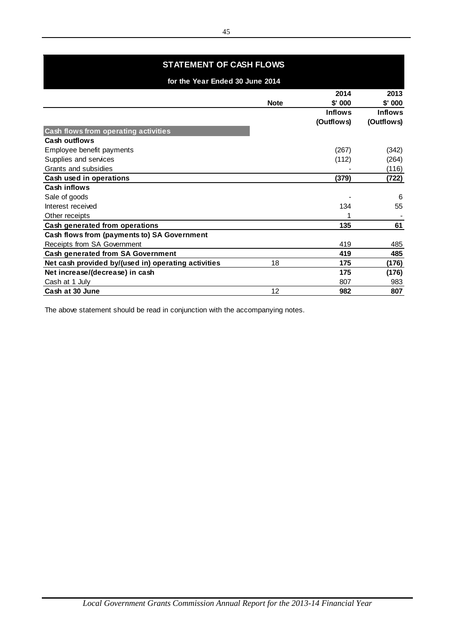| <b>STATEMENT OF CASH FLOWS</b>                      |             |                              |                              |
|-----------------------------------------------------|-------------|------------------------------|------------------------------|
| for the Year Ended 30 June 2014                     |             |                              |                              |
|                                                     | <b>Note</b> | 2014<br>$$'$ 000             | 2013<br>$$'$ 000             |
|                                                     |             | <b>Inflows</b><br>(Outflows) | <b>Inflows</b><br>(Outflows) |
| Cash flows from operating activities                |             |                              |                              |
| <b>Cash outflows</b>                                |             |                              |                              |
| Employee benefit payments                           |             | (267)                        | (342)                        |
| Supplies and services                               |             | (112)                        | (264)                        |
| Grants and subsidies                                |             |                              | (116)                        |
| Cash used in operations                             |             | (379)                        | (722)                        |
| Cash inflows                                        |             |                              |                              |
| Sale of goods                                       |             |                              | 6                            |
| Interest received                                   |             | 134                          | 55                           |
| Other receipts                                      |             |                              |                              |
| Cash generated from operations                      |             | 135                          | 61                           |
| Cash flows from (payments to) SA Government         |             |                              |                              |
| Receipts from SA Government                         |             | 419                          | 485                          |
| <b>Cash generated from SA Government</b>            |             | 419                          | 485                          |
| Net cash provided by/(used in) operating activities | 18          | 175                          | (176)                        |
| Net increase/(decrease) in cash                     |             | 175                          | (176)                        |
| Cash at 1 July                                      |             | 807                          | 983                          |
| Cash at 30 June                                     | 12          | 982                          | 807                          |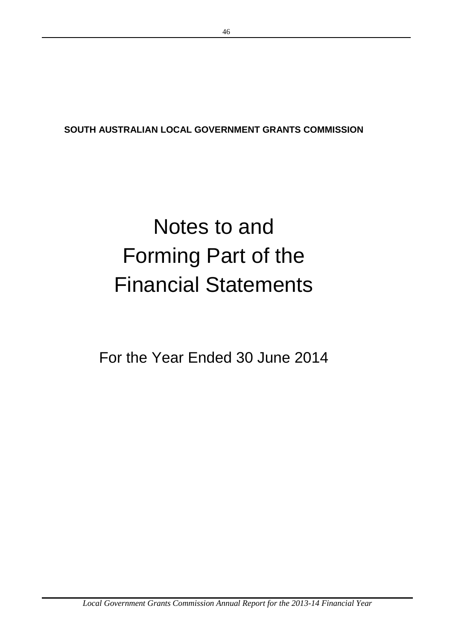**SOUTH AUSTRALIAN LOCAL GOVERNMENT GRANTS COMMISSION**

# Notes to and Forming Part of the Financial Statements

For the Year Ended 30 June 2014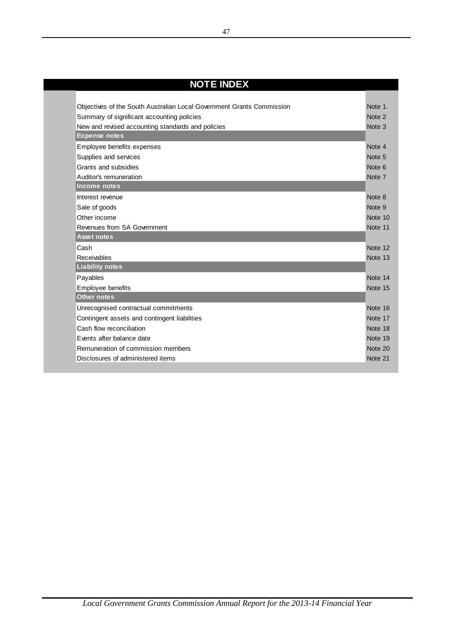| <b>NOTE INDEX</b>                                                     |                   |
|-----------------------------------------------------------------------|-------------------|
|                                                                       |                   |
| Objectives of the South Australian Local Government Grants Commission | Note 1.           |
| Summary of significant accounting policies                            | Note <sub>2</sub> |
| New and revised accounting standards and policies                     | Note 3            |
| <b>Expense notes</b>                                                  |                   |
| Employee benefits expenses                                            | Note 4            |
| Supplies and services                                                 | Note 5            |
| Grants and subsidies                                                  | Note 6            |
| Auditor's remuneration                                                | Note 7            |
| Income notes                                                          |                   |
| Interest revenue                                                      | Note 8            |
| Sale of goods                                                         | Note 9            |
| Other income                                                          | Note 10           |
| Revenues from SA Government                                           | Note 11           |
| <b>Asset notes</b>                                                    |                   |
| Cash                                                                  | Note 12           |
| Receivables                                                           | Note 13           |
| <b>Liability notes</b>                                                |                   |
| Payables                                                              | Note 14           |
| Employee benefits                                                     | Note 15           |
| <b>Other notes</b>                                                    |                   |
| Unrecognised contractual commitments                                  | Note 16           |
| Contingent assets and contingent liabilities                          | Note 17           |
| Cash flow reconciliation                                              | Note 18           |
| Events after balance date                                             | Note 19           |
| Remuneration of commission members                                    | Note 20           |
| Disclosures of administered items                                     | Note 21           |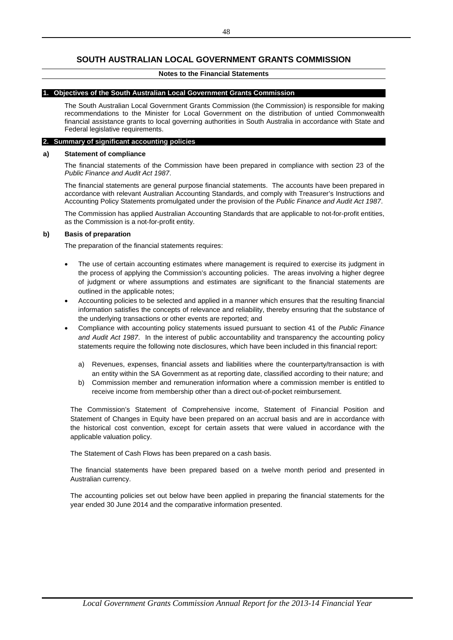# **SOUTH AUSTRALIAN LOCAL GOVERNMENT GRANTS COMMISSION**

### **Notes to the Financial Statements**

### **1. Objectives of the South Australian Local Government Grants Commission**

The South Australian Local Government Grants Commission (the Commission) is responsible for making recommendations to the Minister for Local Government on the distribution of untied Commonwealth financial assistance grants to local governing authorities in South Australia in accordance with State and Federal legislative requirements.

### **2. Summary of significant accounting policies**

### **a) Statement of compliance**

The financial statements of the Commission have been prepared in compliance with section 23 of the *Public Finance and Audit Act 1987*.

The financial statements are general purpose financial statements. The accounts have been prepared in accordance with relevant Australian Accounting Standards, and comply with Treasurer's Instructions and Accounting Policy Statements promulgated under the provision of the *Public Finance and Audit Act 1987*.

The Commission has applied Australian Accounting Standards that are applicable to not-for-profit entities, as the Commission is a not-for-profit entity.

### **b) Basis of preparation**

The preparation of the financial statements requires:

- The use of certain accounting estimates where management is required to exercise its judgment in the process of applying the Commission's accounting policies. The areas involving a higher degree of judgment or where assumptions and estimates are significant to the financial statements are outlined in the applicable notes;
- Accounting policies to be selected and applied in a manner which ensures that the resulting financial information satisfies the concepts of relevance and reliability, thereby ensuring that the substance of the underlying transactions or other events are reported; and
- Compliance with accounting policy statements issued pursuant to section 41 of the *Public Finance and Audit Act 1987*. In the interest of public accountability and transparency the accounting policy statements require the following note disclosures, which have been included in this financial report:
	- a) Revenues, expenses, financial assets and liabilities where the counterparty/transaction is with an entity within the SA Government as at reporting date, classified according to their nature; and
	- b) Commission member and remuneration information where a commission member is entitled to receive income from membership other than a direct out-of-pocket reimbursement.

The Commission's Statement of Comprehensive income, Statement of Financial Position and Statement of Changes in Equity have been prepared on an accrual basis and are in accordance with the historical cost convention, except for certain assets that were valued in accordance with the applicable valuation policy.

The Statement of Cash Flows has been prepared on a cash basis.

The financial statements have been prepared based on a twelve month period and presented in Australian currency.

The accounting policies set out below have been applied in preparing the financial statements for the year ended 30 June 2014 and the comparative information presented.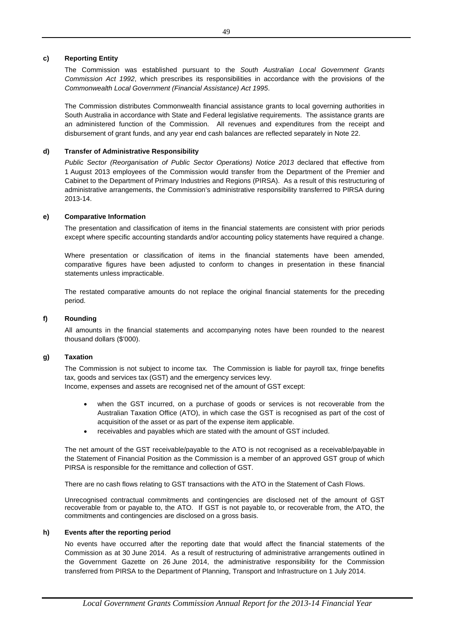### **c) Reporting Entity**

The Commission was established pursuant to the *South Australian Local Government Grants Commission Act 1992*, which prescribes its responsibilities in accordance with the provisions of the *Commonwealth Local Government (Financial Assistance) Act 1995*.

The Commission distributes Commonwealth financial assistance grants to local governing authorities in South Australia in accordance with State and Federal legislative requirements. The assistance grants are an administered function of the Commission. All revenues and expenditures from the receipt and disbursement of grant funds, and any year end cash balances are reflected separately in Note 22.

### **d) Transfer of Administrative Responsibility**

*Public Sector (Reorganisation of Public Sector Operations) Notice 2013* declared that effective from 1 August 2013 employees of the Commission would transfer from the Department of the Premier and Cabinet to the Department of Primary Industries and Regions (PIRSA). As a result of this restructuring of administrative arrangements, the Commission's administrative responsibility transferred to PIRSA during 2013-14.

### **e) Comparative Information**

The presentation and classification of items in the financial statements are consistent with prior periods except where specific accounting standards and/or accounting policy statements have required a change.

Where presentation or classification of items in the financial statements have been amended, comparative figures have been adjusted to conform to changes in presentation in these financial statements unless impracticable.

The restated comparative amounts do not replace the original financial statements for the preceding period.

### **f) Rounding**

All amounts in the financial statements and accompanying notes have been rounded to the nearest thousand dollars (\$'000).

### **g) Taxation**

The Commission is not subject to income tax. The Commission is liable for payroll tax, fringe benefits tax, goods and services tax (GST) and the emergency services levy.

Income, expenses and assets are recognised net of the amount of GST except:

- when the GST incurred, on a purchase of goods or services is not recoverable from the Australian Taxation Office (ATO), in which case the GST is recognised as part of the cost of acquisition of the asset or as part of the expense item applicable.
- receivables and payables which are stated with the amount of GST included.

The net amount of the GST receivable/payable to the ATO is not recognised as a receivable/payable in the Statement of Financial Position as the Commission is a member of an approved GST group of which PIRSA is responsible for the remittance and collection of GST.

There are no cash flows relating to GST transactions with the ATO in the Statement of Cash Flows.

Unrecognised contractual commitments and contingencies are disclosed net of the amount of GST recoverable from or payable to, the ATO. If GST is not payable to, or recoverable from, the ATO, the commitments and contingencies are disclosed on a gross basis.

### **h) Events after the reporting period**

No events have occurred after the reporting date that would affect the financial statements of the Commission as at 30 June 2014. As a result of restructuring of administrative arrangements outlined in the Government Gazette on 26 June 2014, the administrative responsibility for the Commission transferred from PIRSA to the Department of Planning, Transport and Infrastructure on 1 July 2014.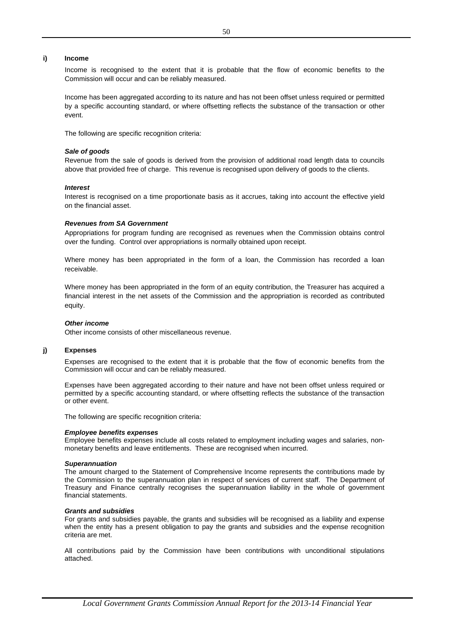### **i) Income**

Income is recognised to the extent that it is probable that the flow of economic benefits to the Commission will occur and can be reliably measured.

Income has been aggregated according to its nature and has not been offset unless required or permitted by a specific accounting standard, or where offsetting reflects the substance of the transaction or other event.

The following are specific recognition criteria:

### *Sale of goods*

Revenue from the sale of goods is derived from the provision of additional road length data to councils above that provided free of charge. This revenue is recognised upon delivery of goods to the clients.

### *Interest*

Interest is recognised on a time proportionate basis as it accrues, taking into account the effective yield on the financial asset.

#### *Revenues from SA Government*

Appropriations for program funding are recognised as revenues when the Commission obtains control over the funding. Control over appropriations is normally obtained upon receipt.

Where money has been appropriated in the form of a loan, the Commission has recorded a loan receivable.

Where money has been appropriated in the form of an equity contribution, the Treasurer has acquired a financial interest in the net assets of the Commission and the appropriation is recorded as contributed equity.

### *Other income*

Other income consists of other miscellaneous revenue.

### **j) Expenses**

Expenses are recognised to the extent that it is probable that the flow of economic benefits from the Commission will occur and can be reliably measured.

Expenses have been aggregated according to their nature and have not been offset unless required or permitted by a specific accounting standard, or where offsetting reflects the substance of the transaction or other event.

The following are specific recognition criteria:

#### *Employee benefits expenses*

Employee benefits expenses include all costs related to employment including wages and salaries, nonmonetary benefits and leave entitlements. These are recognised when incurred.

#### *Superannuation*

The amount charged to the Statement of Comprehensive Income represents the contributions made by the Commission to the superannuation plan in respect of services of current staff. The Department of Treasury and Finance centrally recognises the superannuation liability in the whole of government financial statements.

#### *Grants and subsidies*

For grants and subsidies payable, the grants and subsidies will be recognised as a liability and expense when the entity has a present obligation to pay the grants and subsidies and the expense recognition criteria are met.

All contributions paid by the Commission have been contributions with unconditional stipulations attached.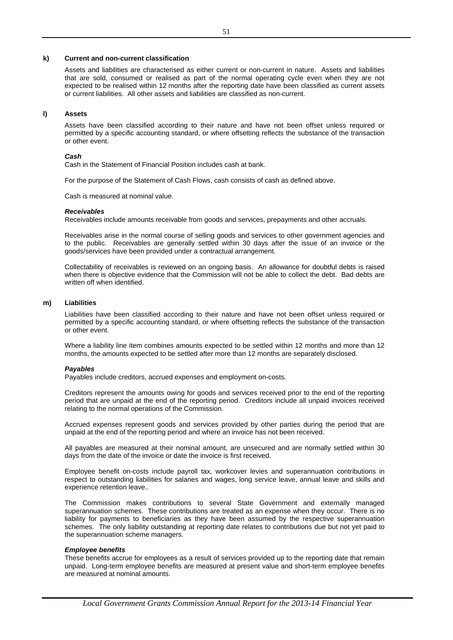### **k) Current and non-current classification**

Assets and liabilities are characterised as either current or non-current in nature. Assets and liabilities that are sold, consumed or realised as part of the normal operating cycle even when they are not expected to be realised within 12 months after the reporting date have been classified as current assets or current liabilities. All other assets and liabilities are classified as non-current.

### **l) Assets**

Assets have been classified according to their nature and have not been offset unless required or permitted by a specific accounting standard, or where offsetting reflects the substance of the transaction or other event.

### *Cash*

Cash in the Statement of Financial Position includes cash at bank.

For the purpose of the Statement of Cash Flows, cash consists of cash as defined above.

Cash is measured at nominal value.

### *Receivables*

Receivables include amounts receivable from goods and services, prepayments and other accruals.

Receivables arise in the normal course of selling goods and services to other government agencies and to the public. Receivables are generally settled within 30 days after the issue of an invoice or the goods/services have been provided under a contractual arrangement.

Collectability of receivables is reviewed on an ongoing basis. An allowance for doubtful debts is raised when there is objective evidence that the Commission will not be able to collect the debt. Bad debts are written off when identified.

### **m) Liabilities**

Liabilities have been classified according to their nature and have not been offset unless required or permitted by a specific accounting standard, or where offsetting reflects the substance of the transaction or other event.

Where a liability line item combines amounts expected to be settled within 12 months and more than 12 months, the amounts expected to be settled after more than 12 months are separately disclosed.

### *Payables*

Payables include creditors, accrued expenses and employment on-costs.

Creditors represent the amounts owing for goods and services received prior to the end of the reporting period that are unpaid at the end of the reporting period. Creditors include all unpaid invoices received relating to the normal operations of the Commission.

Accrued expenses represent goods and services provided by other parties during the period that are unpaid at the end of the reporting period and where an invoice has not been received.

All payables are measured at their nominal amount, are unsecured and are normally settled within 30 days from the date of the invoice or date the invoice is first received.

Employee benefit on-costs include payroll tax, workcover levies and superannuation contributions in respect to outstanding liabilities for salaries and wages, long service leave, annual leave and skills and experience retention leave..

The Commission makes contributions to several State Government and externally managed superannuation schemes. These contributions are treated as an expense when they occur. There is no liability for payments to beneficiaries as they have been assumed by the respective superannuation schemes. The only liability outstanding at reporting date relates to contributions due but not yet paid to the superannuation scheme managers.

#### *Employee benefits*

These benefits accrue for employees as a result of services provided up to the reporting date that remain unpaid. Long-term employee benefits are measured at present value and short-term employee benefits are measured at nominal amounts.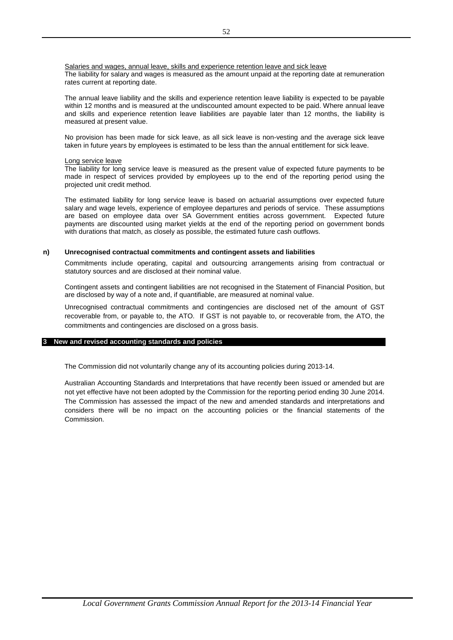The liability for salary and wages is measured as the amount unpaid at the reporting date at remuneration rates current at reporting date. Salaries and wages, annual leave, skills and experience retention leave and sick leave

The annual leave liability and the skills and experience retention leave liability is expected to be payable within 12 months and is measured at the undiscounted amount expected to be paid. Where annual leave and skills and experience retention leave liabilities are payable later than 12 months, the liability is measured at present value.

No provision has been made for sick leave, as all sick leave is non-vesting and the average sick leave taken in future years by employees is estimated to be less than the annual entitlement for sick leave.

### Long service leave

The liability for long service leave is measured as the present value of expected future payments to be made in respect of services provided by employees up to the end of the reporting period using the projected unit credit method.

The estimated liability for long service leave is based on actuarial assumptions over expected future salary and wage levels, experience of employee departures and periods of service. These assumptions are based on employee data over SA Government entities across government. Expected future payments are discounted using market yields at the end of the reporting period on government bonds with durations that match, as closely as possible, the estimated future cash outflows.

### **n) Unrecognised contractual commitments and contingent assets and liabilities**

Commitments include operating, capital and outsourcing arrangements arising from contractual or statutory sources and are disclosed at their nominal value.

Contingent assets and contingent liabilities are not recognised in the Statement of Financial Position, but are disclosed by way of a note and, if quantifiable, are measured at nominal value.

Unrecognised contractual commitments and contingencies are disclosed net of the amount of GST recoverable from, or payable to, the ATO. If GST is not payable to, or recoverable from, the ATO, the commitments and contingencies are disclosed on a gross basis.

### **3 New and revised accounting standards and policies**

The Commission did not voluntarily change any of its accounting policies during 2013-14.

Australian Accounting Standards and Interpretations that have recently been issued or amended but are not yet effective have not been adopted by the Commission for the reporting period ending 30 June 2014. The Commission has assessed the impact of the new and amended standards and interpretations and considers there will be no impact on the accounting policies or the financial statements of the Commission.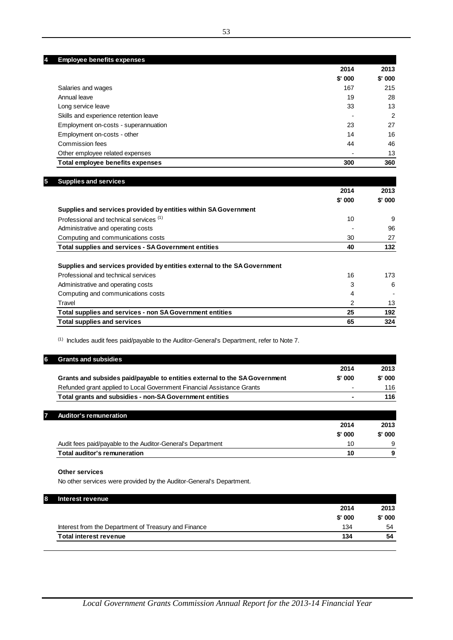**4 Employee benefits expenses**

|                                       | 2014     | 2013     |
|---------------------------------------|----------|----------|
|                                       | $$'$ 000 | $$'$ 000 |
| Salaries and wages                    | 167      | 215      |
| Annual leave                          | 19       | 28       |
| Long service leave                    | 33       | 13       |
| Skills and experience retention leave |          | 2        |
| Employment on-costs - superannuation  | 23       | 27       |
| Employment on-costs - other           | 14       | 16       |
| Commission fees                       | 44       | 46       |
| Other employee related expenses       |          | 13       |
| Total employee benefits expenses      | 300      | 360      |

| <b>Supplies and services</b>                                             | 2014    | 2013     |
|--------------------------------------------------------------------------|---------|----------|
|                                                                          | \$' 000 | $$'$ 000 |
| Supplies and services provided by entities within SA Government          |         |          |
| Professional and technical services (1)                                  | 10      | 9        |
| Administrative and operating costs                                       |         | 96       |
| Computing and communications costs                                       | 30      | 27       |
| <b>Total supplies and services - SA Government entities</b>              | 40      | 132      |
|                                                                          |         |          |
| Supplies and services provided by entities external to the SA Government |         |          |
| Professional and technical services                                      | 16      | 173      |
| Administrative and operating costs                                       | 3       | 6        |
| Computing and communications costs                                       | 4       |          |
| Travel                                                                   | 2       | 13       |
| Total supplies and services - non SA Government entities                 | 25      | 192      |
| <b>Total supplies and services</b>                                       | 65      | 324      |

(1) Includes audit fees paid/payable to the Auditor-General's Department, refer to Note 7.

| 87 | <b>Grants and subsidies</b>                                                |                |         |
|----|----------------------------------------------------------------------------|----------------|---------|
|    |                                                                            | 2014           | 2013    |
|    | Grants and subsides paid/payable to entities external to the SA Government | $$'$ 000       | \$' 000 |
|    | Refunded grant applied to Local Government Financial Assistance Grants     | $\blacksquare$ | 116     |
|    | Total grants and subsidies - non-SA Government entities                    |                | 116     |
|    |                                                                            |                |         |

| <b>Total auditor's remuneration</b>                         | 10       | 9        |
|-------------------------------------------------------------|----------|----------|
| Audit fees paid/payable to the Auditor-General's Department | 10       | 9        |
|                                                             | $$'$ 000 | $$'$ 000 |
|                                                             | 2014     | 2013     |
| Auditor's remuneration                                      |          |          |

### **Other services**

No other services were provided by the Auditor-General's Department.

| Interest revenue                                     |          |          |
|------------------------------------------------------|----------|----------|
|                                                      | 2014     | 2013     |
|                                                      | $$'$ 000 | $$'$ 000 |
| Interest from the Department of Treasury and Finance | 134      | 54       |
| <b>Total interest revenue</b>                        | 134      | 54       |
|                                                      |          |          |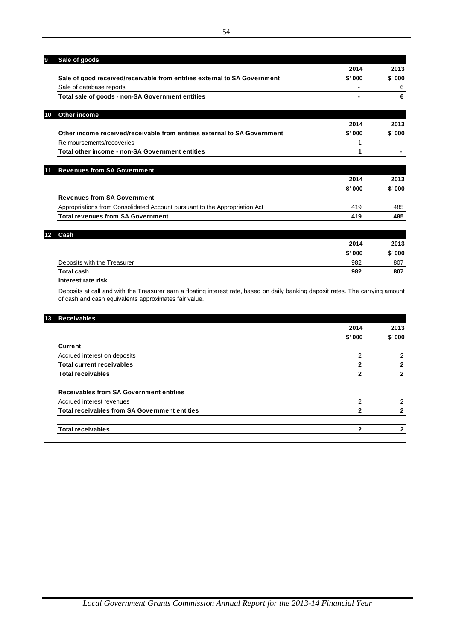| 9  | Sale of goods                                                              |        |        |
|----|----------------------------------------------------------------------------|--------|--------|
|    |                                                                            | 2014   | 2013   |
|    | Sale of good received/receivable from entities external to SA Government   | \$'000 | \$'000 |
|    | Sale of database reports                                                   |        | 6      |
|    | Total sale of goods - non-SA Government entities                           | -      | 6      |
| 10 | Other income                                                               |        |        |
|    |                                                                            | 2014   | 2013   |
|    | Other income received/receivable from entities external to SA Government   | \$'000 | \$'000 |
|    | Reimbursements/recoveries                                                  | 1      |        |
|    | Total other income - non-SA Government entities                            | 1      |        |
| 11 | <b>Revenues from SA Government</b>                                         |        |        |
|    |                                                                            | 2014   | 2013   |
|    |                                                                            | \$'000 | \$'000 |
|    | <b>Revenues from SA Government</b>                                         |        |        |
|    | Appropriations from Consolidated Account pursuant to the Appropriation Act | 419    | 485    |
|    | <b>Total revenues from SA Government</b>                                   | 419    | 485    |
|    | Cash                                                                       |        |        |
|    |                                                                            | 2014   | 2013   |
|    |                                                                            | \$'000 | \$'000 |
|    | Deposits with the Treasurer                                                | 982    | 807    |

Deposits at call and with the Treasurer earn a floating interest rate, based on daily banking deposit rates. The carrying amount of cash and cash equivalents approximates fair value.

**Total cash 982 807** 

**Interest rate risk**

| <b>Receivables</b>                                   |             |                |
|------------------------------------------------------|-------------|----------------|
|                                                      | 2014        | 2013           |
|                                                      | \$'000      | \$'000         |
| Current                                              |             |                |
| Accrued interest on deposits                         | 2           | 2              |
| <b>Total current receivables</b>                     | 2           | $\mathbf{2}$   |
| <b>Total receivables</b>                             | 2           | $\mathbf{2}$   |
| <b>Receivables from SA Government entities</b>       |             |                |
| Accrued interest revenues                            | 2           | $\overline{2}$ |
| <b>Total receivables from SA Government entities</b> | 2           | $\mathbf{2}$   |
| <b>Total receivables</b>                             | $\mathbf 2$ | $\mathbf{2}$   |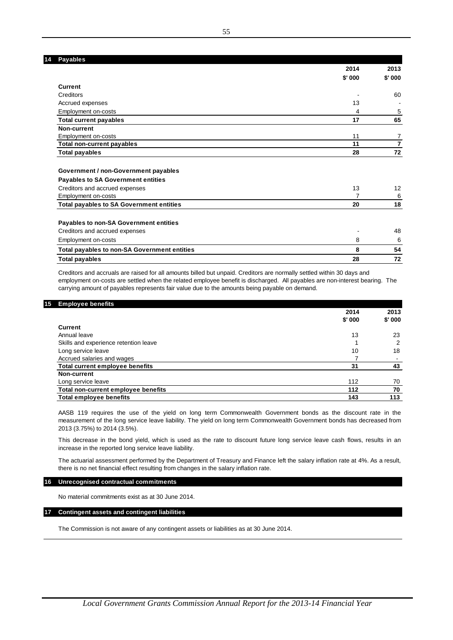| <b>Payables</b>                                 |        |                |
|-------------------------------------------------|--------|----------------|
|                                                 | 2014   | 2013           |
|                                                 | \$'000 | \$'000         |
| <b>Current</b>                                  |        |                |
| Creditors                                       |        | 60             |
| Accrued expenses                                | 13     |                |
| Employment on-costs                             | 4      | 5              |
| <b>Total current payables</b>                   | 17     | 65             |
| Non-current                                     |        |                |
| Employment on-costs                             | 11     | 7              |
| Total non-current payables                      | 11     | $\overline{7}$ |
| <b>Total payables</b>                           | 28     | 72             |
| Government / non-Government payables            |        |                |
| <b>Payables to SA Government entities</b>       |        |                |
| Creditors and accrued expenses                  | 13     | 12             |
| Employment on-costs                             |        | 6              |
| <b>Total payables to SA Government entities</b> | 20     | 18             |
| Payables to non-SA Government entities          |        |                |
| Creditors and accrued expenses                  |        | 48             |
| Employment on-costs                             | 8      | 6              |
| Total payables to non-SA Government entities    | 8      | 54             |
| Total payables                                  | 28     | 72             |
|                                                 |        |                |

Creditors and accruals are raised for all amounts billed but unpaid. Creditors are normally settled within 30 days and employment on-costs are settled when the related employee benefit is discharged. All payables are non-interest bearing. The carrying amount of payables represents fair value due to the amounts being payable on demand.

### **15 Employee benefit**

|                                        | 2014   | 2013           |
|----------------------------------------|--------|----------------|
|                                        | \$'000 | \$'000         |
| Current                                |        |                |
| Annual leave                           | 13     | 23             |
| Skills and experience retention leave  |        | 2              |
| Long service leave                     | 10     | 18             |
| Accrued salaries and wages             |        | $\blacksquare$ |
| <b>Total current employee benefits</b> | 31     | 43             |
| Non-current                            |        |                |
| Long service leave                     | 112    | 70             |
| Total non-current employee benefits    | 112    | 70             |
| <b>Total employee benefits</b>         | 143    | 113            |

AASB 119 requires the use of the yield on long term Commonwealth Government bonds as the discount rate in the measurement of the long service leave liability. The yield on long term Commonwealth Government bonds has decreased from 2013 (3.75%) to 2014 (3.5%).

This decrease in the bond yield, which is used as the rate to discount future long service leave cash flows, results in an increase in the reported long service leave liability.

The actuarial assessment performed by the Department of Treasury and Finance left the salary inflation rate at 4%. As a result, there is no net financial effect resulting from changes in the salary inflation rate.

#### **16 Unrecognised contractual commitments**

No material commitments exist as at 30 June 2014.

### **17 Contingent assets and contingent liabilities**

The Commission is not aware of any contingent assets or liabilities as at 30 June 2014.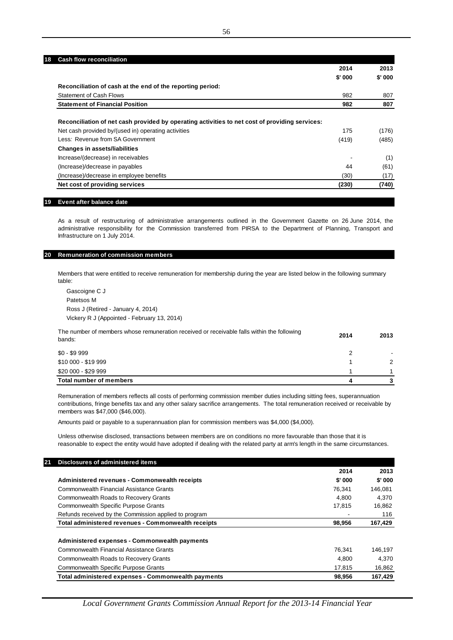| <b>Cash flow reconciliation</b><br>18                                                          |         |        |
|------------------------------------------------------------------------------------------------|---------|--------|
|                                                                                                | 2014    | 2013   |
|                                                                                                | \$' 000 | \$'000 |
| Reconciliation of cash at the end of the reporting period:                                     |         |        |
| <b>Statement of Cash Flows</b>                                                                 | 982     | 807    |
| <b>Statement of Financial Position</b>                                                         | 982     | 807    |
| Reconciliation of net cash provided by operating activities to net cost of providing services: |         |        |
| Net cash provided by/(used in) operating activities                                            | 175     | (176)  |
| Less: Revenue from SA Government                                                               | (419)   | (485)  |
| <b>Changes in assets/liabilities</b>                                                           |         |        |
| Increase/(decrease) in receivables                                                             |         | (1)    |
| (Increase)/decrease in payables                                                                | 44      | (61)   |
| (Increase)/decrease in employee benefits                                                       | (30)    | (17)   |
| Net cost of providing services                                                                 | (230)   | (740)  |

### **19 Event after balance date**

As a result of restructuring of administrative arrangements outlined in the Government Gazette on 26 June 2014, the administrative responsibility for the Commission transferred from PIRSA to the Department of Planning, Transport and Infrastructure on 1 July 2014.

## **20 Remuneration of commission members**

Members that were entitled to receive remuneration for membership during the year are listed below in the following summary table:

Gascoigne C J Patetsos M Ross J (Retired - January 4, 2014) Vickery R J (Appointed - February 13, 2014)

| The number of members whose remuneration received or receivable falls within the following<br>bands: | 2014 | 2013          |
|------------------------------------------------------------------------------------------------------|------|---------------|
| \$0 - \$9 999                                                                                        |      |               |
| \$10 000 - \$19 999                                                                                  |      | $\mathcal{P}$ |
| \$20 000 - \$29 999                                                                                  |      |               |
| Total number of members                                                                              |      |               |

Remuneration of members reflects all costs of performing commission member duties including sitting fees, superannuation contributions, fringe benefits tax and any other salary sacrifice arrangements. The total remuneration received or receivable by members was \$47,000 (\$46,000).

Amounts paid or payable to a superannuation plan for commission members was \$4,000 (\$4,000).

Unless otherwise disclosed, transactions between members are on conditions no more favourable than those that it is reasonable to expect the entity would have adopted if dealing with the related party at arm's length in the same circumstances.

| Disclosures of administered items                     |        |         |
|-------------------------------------------------------|--------|---------|
|                                                       | 2014   | 2013    |
| Administered revenues - Commonwealth receipts         | \$'000 | \$'000  |
| Commonwealth Financial Assistance Grants              | 76.341 | 146,081 |
| Commonwealth Roads to Recovery Grants                 | 4.800  | 4.370   |
| <b>Commonwealth Specific Purpose Grants</b>           | 17.815 | 16,862  |
| Refunds received by the Commission applied to program |        | 116     |
| Total administered revenues - Commonwealth receipts   | 98,956 | 167,429 |
| Administered expenses - Commonwealth payments         |        |         |
| Commonwealth Financial Assistance Grants              | 76.341 | 146.197 |
| Commonwealth Roads to Recovery Grants                 | 4.800  | 4,370   |
| <b>Commonwealth Specific Purpose Grants</b>           | 17,815 | 16,862  |
| Total administered expenses - Commonwealth payments   | 98.956 | 167.429 |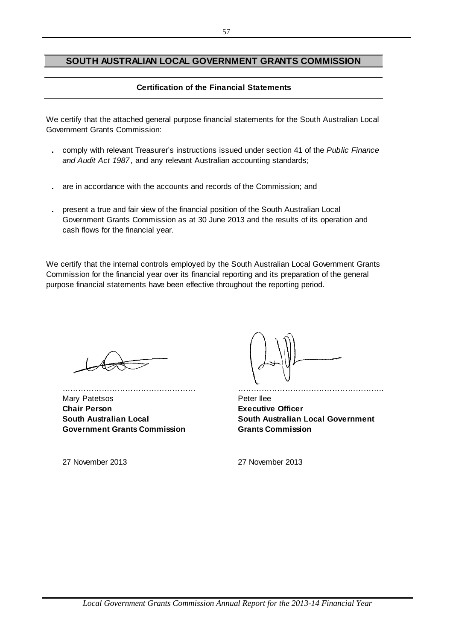# **SOUTH AUSTRALIAN LOCAL GOVERNMENT GRANTS COMMISSION**

# **Certification of the Financial Statements**

We certify that the attached general purpose financial statements for the South Australian Local Government Grants Commission:

- **.** comply with relevant Treasurer's instructions issued under section 41 of the *Public Finance and Audit Act 1987* , and any relevant Australian accounting standards;
- **.** are in accordance with the accounts and records of the Commission; and
- **.** present a true and fair view of the financial position of the South Australian Local Government Grants Commission as at 30 June 2013 and the results of its operation and cash flows for the financial year.

We certify that the internal controls employed by the South Australian Local Government Grants Commission for the financial year over its financial reporting and its preparation of the general purpose financial statements have been effective throughout the reporting period.

Mary Patetsos **Peter Ilee Chair Person Executive Officer South Australian Local Government Grants Commission**

…………………………………………… ………………………………………………..

**South Australian Local Government Grants Commission**

27 November 2013 27 November 2013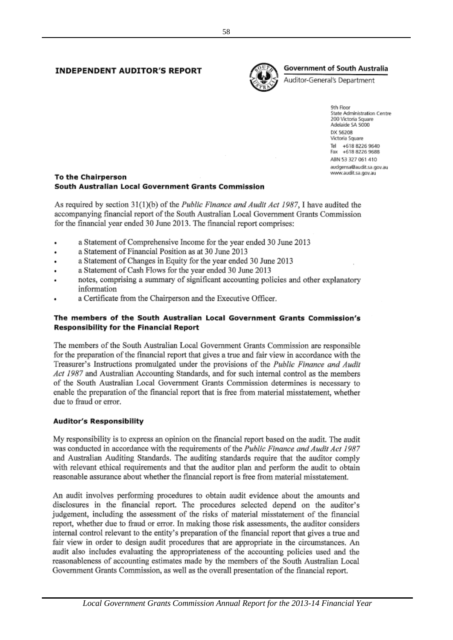# **INDEPENDENT AUDITOR'S REPORT**



# **Government of South Australia**

Auditor-General's Department

9th Floor State Administration Centre 200 Victoria Square Adelaide SA 5000 DX 56208 Victoria Square Tel +618 8226 9640 Fax +618 8226 9688 ABN 53 327 061 410 audgensa@audit.sa.gov.au www.audit.sa.gov.au

# **To the Chairperson** South Australian Local Government Grants Commission

As required by section  $31(1)(b)$  of the *Public Finance and Audit Act 1987*, I have audited the accompanying financial report of the South Australian Local Government Grants Commission for the financial year ended 30 June 2013. The financial report comprises:

- a Statement of Comprehensive Income for the year ended 30 June 2013
- a Statement of Financial Position as at 30 June 2013  $\ddot{\phantom{0}}$
- a Statement of Changes in Equity for the year ended 30 June 2013
- a Statement of Cash Flows for the year ended 30 June 2013
- notes, comprising a summary of significant accounting policies and other explanatory information
- a Certificate from the Chairperson and the Executive Officer.

# The members of the South Australian Local Government Grants Commission's **Responsibility for the Financial Report**

The members of the South Australian Local Government Grants Commission are responsible for the preparation of the financial report that gives a true and fair view in accordance with the Treasurer's Instructions promulgated under the provisions of the *Public Finance and Audit* Act 1987 and Australian Accounting Standards, and for such internal control as the members of the South Australian Local Government Grants Commission determines is necessary to enable the preparation of the financial report that is free from material misstatement, whether due to fraud or error.

# **Auditor's Responsibility**

My responsibility is to express an opinion on the financial report based on the audit. The audit was conducted in accordance with the requirements of the Public Finance and Audit Act 1987 and Australian Auditing Standards. The auditing standards require that the auditor comply with relevant ethical requirements and that the auditor plan and perform the audit to obtain reasonable assurance about whether the financial report is free from material misstatement.

An audit involves performing procedures to obtain audit evidence about the amounts and disclosures in the financial report. The procedures selected depend on the auditor's judgement, including the assessment of the risks of material misstatement of the financial report, whether due to fraud or error. In making those risk assessments, the auditor considers internal control relevant to the entity's preparation of the financial report that gives a true and fair view in order to design audit procedures that are appropriate in the circumstances. An audit also includes evaluating the appropriateness of the accounting policies used and the reasonableness of accounting estimates made by the members of the South Australian Local Government Grants Commission, as well as the overall presentation of the financial report.